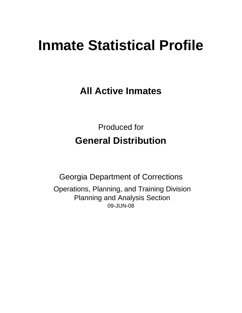# **Inmate Statistical Profile**

**All Active Inmates**

Produced for **General Distribution**

09-JUN-08 Georgia Department of Corrections Operations, Planning, and Training Division Planning and Analysis Section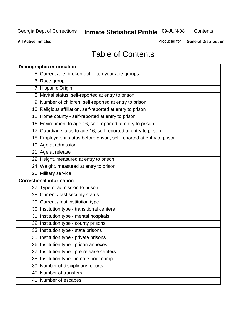**Contents** 

**All Active Inmates**

Produced for **General Distribution**

# Table of Contents

|    | <b>Demographic information</b>                                       |
|----|----------------------------------------------------------------------|
|    | 5 Current age, broken out in ten year age groups                     |
|    | 6 Race group                                                         |
|    | 7 Hispanic Origin                                                    |
|    | 8 Marital status, self-reported at entry to prison                   |
|    | 9 Number of children, self-reported at entry to prison               |
|    | 10 Religious affiliation, self-reported at entry to prison           |
|    | 11 Home county - self-reported at entry to prison                    |
|    | 16 Environment to age 16, self-reported at entry to prison           |
|    | 17 Guardian status to age 16, self-reported at entry to prison       |
|    | 18 Employment status before prison, self-reported at entry to prison |
|    | 19 Age at admission                                                  |
|    | 21 Age at release                                                    |
|    | 22 Height, measured at entry to prison                               |
|    | 24 Weight, measured at entry to prison                               |
|    | 26 Military service                                                  |
|    | <b>Correctional information</b>                                      |
|    | 27 Type of admission to prison                                       |
|    | 28 Current / last security status                                    |
|    | 29 Current / last institution type                                   |
|    | 30 Institution type - transitional centers                           |
|    | 31 Institution type - mental hospitals                               |
|    | 32 Institution type - county prisons                                 |
|    | 33 Institution type - state prisons                                  |
|    | 35 Institution type - private prisons                                |
|    | 36 Institution type - prison annexes                                 |
| 37 | Institution type - pre-release centers                               |
|    | 38 Institution type - inmate boot camp                               |
|    | 39 Number of disciplinary reports                                    |
|    | 40 Number of transfers                                               |
|    | 41 Number of escapes                                                 |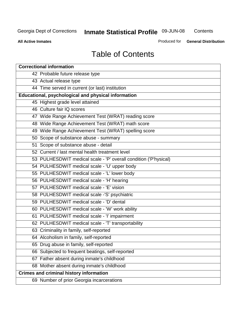**Contents** 

**All Active Inmates**

Produced for **General Distribution**

# Table of Contents

| <b>Correctional information</b>                                  |
|------------------------------------------------------------------|
| 42 Probable future release type                                  |
| 43 Actual release type                                           |
| 44 Time served in current (or last) institution                  |
| Educational, psychological and physical information              |
| 45 Highest grade level attained                                  |
| 46 Culture fair IQ scores                                        |
| 47 Wide Range Achievement Test (WRAT) reading score              |
| 48 Wide Range Achievement Test (WRAT) math score                 |
| 49 Wide Range Achievement Test (WRAT) spelling score             |
| 50 Scope of substance abuse - summary                            |
| 51 Scope of substance abuse - detail                             |
| 52 Current / last mental health treatment level                  |
| 53 PULHESDWIT medical scale - 'P' overall condition ('P'hysical) |
| 54 PULHESDWIT medical scale - 'U' upper body                     |
| 55 PULHESDWIT medical scale - 'L' lower body                     |
| 56 PULHESDWIT medical scale - 'H' hearing                        |
| 57 PULHESDWIT medical scale - 'E' vision                         |
| 58 PULHESDWIT medical scale -'S' psychiatric                     |
| 59 PULHESDWIT medical scale - 'D' dental                         |
| 60 PULHESDWIT medical scale - 'W' work ability                   |
| 61 PULHESDWIT medical scale - 'I' impairment                     |
| 62 PULHESDWIT medical scale - 'T' transportability               |
| 63 Criminality in family, self-reported                          |
| 64 Alcoholism in family, self-reported                           |
| 65 Drug abuse in family, self-reported                           |
| 66 Subjected to frequent beatings, self-reported                 |
| Father absent during inmate's childhood<br>67                    |
| 68 Mother absent during inmate's childhood                       |
| <b>Crimes and criminal history information</b>                   |
| 69 Number of prior Georgia incarcerations                        |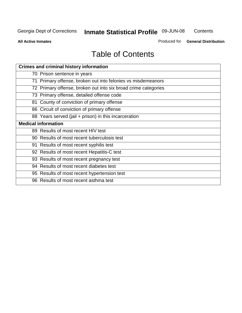**Contents** 

**All Active Inmates**

Produced for **General Distribution**

# Table of Contents

| <b>Crimes and criminal history information</b>                 |
|----------------------------------------------------------------|
| 70 Prison sentence in years                                    |
| 71 Primary offense, broken out into felonies vs misdemeanors   |
| 72 Primary offense, broken out into six broad crime categories |
| 73 Primary offense, detailed offense code                      |
| 81 County of conviction of primary offense                     |
| 86 Circuit of conviction of primary offense                    |
| 88 Years served (jail + prison) in this incarceration          |
| <b>Medical information</b>                                     |
| 89 Results of most recent HIV test                             |
| 90 Results of most recent tuberculosis test                    |
| 91 Results of most recent syphilis test                        |
| 92 Results of most recent Hepatitis-C test                     |
| 93 Results of most recent pregnancy test                       |
| 94 Results of most recent diabetes test                        |
| 95 Results of most recent hypertension test                    |
| 96 Results of most recent asthma test                          |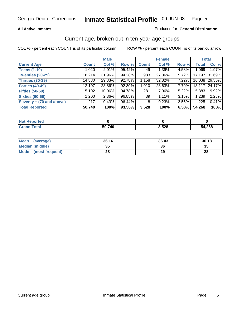#### **All Active Inmates**

#### Produced for **General Distribution**

### Current age, broken out in ten-year age groups

|                          |              | <b>Male</b> |        |              | <b>Female</b> |          | <b>Total</b> |               |
|--------------------------|--------------|-------------|--------|--------------|---------------|----------|--------------|---------------|
| <b>Current Age</b>       | <b>Count</b> | Col %       | Row %  | <b>Count</b> | Col %         | Row %    | <b>Total</b> | Col %         |
| <b>Teens (1-19)</b>      | 1,020        | $2.01\%$    | 95.42% | 49           | 1.39%         | 4.58%    | 1,069        | 1.97%         |
| <b>Twenties (20-29)</b>  | 16,214       | 31.96%      | 94.28% | 983          | 27.86%        | 5.72%    | 17,197       | 31.69%        |
| <b>Thirties (30-39)</b>  | 14,880       | 29.33%      | 92.78% | 1,158        | 32.82%        | $7.22\%$ |              | 16,038 29.55% |
| <b>Forties (40-49)</b>   | 12,107       | 23.86%      | 92.30% | 1,010        | 28.63%        | 7.70%    | 13,117       | 24.17%        |
| <b>Fifties (50-59)</b>   | 5,102        | $10.06\%$   | 94.78% | 281          | 7.96%         | $5.22\%$ | 5,383        | 9.92%         |
| <b>Sixties (60-69)</b>   | ا 200.1      | $2.36\%$    | 96.85% | 39           | 1.11%         | 3.15%    | 1,239        | 2.28%         |
| Seventy + (70 and above) | 217          | 0.43%       | 96.44% | 8            | 0.23%         | $3.56\%$ | 225          | 0.41%         |
| <b>Total Reported</b>    | 50,740       | 100%        | 93.50% | 3,528        | 100%          | 6.50%    | 54,268       | 100%          |

| <b>Not Reported</b> |        |       |        |
|---------------------|--------|-------|--------|
| <b>Total</b>        | 50,740 | 3,528 | 54,268 |

| <b>Mean</b><br>(average) | 36.16     | 36.43 | 36.18 |
|--------------------------|-----------|-------|-------|
| Median (middle)          | 25<br>JJ. | 36    | 35    |
| Mode<br>(most frequent)  | ററ<br>zo  | 29    | 28    |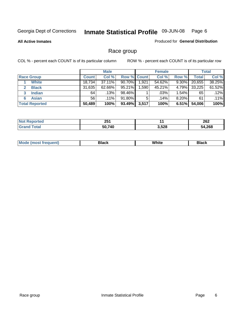#### **All Active Inmates**

#### Produced for **General Distribution**

### Race group

|                       |              | <b>Male</b> |             |       | <b>Female</b> |          |              | <b>Total</b> |
|-----------------------|--------------|-------------|-------------|-------|---------------|----------|--------------|--------------|
| <b>Race Group</b>     | <b>Count</b> | Col %       | Row % Count |       | Col %         | Row %    | <b>Total</b> | Col %        |
| <b>White</b>          | 18,734       | 37.11%      | $90.70\%$   | 1,921 | 54.62%        | 9.30%    | 20,655       | 38.25%       |
| <b>Black</b>          | 31,635       | 62.66%      | 95.21%      | .590  | 45.21%        | 4.79%    | 33,225       | 61.52%       |
| <b>Indian</b><br>3    | 64           | .13%        | 98.46%      |       | .03%          | 1.54%    | 65           | .12%         |
| <b>Asian</b>          | 56           | $.11\%$     | 91.80%      | 5     | .14%          | $8.20\%$ | 61           | .11%         |
| <b>Total Reported</b> | 50,489       | 100%        | 93.49%      | 3,517 | 100%          | 6.51%    | 54,006       | 100%         |

| ヘビィ<br>ZJ I                  |       | 262  |
|------------------------------|-------|------|
| <b>740</b><br>ЕΛ<br>יי<br>-- | 3,528 | .268 |

| ____<br>___<br>$ -$ |  | Мe | Black | White | Black |
|---------------------|--|----|-------|-------|-------|
|---------------------|--|----|-------|-------|-------|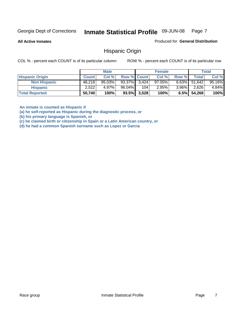**All Active Inmates**

Produced for **General Distribution**

### Hispanic Origin

COL % - percent each COUNT is of its particular column ROW % - percent each COUNT is of its particular row

|                        |              | <b>Male</b> |                    |                | <b>Female</b> |          |                 | <b>Total</b> |
|------------------------|--------------|-------------|--------------------|----------------|---------------|----------|-----------------|--------------|
| <b>Hispanic Origin</b> | <b>Count</b> | Col %       | <b>Row % Count</b> |                | Col %         | Row %    | Total           | Col %        |
| <b>Non Hispanic</b>    | 48.218       | $95.03\%$   | $93.37\%$ 3.424    |                | $97.05\%$     |          | $6.63\%$ 51,642 | 95.16%       |
| <b>Hispanic</b>        | 2,522        | 4.97%       | $96.04\%$          | 104            | 2.95%         | $3.96\%$ | 2,626           | $4.84\%$     |
| <b>Total Reported</b>  | 50,740       | 100%        |                    | $93.5\%$ 3,528 | 100%          | 6.5%     | 54,268          | 100%         |

**An inmate is counted as Hispanic if** 

**(a) he self-reported as Hispanic during the diagnostic process, or** 

**(b) his primary language is Spanish, or** 

**(c) he claimed birth or citizenship in Spain or a Latin American country, or** 

**(d) he had a common Spanish surname such as Lopez or Garcia**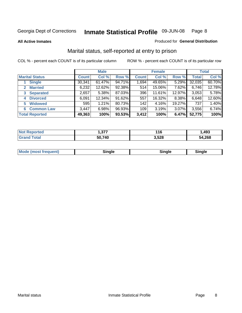**All Active Inmates**

#### Produced for **General Distribution**

### Marital status, self-reported at entry to prison

|                                |              | <b>Male</b> |        |              | <b>Female</b> |          |              | <b>Total</b> |
|--------------------------------|--------------|-------------|--------|--------------|---------------|----------|--------------|--------------|
| <b>Marital Status</b>          | <b>Count</b> | Col %       | Row %  | <b>Count</b> | Col %         | Row %    | <b>Total</b> | Col %        |
| <b>Single</b>                  | 30,341       | $61.47\%$   | 94.71% | 1,694        | 49.65%        | $5.29\%$ | 32,035       | 60.70%       |
| <b>Married</b><br>$\mathbf{2}$ | 6,232        | 12.62%      | 92.38% | 514          | 15.06%        | 7.62%    | 6,746        | 12.78%       |
| <b>Separated</b><br>3          | 2,657        | 5.38%       | 87.03% | 396          | 11.61%        | 12.97%   | 3,053        | 5.78%        |
| <b>Divorced</b><br>4           | 6,091        | 12.34%      | 91.62% | 557          | 16.32%        | 8.38%    | 6,648        | 12.60%       |
| <b>Widowed</b><br>5            | 595          | 1.21%       | 80.73% | 142          | 4.16%         | 19.27%   | 737          | 1.40%        |
| <b>Common Law</b><br>6         | 3,447        | 6.98%       | 96.93% | 109          | 3.19%         | 3.07%    | 3,556        | 6.74%        |
| <b>Total Reported</b>          | 49,363       | 100%        | 93.53% | 3,412        | 100%          | 6.47%    | 52,775       | 100%         |

| っっっ<br>ו וטו | 16<br>$\sim$ | .493        |
|--------------|--------------|-------------|
| ነበ 74በ       | 3,528        | .268<br>- 4 |

| <b>Mode (most frequent)</b><br>Sinale<br>≒ınale |
|-------------------------------------------------|
|-------------------------------------------------|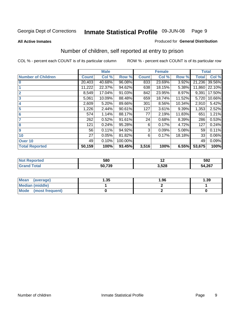#### **All Active Inmates**

#### Produced for **General Distribution**

### Number of children, self reported at entry to prison

|                           | <b>Male</b>  |        |         |              | <b>Female</b> |        | <b>Total</b> |        |
|---------------------------|--------------|--------|---------|--------------|---------------|--------|--------------|--------|
| <b>Number of Children</b> | <b>Count</b> | Col %  | Row %   | <b>Count</b> | Col %         | Row %  | <b>Total</b> | Col %  |
| $\bf{0}$                  | 20,403       | 40.68% | 96.08%  | 833          | 23.69%        | 3.92%  | 21,236       | 39.56% |
|                           | 11,222       | 22.37% | 94.62%  | 638          | 18.15%        | 5.38%  | 11,860       | 22.10% |
| $\overline{2}$            | 8,549        | 17.04% | 91.03%  | 842          | 23.95%        | 8.97%  | 9,391        | 17.50% |
| 3                         | 5,061        | 10.09% | 88.48%  | 659          | 18.74%        | 11.52% | 5,720        | 10.66% |
| 4                         | 2,609        | 5.20%  | 89.66%  | 301          | 8.56%         | 10.34% | 2,910        | 5.42%  |
| 5                         | 1,226        | 2.44%  | 90.61%  | 127          | 3.61%         | 9.39%  | 1,353        | 2.52%  |
| $6\phantom{a}$            | 574          | 1.14%  | 88.17%  | 77           | 2.19%         | 11.83% | 651          | 1.21%  |
|                           | 262          | 0.52%  | 91.61%  | 24           | 0.68%         | 8.39%  | 286          | 0.53%  |
| 8                         | 121          | 0.24%  | 95.28%  | 6            | 0.17%         | 4.72%  | 127          | 0.24%  |
| 9                         | 56           | 0.11%  | 94.92%  | 3            | 0.09%         | 5.08%  | 59           | 0.11%  |
| 10                        | 27           | 0.05%  | 81.82%  | 6            | 0.17%         | 18.18% | 33           | 0.06%  |
| Over 10                   | 49           | 0.10%  | 100.00% |              |               |        | 49           | 0.09%  |
| <b>Total Reported</b>     | 50,159       | 100%   | 93.45%  | 3,516        | 100%          | 6.55%  | 53,675       | 100%   |

| TAC. | 580                 | . .          | 592           |
|------|---------------------|--------------|---------------|
|      | にへ つへへ<br>ы.<br>ືບປ | E00<br>ა.ა∠ი | <b>34,267</b> |

| <b>Mean</b><br>(average) | .35 | 1.96 | .39 |
|--------------------------|-----|------|-----|
| <b>Median (middle)</b>   |     |      |     |
| Mode<br>(most frequent)  |     |      |     |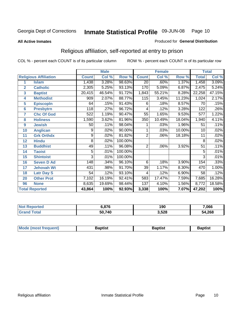#### **All Active Inmates**

#### Produced for **General Distribution**

### Religious affiliation, self-reported at entry to prison

|                       |                              |                | <b>Male</b> |         |                 | <b>Female</b> |           | <b>Total</b>    |        |  |
|-----------------------|------------------------------|----------------|-------------|---------|-----------------|---------------|-----------|-----------------|--------|--|
|                       | <b>Religious Affiliation</b> | <b>Count</b>   | Col %       | Row %   | <b>Count</b>    | Col %         | Row %     | <b>Total</b>    | Col %  |  |
| 1                     | <b>Islam</b>                 | 1,438          | 3.28%       | 98.63%  | $\overline{20}$ | .60%          | 1.37%     | 1,458           | 3.09%  |  |
| $\overline{2}$        | <b>Catholic</b>              | 2,305          | 5.25%       | 93.13%  | 170             | 5.09%         | 6.87%     | 2,475           | 5.24%  |  |
| 3                     | <b>Baptist</b>               | 20,415         | 46.54%      | 91.72%  | 1,843           | 55.21%        | 8.28%     | 22,258          | 47.15% |  |
| 4                     | <b>Methodist</b>             | 909            | 2.07%       | 88.77%  | 115             | 3.45%         | 11.23%    | 1,024           | 2.17%  |  |
| 5                     | <b>EpiscopIn</b>             | 64             | .15%        | 91.43%  | 6               | .18%          | 8.57%     | 70              | .15%   |  |
| 6                     | <b>Presbytrn</b>             | 118            | .27%        | 96.72%  | 4               | .12%          | 3.28%     | 122             | .26%   |  |
| 7                     | <b>Chc Of God</b>            | 522            | 1.19%       | 90.47%  | 55              | 1.65%         | 9.53%     | 577             | 1.22%  |  |
| 8                     | <b>Holiness</b>              | 1,590          | 3.62%       | 81.96%  | 350             | 10.49%        | $18.04\%$ | 1,940           | 4.11%  |  |
| $\boldsymbol{9}$      | <b>Jewish</b>                | 50             | .11%        | 98.04%  |                 | .03%          | 1.96%     | 51              | .11%   |  |
| 10                    | <b>Anglican</b>              | 9              | .02%        | 90.00%  |                 | .03%          | 10.00%    | $\overline{10}$ | .02%   |  |
| 11                    | <b>Grk Orthdx</b>            | 9              | .02%        | 81.82%  | $\overline{2}$  | .06%          | 18.18%    | 11              | .02%   |  |
| 12                    | <b>Hindu</b>                 | 8              | .02%        | 100.00% |                 |               |           | 8               | .02%   |  |
| 13                    | <b>Buddhist</b>              | 49             | .11%        | 96.08%  | $\overline{2}$  | .06%          | 3.92%     | $\overline{51}$ | .11%   |  |
| 14                    | <b>Taoist</b>                | 5              | .01%        | 100.00% |                 |               |           | 5               | .01%   |  |
| 15                    | <b>Shintoist</b>             | $\overline{3}$ | .01%        | 100.00% |                 |               |           | 3               | .01%   |  |
| 16                    | <b>Seven D Ad</b>            | 148            | .34%        | 96.10%  | 6               | .18%          | 3.90%     | 154             | .33%   |  |
| 17                    | <b>Jehovah Wt</b>            | 431            | .98%        | 91.70%  | 39              | 1.17%         | 8.30%     | 470             | 1.00%  |  |
| 18                    | <b>Latr Day S</b>            | 54             | .12%        | 93.10%  | 4               | .12%          | 6.90%     | 58              | .12%   |  |
| 20                    | <b>Other Prot</b>            | 7,102          | 16.19%      | 92.41%  | 583             | 17.47%        | 7.59%     | 7,685           | 16.28% |  |
| 96                    | <b>None</b>                  | 8,635          | 19.69%      | 98.44%  | 137             | 4.10%         | 1.56%     | 8,772           | 18.58% |  |
| <b>Total Reported</b> |                              | 43,864         | 100%        | 92.93%  | 3,338           | 100%          | 7.07%     | 47,202          | 100%   |  |

| 0.70       | n<br>l Ju | .066  |
|------------|-----------|-------|
| .740<br>50 | 3.528     | 4,268 |

| <b>Mode</b><br>frequent)<br>umost | 3aptist | 3aptist | <b>Baptist</b> |
|-----------------------------------|---------|---------|----------------|
|                                   |         |         |                |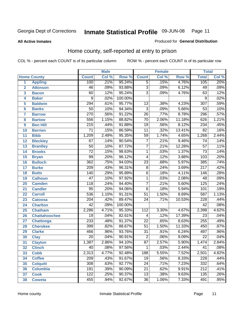Produced for **General Distribution**

#### **All Active Inmates**

### Home county, self-reported at entry to prison

|                 |                      | <b>Male</b>      |       | <b>Female</b> |                 |       | <b>Total</b> |                  |         |
|-----------------|----------------------|------------------|-------|---------------|-----------------|-------|--------------|------------------|---------|
|                 | <b>Home County</b>   | <b>Count</b>     | Col % | Row %         | <b>Count</b>    | Col % | Row %        | <b>Total</b>     | Col %   |
| 1               | <b>Appling</b>       | 100              | .21%  | 95.24%        | $\overline{5}$  | .15%  | 4.76%        | 105              | .20%    |
| $\overline{2}$  | <b>Atkinson</b>      | 46               | .09%  | 93.88%        | $\overline{3}$  | .09%  | 6.12%        | 49               | .09%    |
| 3               | <b>Bacon</b>         | 60               | .12%  | 95.24%        | $\overline{3}$  | .09%  | 4.76%        | $\overline{63}$  | .12%    |
| 4               | <b>Baker</b>         | 9                | .02%  | 100.00%       |                 |       |              | $\overline{9}$   | .02%    |
| 5               | <b>Baldwin</b>       | 294              | .61%  | 95.77%        | $\overline{13}$ | .38%  | 4.23%        | $\overline{307}$ | .59%    |
| $6\phantom{1}6$ | <b>Banks</b>         | $\overline{50}$  | .10%  | 94.34%        | $\overline{3}$  | .09%  | 5.66%        | $\overline{53}$  | .10%    |
| $\overline{7}$  | <b>Barrow</b>        | $\overline{270}$ | .56%  | 91.22%        | $\overline{26}$ | .77%  | 8.78%        | 296              | .57%    |
| 8               | <b>Bartow</b>        | 556              | 1.15% | 88.82%        | $\overline{70}$ | 2.06% | 11.18%       | 626              | 1.21%   |
| 9               | <b>Ben Hill</b>      | $\overline{215}$ | .44%  | 91.88%        | $\overline{19}$ | .56%  | 8.12%        | 234              | .45%    |
| 10              | <b>Berrien</b>       | $\overline{71}$  | .15%  | 86.59%        | $\overline{11}$ | .32%  | 13.41%       | $\overline{82}$  | .16%    |
| 11              | <b>Bibb</b>          | 1,209            | 2.49% | 95.35%        | 59              | 1.74% | 4.65%        | 1,268            | 2.44%   |
| 12              | <b>Bleckley</b>      | 67               | .14%  | 90.54%        | $\overline{7}$  | .21%  | 9.46%        | 74               | .14%    |
| 13              | <b>Brantley</b>      | $\overline{50}$  | .10%  | 87.72%        | $\overline{7}$  | .21%  | 12.28%       | $\overline{57}$  | .11%    |
| 14              | <b>Brooks</b>        | $\overline{72}$  | .15%  | 98.63%        | $\overline{1}$  | .03%  | 1.37%        | $\overline{73}$  | .14%    |
| 15              | <b>Bryan</b>         | 99               | .20%  | 96.12%        | $\overline{4}$  | .12%  | 3.88%        | 103              | .20%    |
| 16              | <b>Bulloch</b>       | $\overline{362}$ | .75%  | 94.03%        | $\overline{23}$ | .68%  | 5.97%        | 385              | .74%    |
| 17              | <b>Burke</b>         | $\sqrt{209}$     | .43%  | 96.31%        | $\overline{8}$  | .24%  | 3.69%        | $\overline{217}$ | .42%    |
| 18              | <b>Butts</b>         | $\overline{140}$ | .29%  | 95.89%        | $\overline{6}$  | .18%  | 4.11%        | 146              | .28%    |
| 19              | <b>Calhoun</b>       | $\overline{47}$  | .10%  | 97.92%        | $\overline{1}$  | .03%  | 2.08%        | 48               | .09%    |
| 20              | <b>Camden</b>        | $\overline{118}$ | .24%  | 94.40%        | $\overline{7}$  | .21%  | 5.60%        | 125              | .24%    |
| 21              | <b>Candler</b>       | $\overline{95}$  | .20%  | 94.06%        | $\overline{6}$  | .18%  | 5.94%        | 101              | .19%    |
| 22              | <b>Carroll</b>       | 536              | 1.10% | 91.31%        | $\overline{51}$ | 1.50% | 8.69%        | $\overline{587}$ | 1.13%   |
| 23              | <b>Catoosa</b>       | $\overline{204}$ | .42%  | 89.47%        | $\overline{24}$ | .71%  | 10.53%       | $\overline{228}$ | .44%    |
| 24              | <b>Charlton</b>      | $\overline{42}$  | .09%  | 100.00%       |                 |       |              | $\overline{42}$  | .08%    |
| 25              | <b>Chatham</b>       | 2,286            | 4.71% | 95.33%        | 112             | 3.30% | 4.67%        | 2,398            | 4.62%   |
| 26              | <b>Chattahoochee</b> | $\overline{19}$  | .04%  | 82.61%        | 4               | .12%  | 17.39%       | 23               | .04%    |
| 27              | <b>Chattooga</b>     | 233              | .48%  | 91.37%        | $\overline{22}$ | .65%  | 8.63%        | 255              | .49%    |
| 28              | <b>Cherokee</b>      | 399              | .82%  | 88.67%        | $\overline{51}$ | 1.50% | 11.33%       | 450              | .87%    |
| 29              | <b>Clarke</b>        | 466              | .96%  | 93.76%        | $\overline{31}$ | .91%  | 6.24%        | 497              | .96%    |
| 30              | <b>Clay</b>          | $\overline{20}$  | .04%  | 90.91%        | $\overline{2}$  | .06%  | 9.09%        | $\overline{22}$  | .04%    |
| $\overline{31}$ | <b>Clayton</b>       | 1,387            | 2.86% | 94.10%        | $\overline{87}$ | 2.57% | 5.90%        | 1,474            | 2.84%   |
| 32              | <b>Clinch</b>        | 40               | .08%  | 97.56%        | 1               | .03%  | 2.44%        | 41               | $.08\%$ |
| 33              | <b>Cobb</b>          | 2,313            | 4.77% | 92.48%        | 188             | 5.55% | 7.52%        | 2,501            | 4.82%   |
| 34              | <b>Coffee</b>        | 209              | .43%  | 91.67%        | 19              | .56%  | 8.33%        | 228              | .44%    |
| 35              | <b>Colquitt</b>      | 308              | .63%  | 92.77%        | $\overline{24}$ | .71%  | 7.23%        | 332              | .64%    |
| 36              | <b>Columbia</b>      | 191              | .39%  | 90.09%        | 21              | .62%  | 9.91%        | 212              | .41%    |
| 37              | <b>Cook</b>          | $\overline{122}$ | .25%  | 90.37%        | $\overline{13}$ | .38%  | 9.63%        | 135              | .26%    |
| 38              | <b>Coweta</b>        | 455              | .94%  | 92.67%        | $\overline{36}$ | 1.06% | 7.33%        | 491              | .95%    |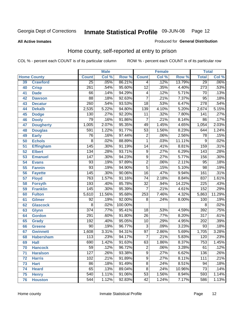#### **All Active Inmates**

#### Produced for **General Distribution**

### Home county, self-reported at entry to prison

|                 |                    |                  | <b>Male</b> |                  |                 | <b>Female</b> |        | <b>Total</b>     |                            |  |
|-----------------|--------------------|------------------|-------------|------------------|-----------------|---------------|--------|------------------|----------------------------|--|
|                 | <b>Home County</b> | <b>Count</b>     | Col %       | Row <sup>%</sup> | <b>Count</b>    | Col %         | Row %  | <b>Total</b>     | $\overline{\text{Col }^9}$ |  |
| 39              | <b>Crawford</b>    | $\overline{25}$  | .05%        | 86.21%           | 4               | .12%          | 13.79% | 29               | $.06\%$                    |  |
| 40              | <b>Crisp</b>       | $\overline{261}$ | .54%        | 95.60%           | $\overline{12}$ | .35%          | 4.40%  | $\overline{273}$ | .53%                       |  |
| 41              | <b>Dade</b>        | 66               | .14%        | 94.29%           | 4               | .12%          | 5.71%  | 70               | .13%                       |  |
| 42              | <b>Dawson</b>      | $\overline{88}$  | .18%        | 92.63%           | $\overline{7}$  | .21%          | 7.37%  | $\overline{95}$  | .18%                       |  |
| 43              | <b>Decatur</b>     | $\overline{260}$ | .54%        | 93.53%           | $\overline{18}$ | .53%          | 6.47%  | $\overline{278}$ | .54%                       |  |
| 44              | <b>Dekalb</b>      | 2,535            | 5.22%       | 94.80%           | 139             | 4.10%         | 5.20%  | 2,674            | 5.15%                      |  |
| 45              | <b>Dodge</b>       | 130              | .27%        | 92.20%           | $\overline{11}$ | .32%          | 7.80%  | 141              | .27%                       |  |
| 46              | <b>Dooly</b>       | 79               | .16%        | 91.86%           | $\overline{7}$  | .21%          | 8.14%  | 86               | .17%                       |  |
| 47              | <b>Dougherty</b>   | 1,005            | 2.07%       | 95.35%           | 49              | 1.45%         | 4.65%  | 1,054            | 2.03%                      |  |
| 48              | <b>Douglas</b>     | 591              | 1.22%       | 91.77%           | $\overline{53}$ | 1.56%         | 8.23%  | 644              | 1.24%                      |  |
| 49              | <b>Early</b>       | 76               | .16%        | 97.44%           | $\overline{2}$  | .06%          | 2.56%  | $\overline{78}$  | .15%                       |  |
| 50              | <b>Echols</b>      | $\overline{8}$   | .02%        | 88.89%           | $\mathbf 1$     | .03%          | 11.11% | 9                | .02%                       |  |
| $\overline{51}$ | <b>Effingham</b>   | 145              | .30%        | 91.19%           | $\overline{14}$ | .41%          | 8.81%  | 159              | .31%                       |  |
| 52              | <b>Elbert</b>      | 134              | .28%        | 93.71%           | 9               | .27%          | 6.29%  | $\overline{143}$ | .28%                       |  |
| 53              | <b>Emanuel</b>     | 147              | .30%        | 94.23%           | $\overline{9}$  | .27%          | 5.77%  | 156              | .30%                       |  |
| 54              | <b>Evans</b>       | 93               | .19%        | 97.89%           | $\overline{2}$  | .06%          | 2.11%  | $\overline{95}$  | .18%                       |  |
| 55              | <b>Fannin</b>      | 93               | .19%        | 94.90%           | $\overline{5}$  | .15%          | 5.10%  | 98               | .19%                       |  |
| 56              | <b>Fayette</b>     | 145              | .30%        | 90.06%           | $\overline{16}$ | .47%          | 9.94%  | 161              | .31%                       |  |
| 57              | <b>Floyd</b>       | 763              | 1.57%       | 91.16%           | $\overline{74}$ | 2.18%         | 8.84%  | 837              | 1.61%                      |  |
| 58              | <b>Forsyth</b>     | 193              | .40%        | 85.78%           | $\overline{32}$ | .94%          | 14.22% | 225              | .43%                       |  |
| 59              | <b>Franklin</b>    | 145              | .30%        | 95.39%           | 7               | .21%          | 4.61%  | $\overline{152}$ | .29%                       |  |
| 60              | <b>Fulton</b>      | 5,610            | 11.56%      | 95.68%           | 253             | 7.46%         | 4.32%  | 5,863            | 11.29%                     |  |
| 61              | Gilmer             | 92               | .19%        | 92.00%           | 8               | .24%          | 8.00%  | 100              | .19%                       |  |
| 62              | <b>Glascock</b>    | $\overline{8}$   | .02%        | 100.00%          |                 |               |        | $\overline{8}$   | .02%                       |  |
| 63              | <b>Glynn</b>       | $\overline{374}$ | .77%        | 95.41%           | $\overline{18}$ | .53%          | 4.59%  | 392              | .75%                       |  |
| 64              | <b>Gordon</b>      | 291              | .60%        | 91.80%           | $\overline{26}$ | .77%          | 8.20%  | $\overline{317}$ | .61%                       |  |
| 65              | <b>Grady</b>       | 192              | .40%        | 95.05%           | $\overline{10}$ | .29%          | 4.95%  | $\overline{202}$ | .39%                       |  |
| 66              | <b>Greene</b>      | $\overline{90}$  | .19%        | 96.77%           | $\overline{3}$  | .09%          | 3.23%  | $\overline{93}$  | .18%                       |  |
| 67              | <b>Gwinnett</b>    | 1,608            | 3.31%       | 94.31%           | $\overline{97}$ | 2.86%         | 5.69%  | 1,705            | 3.28%                      |  |
| 68              | <b>Habersham</b>   | 113              | .23%        | 94.17%           | $\overline{7}$  | .21%          | 5.83%  | 120              | .23%                       |  |
| 69              | <b>Hall</b>        | 690              | 1.42%       | 91.63%           | 63              | 1.86%         | 8.37%  | 753              | 1.45%                      |  |
| 70              | <b>Hancock</b>     | 59               | .12%        | 96.72%           | 2               | .06%          | 3.28%  | 61               | .12%                       |  |
| 71              | <b>Haralson</b>    | 127              | .26%        | 93.38%           | $\overline{9}$  | .27%          | 6.62%  | 136              | .26%                       |  |
| 72              | <b>Harris</b>      | 102              | .21%        | 91.89%           | $\overline{9}$  | .27%          | 8.11%  | 111              | .21%                       |  |
| 73              | <b>Hart</b>        | $\overline{86}$  | .18%        | 91.49%           | $\overline{8}$  | .24%          | 8.51%  | 94               | .18%                       |  |
| 74              | <b>Heard</b>       | 65               | .13%        | 89.04%           | $\overline{8}$  | .24%          | 10.96% | $\overline{73}$  | .14%                       |  |
| 75              | <b>Henry</b>       | 540              | 1.11%       | 91.06%           | $\overline{53}$ | 1.56%         | 8.94%  | 593              | 1.14%                      |  |
| 76              | <b>Houston</b>     | $\overline{544}$ | 1.12%       | 92.83%           | $\overline{42}$ | 1.24%         | 7.17%  | 586              | 1.13%                      |  |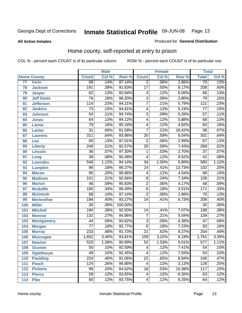#### **All Active Inmates**

#### Produced for **General Distribution**

### Home county, self-reported at entry to prison

|                 |                    |                  | <b>Male</b> |         |                 | <b>Female</b> |        | <b>Total</b>     |       |
|-----------------|--------------------|------------------|-------------|---------|-----------------|---------------|--------|------------------|-------|
|                 | <b>Home County</b> | <b>Count</b>     | Col %       | Row %   | <b>Count</b>    | Col %         | Row %  | <b>Total</b>     | Col % |
| $\overline{77}$ | <b>Irwin</b>       | 68               | .14%        | 97.14%  | $\overline{2}$  | .06%          | 2.86%  | $\overline{70}$  | .13%  |
| 78              | <b>Jackson</b>     | 191              | .39%        | 91.83%  | $\overline{17}$ | .50%          | 8.17%  | $\overline{208}$ | .40%  |
| 79              | <b>Jasper</b>      | 62               | .13%        | 93.94%  | 4               | .12%          | 6.06%  | 66               | .13%  |
| 80              | <b>Jeff Davis</b>  | $\overline{76}$  | .16%        | 96.20%  | $\overline{3}$  | .09%          | 3.80%  | 79               | .15%  |
| 81              | <b>Jefferson</b>   | 114              | .23%        | 94.21%  | $\overline{7}$  | .21%          | 5.79%  | 121              | .23%  |
| 82              | <b>Jenkins</b>     | $\overline{73}$  | .15%        | 94.81%  | 4               | .12%          | 5.19%  | $\overline{77}$  | .15%  |
| 83              | <b>Johnson</b>     | $\overline{54}$  | .11%        | 94.74%  | $\overline{3}$  | .09%          | 5.26%  | $\overline{57}$  | .11%  |
| 84              | <b>Jones</b>       | 64               | .13%        | 94.12%  | $\overline{4}$  | .12%          | 5.88%  | 68               | .13%  |
| 85              | <b>Lamar</b>       | $\overline{79}$  | .16%        | 95.18%  | 4               | .12%          | 4.82%  | $\overline{83}$  | .16%  |
| 86              | <b>Lanier</b>      | $\overline{31}$  | .06%        | 81.58%  | 7               | .21%          | 18.42% | $\overline{38}$  | .07%  |
| 87              | <b>Laurens</b>     | $\overline{311}$ | .64%        | 93.96%  | $\overline{20}$ | .59%          | 6.04%  | 331              | .64%  |
| 88              | <b>Lee</b>         | 65               | .13%        | 97.01%  | $\overline{2}$  | .06%          | 2.99%  | 67               | .13%  |
| 89              | <b>Liberty</b>     | $\overline{249}$ | .51%        | 92.57%  | $\overline{20}$ | .59%          | 7.43%  | 269              | .52%  |
| 90              | <b>Lincoln</b>     | $\overline{36}$  | .07%        | 97.30%  | 1               | .03%          | 2.70%  | $\overline{37}$  | .07%  |
| 91              | Long               | $\overline{38}$  | .08%        | 90.48%  | 4               | .12%          | 9.52%  | $\overline{42}$  | .08%  |
| 92              | <b>Lowndes</b>     | $\overline{546}$ | 1.12%       | 94.14%  | $\overline{34}$ | 1.00%         | 5.86%  | 580              | 1.12% |
| 93              | <b>Lumpkin</b>     | $\overline{88}$  | .18%        | 86.27%  | $\overline{14}$ | .41%          | 13.73% | 102              | .20%  |
| 94              | <b>Macon</b>       | $\overline{95}$  | .20%        | 95.96%  | 4               | .12%          | 4.04%  | 99               | .19%  |
| 95              | <b>Madison</b>     | 101              | .21%        | 92.66%  | $\overline{8}$  | .24%          | 7.34%  | 109              | .21%  |
| 96              | <b>Marion</b>      | $\overline{46}$  | .09%        | 95.83%  | $\overline{2}$  | .06%          | 4.17%  | $\overline{48}$  | .09%  |
| 97              | <b>Mcduffie</b>    | 165              | .34%        | 96.49%  | $\overline{6}$  | .18%          | 3.51%  | 171              | .33%  |
| 98              | <b>Mcintosh</b>    | $\overline{68}$  | .14%        | 97.14%  | $\overline{2}$  | .06%          | 2.86%  | $\overline{70}$  | .13%  |
| 99              | <b>Meriwether</b>  | 194              | .40%        | 93.27%  | $\overline{14}$ | .41%          | 6.73%  | $\overline{208}$ | .40%  |
| 100             | <b>Miller</b>      | $\overline{30}$  | .06%        | 100.00% |                 |               |        | $\overline{30}$  | .06%  |
| 101             | <b>Mitchell</b>    | 184              | .38%        | 92.93%  | 14              | .41%          | 7.07%  | 198              | .38%  |
| 102             | <b>Monroe</b>      | 132              | .27%        | 94.96%  | $\overline{7}$  | .21%          | 5.04%  | 139              | .27%  |
| 103             | <b>Montgomery</b>  | 44               | .09%        | 93.62%  | $\overline{3}$  | .09%          | 6.38%  | 47               | .09%  |
| 104             | <b>Morgan</b>      | $\overline{77}$  | .16%        | 92.77%  | $\overline{6}$  | .18%          | 7.23%  | $\overline{83}$  | .16%  |
| 105             | <b>Murray</b>      | 233              | .48%        | 91.73%  | $\overline{21}$ | .62%          | 8.27%  | 254              | .49%  |
| 106             | <b>Muscogee</b>    | 1,652            | 3.40%       | 93.81%  | 109             | 3.22%         | 6.19%  | 1,761            | 3.39% |
| 107             | <b>Newton</b>      | 525              | 1.08%       | 90.99%  | $\overline{52}$ | 1.53%         | 9.01%  | 577              | 1.11% |
| 108             | <b>Oconee</b>      | 50               | .10%        | 92.59%  | 4               | .12%          | 7.41%  | 54               | .10%  |
| 109             | <b>Oglethorpe</b>  | 49               | .10%        | 92.45%  | 4               | .12%          | 7.55%  | $\overline{53}$  | .10%  |
| 110             | <b>Paulding</b>    | $\overline{224}$ | .46%        | 91.06%  | $\overline{22}$ | .65%          | 8.94%  | $\overline{246}$ | .47%  |
| 111             | <b>Peach</b>       | 124              | .26%        | 96.88%  | 4               | .12%          | 3.13%  | 128              | .25%  |
| 112             | <b>Pickens</b>     | 99               | .20%        | 84.62%  | $\overline{18}$ | .53%          | 15.38% | 117              | .23%  |
| 113             | <b>Pierce</b>      | $\overline{59}$  | .12%        | 93.65%  | 4               | .12%          | 6.35%  | 63               | .12%  |
| 114             | <b>Pike</b>        | 60               | .12%        | 93.75%  | 4               | .12%          | 6.25%  | 64               | .12%  |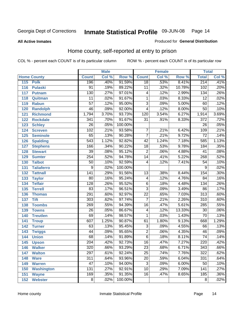#### **All Active Inmates**

#### Produced for **General Distribution**

### Home county, self-reported at entry to prison

|     |                    |                  | <b>Male</b> |         |                 | <b>Female</b> |        | <b>Total</b>     |       |
|-----|--------------------|------------------|-------------|---------|-----------------|---------------|--------|------------------|-------|
|     | <b>Home County</b> | <b>Count</b>     | Col %       | Row %   | <b>Count</b>    | Col %         | Row %  | <b>Total</b>     | Col % |
| 115 | <b>Polk</b>        | 196              | .40%        | 91.59%  | $\overline{18}$ | .53%          | 8.41%  | 214              | .41%  |
| 116 | <b>Pulaski</b>     | $\overline{91}$  | .19%        | 89.22%  | $\overline{11}$ | .32%          | 10.78% | 102              | .20%  |
| 117 | <b>Putnam</b>      | 130              | .27%        | 97.01%  | 4               | .12%          | 2.99%  | 134              | .26%  |
| 118 | Quitman            | $\overline{11}$  | .02%        | 91.67%  | $\mathbf 1$     | .03%          | 8.33%  | $\overline{12}$  | .02%  |
| 119 | <b>Rabun</b>       | $\overline{57}$  | .12%        | 95.00%  | $\overline{3}$  | .09%          | 5.00%  | 60               | .12%  |
| 120 | <b>Randolph</b>    | $\overline{46}$  | .09%        | 92.00%  | $\overline{4}$  | .12%          | 8.00%  | $\overline{50}$  | .10%  |
| 121 | <b>Richmond</b>    | 1,794            | 3.70%       | 93.73%  | 120             | 3.54%         | 6.27%  | 1,914            | 3.69% |
| 122 | <b>Rockdale</b>    | 341              | .70%        | 91.67%  | $\overline{31}$ | .91%          | 8.33%  | $\overline{372}$ | .72%  |
| 123 | <b>Schley</b>      | $\overline{26}$  | .05%        | 100.00% |                 |               |        | $\overline{26}$  | .05%  |
| 124 | <b>Screven</b>     | 102              | .21%        | 93.58%  | 7               | .21%          | 6.42%  | 109              | .21%  |
| 125 | <b>Seminole</b>    | 65               | .13%        | 90.28%  | $\overline{7}$  | .21%          | 9.72%  | $\overline{72}$  | .14%  |
| 126 | <b>Spalding</b>    | $\overline{543}$ | 1.12%       | 92.82%  | $\overline{42}$ | 1.24%         | 7.18%  | 585              | 1.13% |
| 127 | <b>Stephens</b>    | 166              | .34%        | 90.22%  | $\overline{18}$ | .53%          | 9.78%  | 184              | .35%  |
| 128 | <b>Stewart</b>     | $\overline{39}$  | .08%        | 95.12%  | $\overline{2}$  | .06%          | 4.88%  | $\overline{41}$  | .08%  |
| 129 | <b>Sumter</b>      | 254              | .52%        | 94.78%  | $\overline{14}$ | .41%          | 5.22%  | 268              | .52%  |
| 130 | <b>Talbot</b>      | $\overline{50}$  | .10%        | 92.59%  | 4               | .12%          | 7.41%  | $\overline{54}$  | .10%  |
| 131 | <b>Taliaferro</b>  | 9                | .02%        | 100.00% |                 |               |        | 9                | .02%  |
| 132 | <b>Tattnall</b>    | $\overline{141}$ | .29%        | 91.56%  | $\overline{13}$ | .38%          | 8.44%  | 154              | .30%  |
| 133 | <b>Taylor</b>      | $\overline{80}$  | .16%        | 95.24%  | 4               | .12%          | 4.76%  | 84               | .16%  |
| 134 | <b>Telfair</b>     | $\overline{128}$ | .26%        | 95.52%  | $\overline{6}$  | .18%          | 4.48%  | 134              | .26%  |
| 135 | <b>Terrell</b>     | $\overline{83}$  | .17%        | 96.51%  | $\overline{3}$  | .09%          | 3.49%  | 86               | .17%  |
| 136 | <b>Thomas</b>      | 291              | .60%        | 92.97%  | $\overline{22}$ | .65%          | 7.03%  | $\overline{313}$ | .60%  |
| 137 | <b>Tift</b>        | $\overline{303}$ | .62%        | 97.74%  | $\overline{7}$  | .21%          | 2.26%  | 310              | .60%  |
| 138 | <b>Toombs</b>      | 269              | .55%        | 94.39%  | $\overline{16}$ | .47%          | 5.61%  | 285              | .55%  |
| 139 | <b>Towns</b>       | $\overline{26}$  | .05%        | 86.67%  | 4               | .12%          | 13.33% | 30               | .06%  |
| 140 | <b>Treutlen</b>    | 69               | .14%        | 98.57%  | 1               | .03%          | 1.43%  | $\overline{70}$  | .13%  |
| 141 | <b>Troup</b>       | 607              | 1.25%       | 90.87%  | 61              | 1.80%         | 9.13%  | 668              | 1.29% |
| 142 | <b>Turner</b>      | 63               | .13%        | 95.45%  | $\overline{3}$  | .09%          | 4.55%  | 66               | .13%  |
| 143 | <b>Twiggs</b>      | 44               | .09%        | 95.65%  | $\overline{2}$  | .06%          | 4.35%  | 46               | .09%  |
| 144 | <b>Union</b>       | 68               | .14%        | 91.89%  | $\overline{6}$  | .18%          | 8.11%  | $\overline{74}$  | .14%  |
| 145 | <b>Upson</b>       | $\overline{204}$ | .42%        | 92.73%  | $\overline{16}$ | .47%          | 7.27%  | 220              | .42%  |
| 146 | <b>Walker</b>      | $\overline{320}$ | .66%        | 93.29%  | $\overline{23}$ | .68%          | 6.71%  | $\overline{343}$ | .66%  |
| 147 | <b>Walton</b>      | 297              | .61%        | 92.24%  | $\overline{25}$ | .74%          | 7.76%  | 322              | .62%  |
| 148 | <b>Ware</b>        | $\overline{311}$ | .64%        | 93.96%  | $\overline{20}$ | .59%          | 6.04%  | 331              | .64%  |
| 149 | <b>Warren</b>      | 47               | .10%        | 94.00%  | $\overline{3}$  | .09%          | 6.00%  | 50               | .10%  |
| 150 | <b>Washington</b>  | 131              | .27%        | 92.91%  | $\overline{10}$ | .29%          | 7.09%  | 141              | .27%  |
| 151 | <b>Wayne</b>       | 169              | .35%        | 91.35%  | $\overline{16}$ | .47%          | 8.65%  | 185              | .36%  |
| 152 | <b>Webster</b>     | $\overline{8}$   | .02%        | 100.00% |                 |               |        | 8                | .02%  |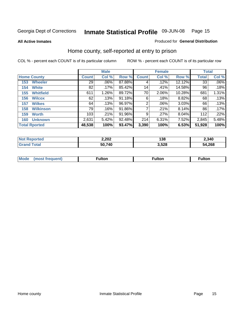**All Active Inmates**

#### Produced for **General Distribution**

### Home county, self-reported at entry to prison

|                    |                      | <b>Male</b>  |       |           |              | <b>Female</b> |          | <b>Total</b> |         |
|--------------------|----------------------|--------------|-------|-----------|--------------|---------------|----------|--------------|---------|
| <b>Home County</b> |                      | <b>Count</b> | Col % | Row %     | <b>Count</b> | Col %         | Row %    | <b>Total</b> | Col %   |
| 153                | <b>Wheeler</b>       | 29           | .06%  | 87.88%    | 4            | .12%          | 12.12%   | 33           | $.06\%$ |
| 154                | <b>White</b>         | 82           | .17%  | 85.42%    | 14           | .41%          | 14.58%   | 96           | .18%    |
| 155                | <b>Whitfield</b>     | 611          | 1.26% | 89.72%    | 70           | 2.06%         | 10.28%   | 681          | 1.31%   |
| 156                | <b>Wilcox</b>        | 62           | .13%  | $91.18\%$ | 6            | .18%          | 8.82%    | 68           | .13%    |
| 157                | <b>Wilkes</b>        | 64           | .13%  | 96.97%    | 2            | .06%          | $3.03\%$ | 66           | .13%    |
| 158                | <b>Wilkinson</b>     | 79           | .16%  | 91.86%    | 7            | .21%          | 8.14%    | 86           | .17%    |
| 159                | <b>Worth</b>         | 103          | .21%  | 91.96%    | 9            | .27%          | 8.04%    | 112          | .22%    |
| 160                | <b>Unknown</b>       | 2,631        | 5.42% | 92.48%    | 214          | 6.31%         | 7.52%    | 2,845        | 5.48%   |
|                    | <b>Total Rported</b> | 48,538       | 100%  | 93.47%    | 3,390        | 100%          | 6.53%    | 51,928       | 100%    |

| oorted<br>NO: | 2,202  | 138  | 2,340       |
|---------------|--------|------|-------------|
| 'ota.<br>. Gr | 50,740 | 528ء | 4,268<br>מי |

| <b>Mode</b> | ---<br>.tor | <b>ulton</b> | . |
|-------------|-------------|--------------|---|
|             |             |              |   |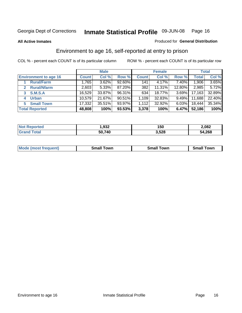#### **All Active Inmates**

#### Produced for **General Distribution**

### Environment to age 16, self-reported at entry to prison

|                              | <b>Male</b>  |        |           | <b>Female</b> |        |          | <b>Total</b> |        |
|------------------------------|--------------|--------|-----------|---------------|--------|----------|--------------|--------|
| <b>Environment to age 16</b> | <b>Count</b> | Col %  | Row %     | <b>Count</b>  | Col %  | Row %    | <b>Total</b> | Col %  |
| <b>Rural/Farm</b>            | 1.765        | 3.62%  | $92.60\%$ | 141           | 4.17%  | 7.40%    | 1,906        | 3.65%  |
| <b>Rural/Nfarm</b>           | 2,603        | 5.33%  | 87.20%    | 382           | 11.31% | 12.80%   | 2,985        | 5.72%  |
| <b>S.M.S.A</b><br>3          | 16,529       | 33.87% | 96.31%    | 634           | 18.77% | $3.69\%$ | 17,163       | 32.89% |
| <b>Urban</b><br>4            | 10,579       | 21.67% | 90.51%    | 1,109         | 32.83% | $9.49\%$ | 11,688       | 22.40% |
| <b>Small Town</b><br>5.      | 17,332       | 35.51% | 93.97%    | 1,112         | 32.92% | $6.03\%$ | 18,444       | 35.34% |
| <b>Total Reported</b>        | 48,808       | 100%   | 93.53%    | 3,378         | 100%   | 6.47%    | 52,186       | 100%   |

| Reported<br><b>Not</b> | 932. ا | 150   | 2,082  |
|------------------------|--------|-------|--------|
| ™otal                  | 50,740 | 3,528 | 54,268 |

| <b>Mode</b><br>requent)<br>. | owr<br>imall | <b>Smal</b><br>owr | <b>TOW</b> |
|------------------------------|--------------|--------------------|------------|
|                              |              |                    |            |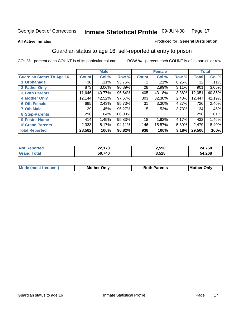#### **All Active Inmates**

#### Produced for **General Distribution**

### Guardian status to age 16, self-reported at entry to prison

|                                  |              | <b>Male</b> |         |              | <b>Female</b> |          |        | <b>Total</b> |
|----------------------------------|--------------|-------------|---------|--------------|---------------|----------|--------|--------------|
| <b>Guardian Status To Age 16</b> | <b>Count</b> | Col %       | Row %   | <b>Count</b> | Col %         | Row %    | Total  | Col %        |
| 1 Orphanage                      | 30           | .11%        | 93.75%  | 2            | .21%          | 6.25%    | 32     | .11%         |
| 2 Father Only                    | 873          | 3.06%       | 96.89%  | 28           | 2.99%         | 3.11%    | 901    | 3.05%        |
| <b>3 Both Parents</b>            | 11,646       | 40.77%      | 96.64%  | 405          | 43.18%        | $3.36\%$ | 12,051 | 40.85%       |
| <b>4 Mother Only</b>             | 12,144       | 42.52%      | 97.57%  | 303          | 32.30%        | 2.43%    | 12,447 | 42.19%       |
| <b>6 Oth Female</b>              | 695          | 2.43%       | 95.73%  | 31           | 3.30%         | 4.27%    | 726    | 2.46%        |
| <b>7 Oth Male</b>                | 129          | .45%        | 96.27%  | 5            | .53%          | 3.73%    | 134    | .45%         |
| 8 Step-Parents                   | 298          | 1.04%       | 100.00% |              |               |          | 298    | 1.01%        |
| 9 Foster Home                    | 414          | 1.45%       | 95.83%  | 18           | 1.92%         | 4.17%    | 432    | 1.46%        |
| <b>10 Grand Parents</b>          | 2,333        | 8.17%       | 94.11%  | 146          | 15.57%        | 5.89%    | 2,479  | $8.40\%$     |
| <b>Total Reported</b>            | 28,562       | 100%        | 96.82%  | 938          | 100%          | 3.18%    | 29,500 | 100%         |

| NO. | $\rightarrow$<br><i></i> | 2,590 | ,768<br>,4 |
|-----|--------------------------|-------|------------|
| Gr  | 50,740                   | 3,528 | 54,268     |

| <b>Mode</b>           | วทIง | 'arents | <b>I</b> Mother |
|-----------------------|------|---------|-----------------|
| hחםו וחב <sup>י</sup> | M/   |         | Only            |
|                       |      |         |                 |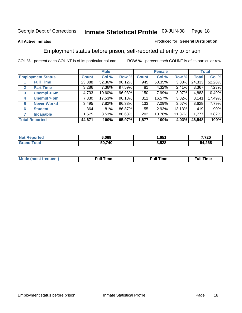#### **All Active Inmates**

#### Produced for **General Distribution**

### Employment status before prison, self-reported at entry to prison

|              |                          | <b>Male</b>  |        |        | <b>Female</b>    |          |        | <b>Total</b> |         |
|--------------|--------------------------|--------------|--------|--------|------------------|----------|--------|--------------|---------|
|              | <b>Employment Status</b> | <b>Count</b> | Col %  | Row %  | <b>Count</b>     | Col %    | Row %  | Total        | Col %   |
|              | <b>Full Time</b>         | 23,388       | 52.36% | 96.12% | $\overline{945}$ | 50.35%   | 3.88%  | 24,333       | 52.28%  |
| $\mathbf{2}$ | <b>Part Time</b>         | 3,286        | 7.36%  | 97.59% | 81               | $4.32\%$ | 2.41%  | 3,367        | 7.23%   |
| 3            | Unempl $<$ 6m            | 4,733        | 10.60% | 96.93% | 150              | 7.99%    | 3.07%  | 4,883        | 10.49%  |
| 4            | Unempl > 6m              | 7,830        | 17.53% | 96.18% | 311              | 16.57%   | 3.82%  | 8,141        | 17.49%  |
| 5            | <b>Never Workd</b>       | 3,495        | 7.82%  | 96.33% | 133              | 7.09%    | 3.67%  | 3,628        | 7.79%   |
| 6            | <b>Student</b>           | 364          | .81%   | 86.87% | 55               | 2.93%    | 13.13% | 419          | $.90\%$ |
|              | <b>Incapable</b>         | 1,575        | 3.53%  | 88.63% | 202              | 10.76%   | 11.37% | 1,777        | 3.82%   |
|              | <b>Total Reported</b>    | 44,671       | 100%   | 95.97% | 1,877            | 100%     | 4.03%  | 46,548       | 100%    |

| ortec       | 6,069  | 651          | 7,720      |
|-------------|--------|--------------|------------|
| <b>Cars</b> | 50.740 | 3,528<br>- - | .268<br>54 |

| <b>M</b> ດ | the contract of the contract of the contract of the contract of the contract of the contract of the contract of | the contract of the contract of the contract of the contract of the contract of the contract of the contract of | ----<br><b>Full Time</b> |
|------------|-----------------------------------------------------------------------------------------------------------------|-----------------------------------------------------------------------------------------------------------------|--------------------------|
|            |                                                                                                                 |                                                                                                                 |                          |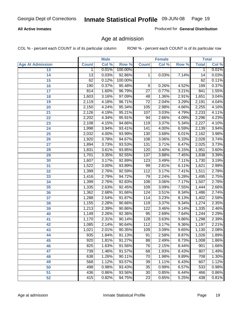#### **All Active Inmates**

Produced for **General Distribution**

### Age at admission

|                         |                 | <b>Male</b> |         |                 | <b>Female</b> |       |              | <b>Total</b> |
|-------------------------|-----------------|-------------|---------|-----------------|---------------|-------|--------------|--------------|
| <b>Age At Admission</b> | <b>Count</b>    | Col %       | Row %   | <b>Count</b>    | Col %         | Row % | <b>Total</b> | Col %        |
| 13                      | $\mathbf{1}$    | 0.01%       | 100.00% |                 |               |       | 1            | 0.01%        |
| 14                      | $\overline{13}$ | 0.03%       | 92.86%  | 1               | 0.03%         | 7.14% | 14           | 0.03%        |
| 15                      | 62              | 0.12%       | 100.00% |                 |               |       | 62           | 0.11%        |
| 16                      | 190             | 0.37%       | 95.48%  | 9               | 0.26%         | 4.52% | 199          | 0.37%        |
| $\overline{17}$         | 814             | 1.60%       | 96.79%  | $\overline{27}$ | 0.77%         | 3.21% | 841          | 1.55%        |
| 18                      | 1,603           | 3.16%       | 97.09%  | 48              | 1.36%         | 2.91% | 1,651        | 3.04%        |
| 19                      | 2,119           | 4.18%       | 96.71%  | $\overline{72}$ | 2.04%         | 3.29% | 2,191        | 4.04%        |
| 20                      | 2,150           | 4.24%       | 95.34%  | 105             | 2.98%         | 4.66% | 2,255        | 4.16%        |
| 21                      | 2,126           | 4.19%       | 95.21%  | 107             | 3.03%         | 4.79% | 2,233        | 4.11%        |
| 22                      | 2,202           | 4.34%       | 95.91%  | 94              | 2.66%         | 4.09% | 2,296        | 4.23%        |
| 23                      | 2,108           | 4.15%       | 94.66%  | 119             | 3.37%         | 5.34% | 2,227        | 4.10%        |
| 24                      | 1,998           | 3.94%       | 93.41%  | 141             | 4.00%         | 6.59% | 2,139        | 3.94%        |
| $\overline{25}$         | 2,032           | 4.00%       | 93.99%  | 130             | 3.68%         | 6.01% | 2,162        | 3.98%        |
| 26                      | 1,920           | 3.78%       | 94.67%  | 108             | 3.06%         | 5.33% | 2,028        | 3.74%        |
| 27                      | 1,894           | 3.73%       | 93.53%  | 131             | 3.71%         | 6.47% | 2,025        | 3.73%        |
| 28                      | 1,831           | 3.61%       | 93.85%  | 120             | 3.40%         | 6.15% | 1,951        | 3.60%        |
| 29                      | 1,701           | 3.35%       | 92.55%  | 137             | 3.88%         | 7.45% | 1,838        | 3.39%        |
| 30                      | 1,607           | 3.17%       | 92.89%  | 123             | 3.49%         | 7.11% | 1,730        | 3.19%        |
| 31                      | 1,522           | 3.00%       | 93.89%  | 99              | 2.81%         | 6.11% | 1,621        | 2.99%        |
| 32                      | 1,399           | 2.76%       | 92.59%  | 112             | 3.17%         | 7.41% | 1,511        | 2.78%        |
| 33                      | 1,416           | 2.79%       | 94.72%  | 79              | 2.24%         | 5.28% | 1,495        | 2.75%        |
| 34                      | 1,399           | 2.76%       | 92.83%  | 108             | 3.06%         | 7.17% | 1,507        | 2.78%        |
| 35                      | 1,335           | 2.63%       | 92.45%  | 109             | 3.09%         | 7.55% | 1,444        | 2.66%        |
| 36                      | 1,362           | 2.68%       | 91.66%  | 124             | 3.51%         | 8.34% | 1,486        | 2.74%        |
| 37                      | 1,288           | 2.54%       | 91.87%  | 114             | 3.23%         | 8.13% | 1,402        | 2.58%        |
| 38                      | 1,155           | 2.28%       | 90.66%  | 119             | 3.37%         | 9.34% | 1,274        | 2.35%        |
| 39                      | 1,213           | 2.39%       | 90.86%  | 122             | 3.46%         | 9.14% | 1,335        | 2.46%        |
| 40                      | 1,149           | 2.26%       | 92.36%  | 95              | 2.69%         | 7.64% | 1,244        | 2.29%        |
| 41                      | 1,170           | 2.31%       | 90.14%  | 128             | 3.63%         | 9.86% | 1,298        | 2.39%        |
| 42                      | 1,085           | 2.14%       | 90.64%  | 112             | 3.17%         | 9.36% | 1,197        | 2.21%        |
| 43                      | 1,021           | 2.01%       | 90.35%  | 109             | 3.09%         | 9.65% | 1,130        | 2.08%        |
| 44                      | 935             | 1.84%       | 91.13%  | 91              | 2.58%         | 8.87% | 1,026        | 1.89%        |
| 45                      | 920             | 1.81%       | 91.27%  | 88              | 2.49%         | 8.73% | 1,008        | 1.86%        |
| 46                      | 825             | 1.63%       | 91.56%  | 76              | 2.15%         | 8.44% | 901          | 1.66%        |
| 47                      | 739             | 1.46%       | 91.57%  | 68              | 1.93%         | 8.43% | 807          | 1.49%        |
| 48                      | 638             | 1.26%       | 90.11%  | 70              | 1.98%         | 9.89% | 708          | 1.30%        |
| 49                      | 568             | 1.12%       | 93.57%  | 39              | 1.11%         | 6.43% | 607          | 1.12%        |
| 50                      | 498             | 0.98%       | 93.43%  | 35              | 0.99%         | 6.57% | 533          | 0.98%        |
| 51                      | 436             | 0.86%       | 93.56%  | $\overline{30}$ | 0.85%         | 6.44% | 466          | 0.86%        |
| 52                      | 415             | 0.82%       | 94.75%  | 23              | 0.65%         | 5.25% | 438          | 0.81%        |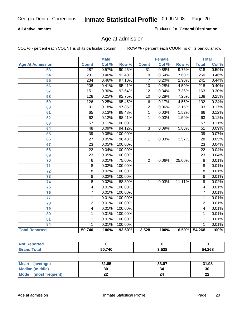#### **All Active Inmates**

Produced for **General Distribution**

### Age at admission

|                         | <b>Male</b>      |       | <b>Female</b> |                 |       | <b>Total</b> |                  |       |
|-------------------------|------------------|-------|---------------|-----------------|-------|--------------|------------------|-------|
| <b>Age At Admission</b> | <b>Count</b>     | Col % | Row %         | <b>Count</b>    | Col % | Row %        | <b>Total</b>     | Col % |
| 53                      | 287              | 0.57% | 90.25%        | 31              | 0.88% | 9.75%        | 318              | 0.59% |
| 54                      | 231              | 0.46% | 92.40%        | $\overline{19}$ | 0.54% | 7.60%        | 250              | 0.46% |
| $\overline{55}$         | 234              | 0.46% | 97.10%        | $\overline{7}$  | 0.20% | 2.90%        | 241              | 0.44% |
| $\overline{56}$         | $\overline{208}$ | 0.41% | 95.41%        | $\overline{10}$ | 0.28% | 4.59%        | $\overline{218}$ | 0.40% |
| $\overline{57}$         | 151              | 0.30% | 92.64%        | $\overline{12}$ | 0.34% | 7.36%        | 163              | 0.30% |
| 58                      | $\overline{128}$ | 0.25% | 92.75%        | 10              | 0.28% | 7.25%        | 138              | 0.25% |
| 59                      | 126              | 0.25% | 95.45%        | 6               | 0.17% | 4.55%        | 132              | 0.24% |
| 60                      | $\overline{91}$  | 0.18% | 97.85%        | $\overline{2}$  | 0.06% | 2.15%        | $\overline{93}$  | 0.17% |
| 61                      | 65               | 0.13% | 98.48%        | 1               | 0.03% | 1.52%        | 66               | 0.12% |
| 62                      | 62               | 0.12% | 98.41%        | 1               | 0.03% | 1.59%        | 63               | 0.12% |
| 63                      | $\overline{57}$  | 0.11% | 100.00%       |                 |       |              | $\overline{57}$  | 0.11% |
| 64                      | 48               | 0.09% | 94.12%        | $\overline{3}$  | 0.09% | 5.88%        | $\overline{51}$  | 0.09% |
| 65                      | $\overline{39}$  | 0.08% | 100.00%       |                 |       |              | $\overline{39}$  | 0.07% |
| 66                      | $\overline{27}$  | 0.05% | 96.43%        | 1               | 0.03% | 3.57%        | $\overline{28}$  | 0.05% |
| 67                      | 23               | 0.05% | 100.00%       |                 |       |              | $\overline{23}$  | 0.04% |
| 68                      | $\overline{22}$  | 0.04% | 100.00%       |                 |       |              | $\overline{22}$  | 0.04% |
| 69                      | $\overline{23}$  | 0.05% | 100.00%       |                 |       |              | $\overline{23}$  | 0.04% |
| 70                      | $\overline{6}$   | 0.01% | 75.00%        | $\overline{2}$  | 0.06% | 25.00%       | $\overline{8}$   | 0.01% |
| 71                      | $\overline{8}$   | 0.02% | 100.00%       |                 |       |              | $\overline{8}$   | 0.01% |
| $\overline{72}$         | $\overline{8}$   | 0.02% | 100.00%       |                 |       |              | $\overline{8}$   | 0.01% |
| $\overline{73}$         | $\overline{8}$   | 0.02% | 100.00%       |                 |       |              | $\overline{8}$   | 0.01% |
| $\overline{74}$         | $\overline{8}$   | 0.02% | 88.89%        | 1               | 0.03% | 11.11%       | $\overline{9}$   | 0.02% |
| $\overline{75}$         | 4                | 0.01% | 100.00%       |                 |       |              | 4                | 0.01% |
| 76                      | $\overline{7}$   | 0.01% | 100.00%       |                 |       |              | 7                | 0.01% |
| 77                      | $\mathbf{1}$     | 0.01% | 100.00%       |                 |       |              | 1                | 0.01% |
| 78                      | $\overline{2}$   | 0.01% | 100.00%       |                 |       |              | $\overline{2}$   | 0.01% |
| 79                      | $\overline{4}$   | 0.01% | 100.00%       |                 |       |              | 4                | 0.01% |
| 80                      | $\mathbf{1}$     | 0.01% | 100.00%       |                 |       |              | 1                | 0.01% |
| $\overline{81}$         | $\mathbf{1}$     | 0.01% | 100.00%       |                 |       |              | 1                | 0.01% |
| 84                      | 1                | 0.01% | 100.00%       |                 |       |              | 1                | 0.01% |
| <b>Total Reported</b>   | 50,740           | 100%  | 93.50%        | 3,528           | 100%  | 6.50%        | 54,268           | 100%  |

| <b>Not Reported</b> |        |       |        |
|---------------------|--------|-------|--------|
| <b>Grand Total</b>  | 50,740 | 3,528 | 54,268 |

| <b>Mean</b><br>(average)       | 31.85     | 33.87 | 31.98    |
|--------------------------------|-----------|-------|----------|
| <b>Median (middle)</b>         | 30        |       | 30       |
| <b>Mode</b><br>(most frequent) | <u>__</u> |       | ^^<br>44 |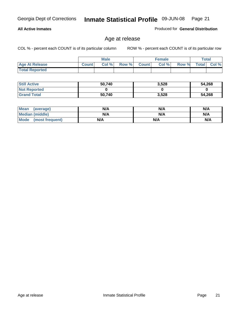#### **All Active Inmates**

Produced for **General Distribution**

### Age at release

|                       | Male         |      |       | <b>Female</b> |       |       | Total        |       |
|-----------------------|--------------|------|-------|---------------|-------|-------|--------------|-------|
| <b>Age At Release</b> | <b>Count</b> | Col% | Row % | Count         | Col % | Row % | <b>Total</b> | Col % |
| <b>Total Reported</b> |              |      |       |               |       |       |              |       |

| <b>Still Active</b> | 50,740 | 3,528 | 54,268 |
|---------------------|--------|-------|--------|
| <b>Not Reported</b> |        |       |        |
| <b>Grand Total</b>  | 50,740 | 3,528 | 54,268 |

| Mean (average)       | N/A | N/A | N/A |
|----------------------|-----|-----|-----|
| Median (middle)      | N/A | N/A | N/A |
| Mode (most frequent) | N/A | N/A | N/A |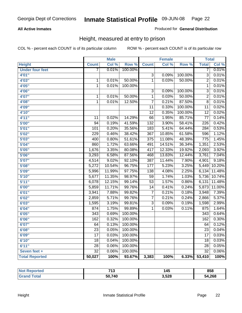#### **All Active Inmates**

#### Produced for **General Distribution**

### Height, measured at entry to prison

|                        |                  | <b>Male</b> |         |                  | <b>Female</b> |         | <b>Total</b>     |        |
|------------------------|------------------|-------------|---------|------------------|---------------|---------|------------------|--------|
| <b>Height</b>          | <b>Count</b>     | Col %       | Row %   | <b>Count</b>     | Col %         | Row %   | <b>Total</b>     | Col %  |
| <b>Under four feet</b> | 7                | 0.01%       | 100.00% |                  |               |         | 7                | 0.01%  |
| 4'01''                 |                  |             |         | $\overline{3}$   | 0.09%         | 100.00% | $\overline{3}$   | 0.01%  |
| 4'03''                 | $\mathbf 1$      | 0.01%       | 50.00%  | $\overline{1}$   | 0.03%         | 50.00%  | $\overline{2}$   | 0.01%  |
| 4'05"                  | $\overline{1}$   | 0.01%       | 100.00% |                  |               |         | $\overline{1}$   | 0.01%  |
| 4'06"                  |                  |             |         | $\overline{3}$   | 0.09%         | 100.00% | $\overline{3}$   | 0.01%  |
| 4'07"                  | $\mathbf 1$      | 0.01%       | 50.00%  | $\overline{1}$   | 0.03%         | 50.00%  | $\overline{2}$   | 0.01%  |
| 4'08"                  | 1                | 0.01%       | 12.50%  | $\overline{7}$   | 0.21%         | 87.50%  | $\overline{8}$   | 0.01%  |
| 4'09"                  |                  |             |         | $\overline{11}$  | 0.33%         | 100.00% | $\overline{11}$  | 0.02%  |
| 4'10"                  |                  |             |         | $\overline{12}$  | 0.35%         | 100.00% | $\overline{12}$  | 0.02%  |
| 4'11''                 | $\overline{11}$  | 0.02%       | 14.29%  | $\overline{66}$  | 1.95%         | 85.71%  | $\overline{77}$  | 0.14%  |
| 5'00''                 | $\overline{94}$  | 0.19%       | 41.59%  | 132              | 3.90%         | 58.41%  | 226              | 0.42%  |
| 5'01''                 | 101              | 0.20%       | 35.56%  | $\overline{183}$ | 5.41%         | 64.44%  | 284              | 0.53%  |
| 5'02''                 | $\overline{229}$ | 0.46%       | 38.42%  | 367              | 10.85%        | 61.58%  | 596              | 1.12%  |
| 5'03''                 | 400              | 0.80%       | 51.61%  | $\overline{375}$ | 11.08%        | 48.39%  | $\overline{775}$ | 1.45%  |
| 5'04''                 | 860              | 1.72%       | 63.66%  | 491              | 14.51%        | 36.34%  | 1,351            | 2.53%  |
| 5'05''                 | 1,676            | 3.35%       | 80.08%  | 417              | 12.33%        | 19.92%  | 2,093            | 3.92%  |
| 5'06''                 | 3,293            | 6.58%       | 87.56%  | 468              | 13.83%        | 12.44%  | 3,761            | 7.04%  |
| 5'07''                 | 4,514            | 9.02%       | 92.10%  | 387              | 11.44%        | 7.90%   | 4,901            | 9.18%  |
| 5'08''                 | 5,272            | 10.54%      | 96.75%  | 177              | 5.23%         | 3.25%   | 5,449            | 10.20% |
| 5'09''                 | 5,996            | 11.99%      | 97.75%  | 138              | 4.08%         | 2.25%   | 6,134            | 11.48% |
| 5'10''                 | 5,677            | 11.35%      | 98.97%  | $\overline{59}$  | 1.74%         | 1.03%   | 5,736            | 10.74% |
| 5'11''                 | 6,078            | 12.15%      | 99.14%  | $\overline{53}$  | 1.57%         | 0.86%   | 6,131            | 11.48% |
| 6'00''                 | 5,859            | 11.71%      | 99.76%  | $\overline{14}$  | 0.41%         | 0.24%   | 5,873            | 11.00% |
| 6'01''                 | 3,941            | 7.88%       | 99.82%  | $\overline{7}$   | 0.21%         | 0.18%   | 3,948            | 7.39%  |
| 6'02''                 | 2,859            | 5.71%       | 99.76%  | $\overline{7}$   | 0.21%         | 0.24%   | 2,866            | 5.37%  |
| 6'03''                 | 1,595            | 3.19%       | 99.81%  | $\overline{3}$   | 0.09%         | 0.19%   | 1,598            | 2.99%  |
| 6'04''                 | 874              | 1.75%       | 99.89%  | $\overline{1}$   | 0.03%         | 0.11%   | 875              | 1.64%  |
| 6'05''                 | $\overline{343}$ | 0.69%       | 100.00% |                  |               |         | $\overline{343}$ | 0.64%  |
| 6'06''                 | 162              | 0.32%       | 100.00% |                  |               |         | 162              | 0.30%  |
| 6'07''                 | 64               | 0.13%       | 100.00% |                  |               |         | 64               | 0.12%  |
| 6'08''                 | $\overline{23}$  | 0.05%       | 100.00% |                  |               |         | $\overline{23}$  | 0.04%  |
| 6'09''                 | $\overline{17}$  | 0.03%       | 100.00% |                  |               |         | $\overline{17}$  | 0.03%  |
| 6'10''                 | $\overline{18}$  | 0.04%       | 100.00% |                  |               |         | $\overline{18}$  | 0.03%  |
| 6'11''                 | $\overline{28}$  | 0.06%       | 100.00% |                  |               |         | $\overline{28}$  | 0.05%  |
| Seven feet +           | $\overline{32}$  | 0.06%       | 100.00% |                  |               |         | $\overline{32}$  | 0.06%  |
| <b>Total Reported</b>  | 50,027           | 100%        | 93.67%  | 3,383            | 100%          | 6.33%   | 53,410           | 100%   |

| orted | <b>742</b><br>טו ו | . .<br>145 | 858    |
|-------|--------------------|------------|--------|
| ™otal | 50,740             | 3,528      | 54,268 |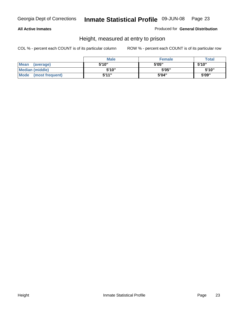#### **All Active Inmates**

Produced for **General Distribution**

### Height, measured at entry to prison

|                        | <b>Male</b> | <b>Female</b> | <b>Total</b> |
|------------------------|-------------|---------------|--------------|
| Mean (average)         | 5'10"       | 5'05"         | 5'10''       |
| <b>Median (middle)</b> | 5'10''      | 5'05"         | 5'10''       |
| Mode (most frequent)   | 5'11"       | 5'04"         | 5'09"        |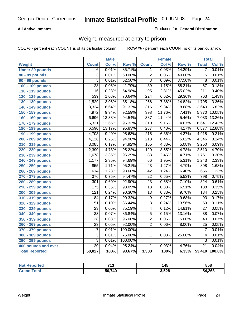#### **All Active Inmates**

#### Produced for **General Distribution**

### Weight, measured at entry to prison

|                        |                  | <b>Male</b> |         |                  | <b>Female</b> |        | <b>Total</b>     |        |
|------------------------|------------------|-------------|---------|------------------|---------------|--------|------------------|--------|
| <b>Weight</b>          | <b>Count</b>     | Col %       | Row %   | <b>Count</b>     | Col %         | Row %  | <b>Total</b>     | Col %  |
| <b>Under 80 pounds</b> | $\overline{6}$   | 0.01%       | 85.71%  | 1.               | 0.03%         | 14.29% | 7                | 0.01%  |
| 80 - 89 pounds         | $\overline{3}$   | 0.01%       | 60.00%  | $\overline{2}$   | 0.06%         | 40.00% | $\overline{5}$   | 0.01%  |
| 90 - 99 pounds         | $\overline{5}$   | 0.01%       | 62.50%  | $\overline{3}$   | 0.09%         | 37.50% | $\overline{8}$   | 0.01%  |
| 100 - 109 pounds       | $\overline{28}$  | 0.06%       | 41.79%  | $\overline{39}$  | 1.15%         | 58.21% | $\overline{67}$  | 0.13%  |
| 110 - 119 pounds       | 116              | 0.23%       | 54.98%  | $\overline{95}$  | 2.81%         | 45.02% | $\overline{211}$ | 0.40%  |
| 120 - 129 pounds       | 539              | 1.08%       | 70.64%  | $\overline{224}$ | 6.62%         | 29.36% | 763              | 1.43%  |
| 130 - 139 pounds       | 1,529            | 3.06%       | 85.18%  | 266              | 7.86%         | 14.82% | 1,795            | 3.36%  |
| 140 - 149 pounds       | 3,324            | 6.64%       | 91.32%  | $\overline{316}$ | 9.34%         | 8.68%  | 3,640            | 6.82%  |
| 150 - 159 pounds       | 4,972            | 9.94%       | 92.59%  | 398              | 11.76%        | 7.41%  | 5,370            | 10.05% |
| 160 - 169 pounds       | 6,696            | 13.38%      | 94.54%  | 387              | 11.44%        | 5.46%  | 7,083            | 13.26% |
| 170 - 179 pounds       | 6,331            | 12.66%      | 95.33%  | $\overline{310}$ | 9.16%         | 4.67%  | 6,641            | 12.43% |
| 180 - 189 pounds       | 6,590            | 13.17%      | 95.83%  | 287              | 8.48%         | 4.17%  | 6,877            | 12.88% |
| 190 - 199 pounds       | 4,703            | 9.40%       | 95.63%  | $\overline{215}$ | 6.36%         | 4.37%  | 4,918            | 9.21%  |
| 200 - 209 pounds       | 4,128            | 8.25%       | 94.98%  | $\overline{218}$ | 6.44%         | 5.02%  | 4,346            | 8.14%  |
| 210 - 219 pounds       | 3,085            | 6.17%       | 94.92%  | 165              | 4.88%         | 5.08%  | 3,250            | 6.09%  |
| 220 - 229 pounds       | 2,390            | 4.78%       | 95.22%  | $\overline{120}$ | 3.55%         | 4.78%  | 2,510            | 4.70%  |
| 230 - 239 pounds       | 1,678            | 3.35%       | 95.29%  | $\overline{83}$  | 2.45%         | 4.71%  | 1,761            | 3.30%  |
| 240 - 249 pounds       | 1,177            | 2.35%       | 94.69%  | 66               | 1.95%         | 5.31%  | 1,243            | 2.33%  |
| 250 - 259 pounds       | 855              | 1.71%       | 95.21%  | $\overline{43}$  | 1.27%         | 4.79%  | 898              | 1.68%  |
| 260 - 269 pounds       | 614              | 1.23%       | 93.60%  | $\overline{42}$  | 1.24%         | 6.40%  | 656              | 1.23%  |
| 270 - 279 pounds       | 376              | 0.75%       | 94.47%  | $\overline{22}$  | 0.65%         | 5.53%  | 398              | 0.75%  |
| 280 - 289 pounds       | 301              | 0.60%       | 92.90%  | $\overline{23}$  | 0.68%         | 7.10%  | 324              | 0.61%  |
| 290 - 299 pounds       | $\overline{175}$ | 0.35%       | 93.09%  | $\overline{13}$  | 0.38%         | 6.91%  | 188              | 0.35%  |
| 300 - 309 pounds       | $\overline{121}$ | 0.24%       | 90.30%  | $\overline{13}$  | 0.38%         | 9.70%  | 134              | 0.25%  |
| 310 - 319 pounds       | 84               | 0.17%       | 90.32%  | $\overline{9}$   | 0.27%         | 9.68%  | 93               | 0.17%  |
| 320 - 329 pounds       | $\overline{51}$  | 0.10%       | 86.44%  | $\overline{8}$   | 0.24%         | 13.56% | 59               | 0.11%  |
| 330 - 339 pounds       | $\overline{23}$  | 0.05%       | 85.19%  | $\overline{4}$   | 0.12%         | 14.81% | $\overline{27}$  | 0.05%  |
| 340 - 349 pounds       | $\overline{33}$  | 0.07%       | 86.84%  | $\overline{5}$   | 0.15%         | 13.16% | $\overline{38}$  | 0.07%  |
| 350 - 359 pounds       | $\overline{38}$  | 0.08%       | 95.00%  | $\overline{2}$   | 0.06%         | 5.00%  | 40               | 0.07%  |
| 360 - 369 pounds       | $\overline{23}$  | 0.05%       | 92.00%  | $\overline{2}$   | 0.06%         | 8.00%  | $\overline{25}$  | 0.05%  |
| 370 - 379 pounds       | $\overline{7}$   | 0.01%       | 100.00% |                  |               |        | 7                | 0.01%  |
| 380 - 389 pounds       | $\overline{3}$   | 0.01%       | 75.00%  | 1                | 0.03%         | 25.00% | 4                | 0.01%  |
| 390 - 399 pounds       | $\overline{3}$   | 0.01%       | 100.00% |                  |               |        | $\overline{3}$   | 0.01%  |
| 400 pounds and over    | $\overline{20}$  | 0.04%       | 95.24%  | 1                | 0.03%         | 4.76%  | $\overline{21}$  | 0.04%  |
| <b>Total Reported</b>  | 50,027           | 100%        | 93.67%  | 3,383            | 100%          | 6.33%  | 53,410           | 100.0% |

| orted | 740    | . .   | 858    |
|-------|--------|-------|--------|
| NO.   | ט ו    | 145   |        |
| `ota⊾ | 50,740 | 3,528 | 54,268 |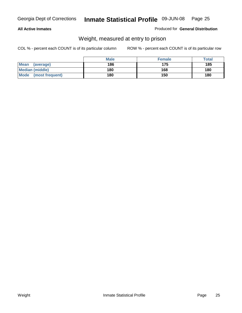#### **All Active Inmates**

#### Produced for **General Distribution**

### Weight, measured at entry to prison

|                        | <b>Male</b> | <b>Female</b> | <b>Total</b> |
|------------------------|-------------|---------------|--------------|
| Mean<br>(average)      | 186         | 175           | 185          |
| <b>Median (middle)</b> | 180         | 168           | 180          |
| Mode (most frequent)   | 180         | 150           | 180          |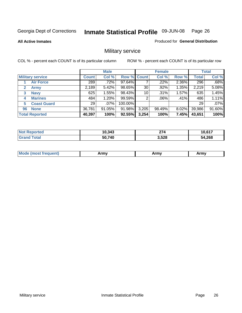**All Active Inmates**

#### Produced for **General Distribution**

### Military service

|                             |              | <b>Male</b> |                    |       | <b>Female</b> |          |              | <b>Total</b> |
|-----------------------------|--------------|-------------|--------------------|-------|---------------|----------|--------------|--------------|
| <b>Military service</b>     | <b>Count</b> | Col %       | <b>Row % Count</b> |       | Col %         | Row %    | <b>Total</b> | Col %        |
| <b>Air Force</b>            | 289          | .72%        | 97.64%             |       | .22%          | 2.36%    | 296          | .68%         |
| $\mathbf{2}$<br><b>Army</b> | 2,189        | 5.42%       | 98.65%             | 30    | .92%          | 1.35%    | 2,219        | 5.08%        |
| <b>Navy</b><br>3            | 625          | 1.55%       | 98.43%             | 10    | .31%          | 1.57%    | 635          | 1.45%        |
| <b>Marines</b><br>4         | 484          | 1.20%       | 99.59%             | 2     | $.06\%$       | .41%     | 486          | 1.11%        |
| <b>Coast Guard</b><br>5     | 29           | $.07\%$     | 100.00%            |       |               |          | 29           | .07%         |
| <b>None</b><br>96           | 36,781       | $91.05\%$   | 91.98%             | 3,205 | 98.49%        | $8.02\%$ | 39,986       | 91.60%       |
| <b>Total Reported</b>       | 40,397       | 100%        | 92.55%             | 3,254 | 100%          | 7.45%    | 43,651       | 100%         |

| <b>Reported</b><br>' N∩t | 10,343 | יי<br>214 | IN 647 |
|--------------------------|--------|-----------|--------|
| Гоtal<br><b>Grand</b>    | 50,740 | 3,528     | 54,268 |

| <b>Mou</b><br><b>Army</b><br>ATIIV<br>41U -<br>$\sim$ 1111 $\sigma$ |  |
|---------------------------------------------------------------------|--|
|---------------------------------------------------------------------|--|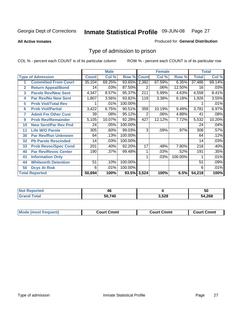#### **All Active Inmates**

#### Produced for **General Distribution**

### Type of admission to prison

|                |                             |              | <b>Male</b> |                    |     | <b>Female</b> |         |              | <b>Total</b> |
|----------------|-----------------------------|--------------|-------------|--------------------|-----|---------------|---------|--------------|--------------|
|                | <b>Type of Admission</b>    | <b>Count</b> | Col %       | <b>Row % Count</b> |     | Col %         | Row %   | <b>Total</b> | Col %        |
|                | <b>Committed From Court</b> | 35,104       | 69.25%      | 93.65% 2,382       |     | 67.59%        | 6.35%   | 37,486       | 69.14%       |
| $\overline{2}$ | <b>Return Appeal/Bond</b>   | 14           | .03%        | 87.50%             | 2   | .06%          | 12.50%  | 16           | .03%         |
| 3              | <b>Parole Rev/New Sent</b>  | 4,347        | 8.57%       | 95.37%             | 211 | 5.99%         | 4.63%   | 4,558        | 8.41%        |
| 4              | <b>Par Rev/No New Sent</b>  | 1,807        | 3.56%       | 93.82%             | 119 | 3.38%         | 6.18%   | 1,926        | 3.55%        |
| 5              | <b>Prob Viol/Total Rev</b>  |              | .01%        | 100.00%            |     |               |         |              | .01%         |
| 6              | <b>Prob Viol/Partial</b>    | 3,422        | 6.75%       | 90.51%             | 359 | 10.19%        | 9.49%   | 3,781        | 6.97%        |
| 7              | <b>Admit Fm Other Cust</b>  | 39           | .08%        | 95.12%             | 2   | .06%          | 4.88%   | 41           | .08%         |
| 9              | <b>Prob Rev/Remainder</b>   | 5,105        | 10.07%      | 92.28%             | 427 | 12.12%        | 7.72%   | 5,532        | 10.20%       |
| 10             | <b>New Sent/Par Rev Pnd</b> | 24           | .05%        | 100.00%            |     |               |         | 24           | .04%         |
| 11             | <b>Life W/O Parole</b>      | 305          | .60%        | 99.03%             | 3   | .09%          | .97%    | 308          | .57%         |
| 30             | <b>Par Rev/Rsn Unknown</b>  | 64           | .13%        | 100.00%            |     |               |         | 64           | .12%         |
| 32             | <b>Pb Parole Rescinded</b>  | 14           | .03%        | 100.00%            |     |               |         | 14           | .03%         |
| 33             | <b>Prob Revoc/Spec Cond</b> | 201          | .40%        | 92.20%             | 17  | .48%          | 7.80%   | 218          | .40%         |
| 40             | <b>Par Rev/Revoc Center</b> | 190          | .37%        | 99.48%             |     | .03%          | .52%    | 191          | .35%         |
| 41             | <b>Information Only</b>     |              |             |                    |     | .03%          | 100.00% |              | .01%         |
| 44             | <b>Whitworth Detention</b>  | 51           | .10%        | 100.00%            |     |               |         | 51           | .09%         |
| 50             | <b>Dcys At Risk</b>         | 6            | .01%        | 100.00%            |     |               |         | 6            | .01%         |
|                | <b>Total Reported</b>       | 50,694       | 100%        | 93.5% 3,524        |     | 100%          | 6.5%    | 54,218       | 100%         |

| <b>Not Reported</b> | 46     |       | 50     |
|---------------------|--------|-------|--------|
| ™otal               | 50.740 | 3,528 | 54,268 |

| <b>Mode (most frequent)</b><br><b>Court Cmmt</b><br>Court Cmmt | <b>Court Cmmt</b> |
|----------------------------------------------------------------|-------------------|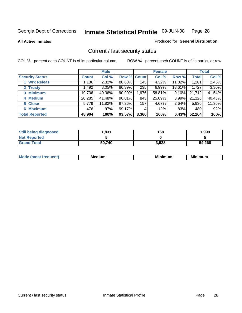**All Active Inmates**

#### Produced for **General Distribution**

### Current / last security status

|                        |              | <b>Male</b> |                    |       | <b>Female</b> |          |              | <b>Total</b> |
|------------------------|--------------|-------------|--------------------|-------|---------------|----------|--------------|--------------|
| <b>Security Status</b> | <b>Count</b> | Col %       | <b>Row % Count</b> |       | Col %         | Row %    | <b>Total</b> | Col %        |
| 1 Wrk Releas           | 1,136        | 2.32%       | 88.68%             | 145   | 4.32%         | 11.32%   | 1,281        | 2.45%        |
| 2 Trusty               | ا 492. 1     | 3.05%       | 86.39%             | 235   | 6.99%         | 13.61%   | 1,727        | 3.30%        |
| 3 Minimum              | 19,736       | 40.36%      | 90.90%             | 1,976 | 58.81%        | $9.10\%$ | 21,712       | 41.54%       |
| 4 Medium               | 20,285       | 41.48%      | 96.01%             | 843   | 25.09%        | 3.99%    | 21,128       | 40.43%       |
| 5 Close                | 5,779        | 11.82%      | 97.36%             | 157   | 4.67%         | 2.64%    | 5,936        | 11.36%       |
| 6 Maximum              | 476          | .97%        | 99.17%             | 4     | .12%          | .83%     | 480          | .92%         |
| <b>Total Reported</b>  | 48,904       | 100%        | 93.57%             | 3,360 | 100%          | 6.43%    | 52,264       | 100%         |

| <b>Still being diagnosed</b> | 831.ا  | 168   | 1,999  |
|------------------------------|--------|-------|--------|
| <b>Not Reported</b>          |        |       |        |
| <b>Grand Total</b>           | 50.740 | 3,528 | 54,268 |

| M | <br><br> | ALLAST |
|---|----------|--------|
|   |          |        |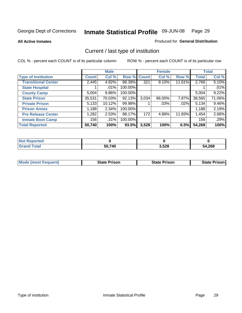**All Active Inmates**

#### Produced for **General Distribution**

### Current / last type of institution

|                            |              | <b>Male</b> |         |              | <b>Female</b> |        |              | <b>Total</b> |
|----------------------------|--------------|-------------|---------|--------------|---------------|--------|--------------|--------------|
| <b>Type of Institution</b> | <b>Count</b> | Col %       | Row %   | <b>Count</b> | Col %         | Row %  | <b>Total</b> | Col %        |
| <b>Transitional Center</b> | 2,445        | 4.82%       | 88.39%  | 321          | $9.10\%$      | 11.61% | 2,766        | 5.10%        |
| <b>State Hospital</b>      |              | .01%        | 100.00% |              |               |        |              | .01%         |
| <b>County Camp</b>         | 5,004        | $9.86\%$    | 100.00% |              |               |        | 5,004        | 9.22%        |
| <b>State Prison</b>        | 35,531       | 70.03%      | 92.13%  | 3,034        | 86.00%        | 7.87%  | 38,565       | 71.06%       |
| <b>Private Prison</b>      | 5,133        | 10.12%      | 99.98%  |              | .03%          | .02%   | 5,134        | 9.46%        |
| <b>Prison Annex</b>        | 1,188        | 2.34%       | 100.00% |              |               |        | 1,188        | 2.19%        |
| <b>Pre Release Center</b>  | 1,282        | 2.53%       | 88.17%  | 172          | 4.88%         | 11.83% | 1,454        | 2.68%        |
| <b>Inmate Boot Camp</b>    | 156          | .31%        | 100.00% |              |               |        | 156          | .29%         |
| <b>Total Reported</b>      | 50,740       | 100%        | 93.5%   | 3,528        | 100%          | 6.5%   | 54,268       | 100%         |

| <b>Not Reported</b>         |        |       |        |
|-----------------------------|--------|-------|--------|
| <b>Total</b><br><b>Grar</b> | 50,740 | 3,528 | 54,268 |

| <b>Mode (most frequent)</b> | <b>State Prison</b> | <b>State Prison</b> | <b>State Prison I</b> |
|-----------------------------|---------------------|---------------------|-----------------------|
|                             |                     |                     |                       |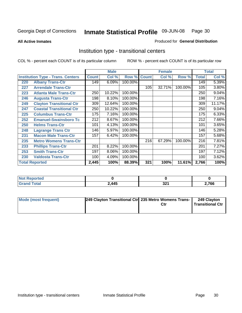**All Active Inmates**

#### Produced for **General Distribution**

### Institution type - transitional centers

|     |                                          |              | <b>Male</b> |         |              | <b>Female</b> |         |              | <b>Total</b> |
|-----|------------------------------------------|--------------|-------------|---------|--------------|---------------|---------|--------------|--------------|
|     | <b>Institution Type - Trans. Centers</b> | <b>Count</b> | Col %       | Row %   | <b>Count</b> | Col %         | Row %   | <b>Total</b> | Col %        |
| 220 | <b>Albany Trans-Ctr</b>                  | 149          | 6.09%       | 100.00% |              |               |         | 149          | 5.39%        |
| 227 | <b>Arrendale Trans-Ctr</b>               |              |             |         | 105          | 32.71%        | 100.00% | 105          | 3.80%        |
| 223 | <b>Atlanta Male Trans-Ctr</b>            | 250          | 10.22%      | 100.00% |              |               |         | 250          | 9.04%        |
| 246 | <b>Augusta Trans-Ctr</b>                 | 198          | 8.10%       | 100.00% |              |               |         | 198          | 7.16%        |
| 249 | <b>Clayton Transitional Ctr</b>          | 309          | 12.64%      | 100.00% |              |               |         | 309          | 11.17%       |
| 247 | <b>Coastal Transitional Ctr</b>          | 250          | 10.22%      | 100.00% |              |               |         | 250          | $9.04\%$     |
| 225 | <b>Columbus Trans-Ctr</b>                | 175          | 7.16%       | 100.00% |              |               |         | 175          | 6.33%        |
| 252 | <b>Emanuel-Swainsboro Tc</b>             | 212          | 8.67%       | 100.00% |              |               |         | 212          | 7.66%        |
| 250 | <b>Helms Trans-Ctr</b>                   | 101          | 4.13%       | 100.00% |              |               |         | 101          | 3.65%        |
| 248 | <b>Lagrange Trans Ctr</b>                | 146          | 5.97%       | 100.00% |              |               |         | 146          | 5.28%        |
| 231 | <b>Macon Male Trans-Ctr</b>              | 157          | 6.42%       | 100.00% |              |               |         | 157          | 5.68%        |
| 235 | <b>Metro Womens Trans-Ctr</b>            |              |             |         | 216          | 67.29%        | 100.00% | 216          | 7.81%        |
| 233 | <b>Phillips Trans-Ctr</b>                | 201          | 8.22%       | 100.00% |              |               |         | 201          | 7.27%        |
| 253 | <b>Smith Trans-Ctr</b>                   | 197          | 8.06%       | 100.00% |              |               |         | 197          | 7.12%        |
| 230 | <b>Valdosta Trans-Ctr</b>                | 100          | 4.09%       | 100.00% |              |               |         | 100          | 3.62%        |
|     | <b>Total Reported</b>                    | 2,445        | 100%        | 88.39%  | 321          | 100%          | 11.61%  | 2,766        | 100%         |

| <b>NOT</b><br><b>portea</b><br>$\cdots$ |       |            |       |
|-----------------------------------------|-------|------------|-------|
| `nta                                    | 2,445 | ה ה<br>JZI | 2,766 |

| Mode (most frequent) | 249 Clayton Transitional Ctrl 235 Metro Womens Trans- | Ctr | 249 Clayton<br><b>Transitional Ctr</b> |
|----------------------|-------------------------------------------------------|-----|----------------------------------------|
|                      |                                                       |     |                                        |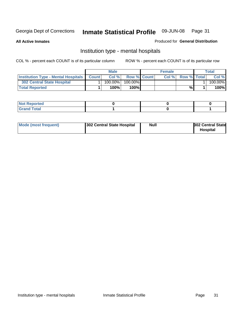**All Active Inmates**

#### Produced for **General Distribution**

### Institution type - mental hospitals

|                                                  | <b>Male</b> |                    | <b>Female</b> |                    | Total   |
|--------------------------------------------------|-------------|--------------------|---------------|--------------------|---------|
| <b>Institution Type - Mental Hospitals Count</b> | Col%        | <b>Row % Count</b> | Col%          | <b>Row % Total</b> | Col %   |
| 302 Central State Hospital                       | $100.00\%$  | 100.00%            |               |                    | 100.00% |
| <b>Total Reported</b>                            | 100%        | 100%               |               | %                  | 100%    |

| Not Reported |  |  |
|--------------|--|--|
| <b>otal</b>  |  |  |

| Mode (most frequent)<br>302 Central State Hospital | Null | <b>302 Central State</b><br><b>Hospital</b> |
|----------------------------------------------------|------|---------------------------------------------|
|----------------------------------------------------|------|---------------------------------------------|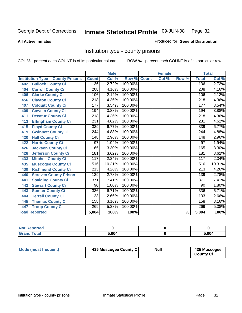#### **All Active Inmates**

#### Produced for **General Distribution**

### Institution type - county prisons

|                                          |                  | <b>Male</b> |         |              | <b>Female</b> |       |                  | <b>Total</b> |
|------------------------------------------|------------------|-------------|---------|--------------|---------------|-------|------------------|--------------|
| <b>Institution Type - County Prisons</b> | <b>Count</b>     | Col %       | Row %   | <b>Count</b> | Col %         | Row % | <b>Total</b>     | Col %        |
| <b>Bulloch County Ci</b><br>402          | 136              | 2.72%       | 100.00% |              |               |       | 136              | 2.72%        |
| <b>Carroll County Ci</b><br>404          | $\overline{208}$ | 4.16%       | 100.00% |              |               |       | $\overline{208}$ | 4.16%        |
| <b>Clarke County Ci</b><br>406           | 106              | 2.12%       | 100.00% |              |               |       | 106              | 2.12%        |
| <b>Clayton County Ci</b><br>456          | 218              | 4.36%       | 100.00% |              |               |       | 218              | 4.36%        |
| <b>Colquitt County Ci</b><br>407         | 177              | 3.54%       | 100.00% |              |               |       | 177              | 3.54%        |
| <b>Coweta County Ci</b><br>409           | 194              | 3.88%       | 100.00% |              |               |       | 194              | 3.88%        |
| <b>Decatur County Ci</b><br>411          | $\overline{218}$ | 4.36%       | 100.00% |              |               |       | $\sqrt{218}$     | 4.36%        |
| <b>Effingham County Ci</b><br>413        | 231              | 4.62%       | 100.00% |              |               |       | 231              | 4.62%        |
| <b>Floyd County Ci</b><br>415            | 339              | 6.77%       | 100.00% |              |               |       | $\overline{339}$ | 6.77%        |
| <b>Gwinnett County Ci</b><br>419         | 244              | 4.88%       | 100.00% |              |               |       | 244              | 4.88%        |
| <b>Hall County Ci</b><br>420             | 148              | 2.96%       | 100.00% |              |               |       | 148              | 2.96%        |
| <b>Harris County Ci</b><br>422           | 97               | 1.94%       | 100.00% |              |               |       | 97               | 1.94%        |
| <b>Jackson County Ci</b><br>426          | 165              | 3.30%       | 100.00% |              |               |       | 165              | 3.30%        |
| <b>Jefferson County Ci</b><br>428        | 181              | 3.62%       | 100.00% |              |               |       | 181              | 3.62%        |
| <b>Mitchell County Ci</b><br>433         | 117              | 2.34%       | 100.00% |              |               |       | 117              | 2.34%        |
| <b>Muscogee County Ci</b><br>435         | 516              | 10.31%      | 100.00% |              |               |       | 516              | 10.31%       |
| <b>Richmond County Ci</b><br>439         | $\overline{213}$ | 4.26%       | 100.00% |              |               |       | 213              | 4.26%        |
| <b>Screven County Prison</b><br>440      | 139              | 2.78%       | 100.00% |              |               |       | 139              | 2.78%        |
| <b>Spalding County Ci</b><br>441         | $\overline{371}$ | 7.41%       | 100.00% |              |               |       | $\overline{371}$ | 7.41%        |
| <b>Stewart County Ci</b><br>442          | 90               | 1.80%       | 100.00% |              |               |       | 90               | 1.80%        |
| <b>Sumter County Ci</b><br>443           | 336              | 6.71%       | 100.00% |              |               |       | 336              | 6.71%        |
| <b>Terrell County Ci</b><br>444          | 133              | 2.66%       | 100.00% |              |               |       | 133              | 2.66%        |
| <b>Thomas County Ci</b><br>445           | 158              | 3.16%       | 100.00% |              |               |       | 158              | 3.16%        |
| <b>Troup County Ci</b><br>447            | 269              | 5.38%       | 100.00% |              |               |       | 269              | 5.38%        |
| <b>Total Reported</b>                    | 5,004            | 100%        | 100%    |              |               | %     | 5,004            | 100%         |

| Reported<br>. |       |       |
|---------------|-------|-------|
| ____          | 5.004 | 5,004 |

| Mode (most frequent) | 435 Muscogee County Ci | <b>Null</b> | 435 Muscogee     |
|----------------------|------------------------|-------------|------------------|
|                      |                        |             | <b>County Ci</b> |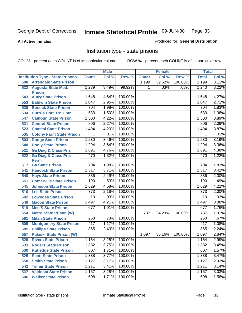#### **All Active Inmates**

#### Produced for **General Distribution**

### Institution type - state prisons

|     |                                            |              | <b>Male</b> |         |              | <b>Female</b> |         | <b>Total</b> |       |
|-----|--------------------------------------------|--------------|-------------|---------|--------------|---------------|---------|--------------|-------|
|     | <b>Institution Type - State Prisons</b>    | <b>Count</b> | Col %       | Row %   | <b>Count</b> | Col %         | Row %   | <b>Total</b> | Col % |
| 508 | <b>Arrendale State Prison</b>              |              |             |         | 1,199        | 39.52%        | 100.00% | 1,199        | 3.11% |
| 532 | <b>Augusta State Med.</b><br><b>Prison</b> | 1,239        | 3.49%       | 99.92%  | 1            | .03%          | .08%    | 1,240        | 3.22% |
| 543 | <b>Autry State Prison</b>                  | 1,648        | 4.64%       | 100.00% |              |               |         | 1,648        | 4.27% |
| 553 | <b>Baldwin State Prison</b>                | 1,047        | 2.95%       | 100.00% |              |               |         | 1,047        | 2.71% |
| 536 | <b>Bostick State Prison</b>                | 704          | 1.98%       | 100.00% |              |               |         | 704          | 1.83% |
| 534 | <b>Burrus Corr Trn Cntr</b>                | 533          | 1.50%       | 100.00% |              |               |         | 533          | 1.38% |
| 547 | <b>Calhoun State Prison</b>                | 1,500        | 4.22%       | 100.00% |              |               |         | 1,500        | 3.89% |
| 531 | <b>Central State Prison</b>                | 806          | 2.27%       | 100.00% |              |               |         | 806          | 2.09% |
| 523 | <b>Coastal State Prison</b>                | 1,494        | 4.20%       | 100.00% |              |               |         | 1,494        | 3.87% |
| 535 | <b>Colony Farm State Prison</b>            | 1            | .01%        | 100.00% |              |               |         | 1            | .01%  |
| 503 | <b>Dodge State Prison</b>                  | 1,230        | 3.46%       | 100.00% |              |               |         | 1,230        | 3.19% |
| 548 | <b>Dooly State Prison</b>                  | 1,294        | 3.64%       | 100.00% |              |               |         | 1,294        | 3.36% |
| 521 | <b>Ga Diag &amp; Class Pris</b>            | 1,691        | 4.76%       | 100.00% |              |               |         | 1,691        | 4.38% |
| 522 | <b>Ga Diag &amp; Class Pris-</b>           | 470          | 1.32%       | 100.00% |              |               |         | 470          | 1.22% |
|     | <b>Perm</b>                                |              |             |         |              |               |         |              |       |
| 517 | <b>Ga State Prison</b>                     | 704          | 1.98%       | 100.00% |              |               |         | 704          | 1.83% |
| 541 | <b>Hancock State Prison</b>                | 1,317        | 3.71%       | 100.00% |              |               |         | 1,317        | 3.42% |
| 540 | <b>Hays State Prison</b>                   | 886          | 2.49%       | 100.00% |              |               |         | 886          | 2.30% |
| 551 | <b>Homerville State Prison</b>             | 190          | .53%        | 100.00% |              |               |         | 190          | .49%  |
| 545 | <b>Johnson State Prison</b>                | 1,629        | 4.58%       | 100.00% |              |               |         | 1,629        | 4.22% |
| 510 | <b>Lee State Prison</b>                    | 773          | 2.18%       | 100.00% |              |               |         | 773          | 2.00% |
| 502 | <b>Lowndes State Prison</b>                | 10           | .03%        | 100.00% |              |               |         | 10           | .03%  |
| 549 | <b>Macon State Prison</b>                  | 1,497        | 4.21%       | 100.00% |              |               |         | 1,497        | 3.88% |
| 519 | <b>Men'S State Prison</b>                  | 677          | 1.91%       | 100.00% |              |               |         | 677          | 1.76% |
| 554 | <b>Metro State Prison (W)</b>              |              |             |         | 737          | 24.29%        | 100.00% | 737          | 1.91% |
| 561 | <b>Milan State Prison</b>                  | 260          | .73%        | 100.00% |              |               |         | 260          | .67%  |
| 509 | <b>Montgomery State Prison</b>             | 417          | 1.17%       | 100.00% |              |               |         | 417          | 1.08% |
| 505 | <b>Phillips State Prison</b>               | 865          | 2.43%       | 100.00% |              |               |         | 865          | 2.24% |
| 557 | <b>Pulaski State Prison (W)</b>            |              |             |         | 1,097        | 36.16%        | 100.00% | 1,097        | 2.84% |
| 529 | <b>Rivers State Prison</b>                 | 1,154        | 3.25%       | 100.00% |              |               |         | 1,154        | 2.99% |
|     | 533 Rogers State Prison                    | 1,332        | 3.75%       | 100.00% |              |               |         | 1,332        | 3.45% |
|     | 530 Rutledge State Prison                  | 607          | 1.71%       | 100.00% |              |               |         | 607          | 1.57% |
| 525 | <b>Scott State Prison</b>                  | 1,338        | 3.77%       | 100.00% |              |               |         | 1,338        | 3.47% |
| 550 | <b>Smith State Prison</b>                  | 1,127        | 3.17%       | 100.00% |              |               |         | 1,127        | 2.92% |
| 542 | <b>Telfair State Prison</b>                | 1,211        | 3.41%       | 100.00% |              |               |         | 1,211        | 3.14% |
| 537 | <b>Valdosta State Prison</b>               | 1,167        | 3.28%       | 100.00% |              |               |         | 1,167        | 3.03% |
| 506 | <b>Walker State Prison</b>                 | 608          | 1.71%       | 100.00% |              |               |         | 608          | 1.58% |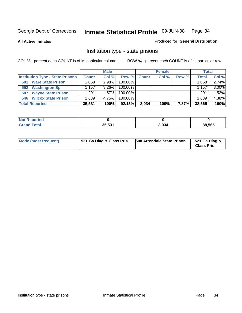**All Active Inmates**

#### Produced for **General Distribution**

### Institution type - state prisons

|                                         |              | <b>Male</b> |            |       | <b>Female</b> |       | <b>Total</b> |       |
|-----------------------------------------|--------------|-------------|------------|-------|---------------|-------|--------------|-------|
| <b>Institution Type - State Prisons</b> | <b>Count</b> | Col %       | Row %      | Count | Col %         | Row % | Total        | Col % |
| <b>Ware State Prison</b><br>501         | .058         | 2.98%       | $100.00\%$ |       |               |       | 1.058        | 2.74% |
| <b>Washington Sp</b><br>552             | .157         | $3.26\%$    | $100.00\%$ |       |               |       | 1.157        | 3.00% |
| <b>Wayne State Prison</b><br>507        | 201          | $.57\%$     | 100.00%    |       |               |       | 201          | .52%  |
| <b>Wilcox State Prison</b><br>546       | .689         | 4.75%       | 100.00%    |       |               |       | 1,689        | 4.38% |
| <b>Total Reported</b>                   | 35,531       | 100%        | $92.13\%$  | 3,034 | 100%          | 7.87% | 38,565       | 100%  |

| <b>Not</b><br>Reported |        |       |        |
|------------------------|--------|-------|--------|
| <b>Grand Total</b>     | 35,531 | 3,034 | 38,565 |

| <b>Mode (most frequent)</b> | <b>521 Ga Diag &amp; Class Pris</b> | <b>508 Arrendale State Prison</b> | 521 Ga Diag &<br><b>Class Pris</b> |
|-----------------------------|-------------------------------------|-----------------------------------|------------------------------------|
|-----------------------------|-------------------------------------|-----------------------------------|------------------------------------|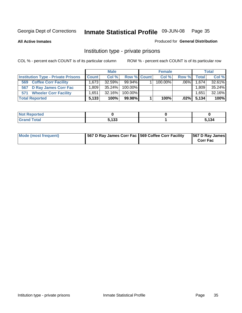**All Active Inmates**

#### Produced for **General Distribution**

### Institution type - private prisons

|                                           |              | <b>Male</b> |             | <b>Female</b> |         |              | <b>Total</b> |
|-------------------------------------------|--------------|-------------|-------------|---------------|---------|--------------|--------------|
| <b>Institution Type - Private Prisons</b> | <b>Count</b> | Col %       | Row % Count | Col %         | Row %   | <b>Total</b> | Col %        |
| <b>Coffee Corr Facility</b><br>569        | 1.673        | $32.59\%$   | $99.94\%$   | $100.00\%$    | $.06\%$ | 1,674        | 32.61%       |
| 567 D Ray James Corr Fac                  | ∃809، ،      | $35.24\%$   | 100.00%     |               |         | 1,809        | 35.24%       |
| <b>Wheeler Corr Facility</b><br>571       | .651         | 32.16%      | 100.00%     |               |         | 1,651        | 32.16%       |
| <b>Total Reported</b>                     | 5,133        | 100%        | 99.98%      | 100%          | $.02\%$ | 5,134        | 100%         |

| <b>Reported</b><br>' NOT |       |          |
|--------------------------|-------|----------|
| <b>Total</b><br>$\sim$ . | 5,133 | .<br>134 |

| <b>Mode (most frequent)</b> | 567 D Ray James Corr Fac 569 Coffee Corr Facility |  | 567 D Ray James<br><b>Corr Fac</b> |
|-----------------------------|---------------------------------------------------|--|------------------------------------|
|-----------------------------|---------------------------------------------------|--|------------------------------------|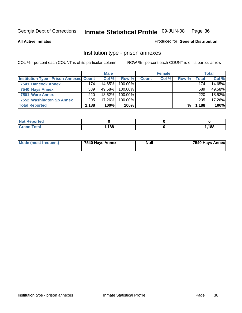#### **All Active Inmates**

#### Produced for **General Distribution**

### Institution type - prison annexes

|                                                |       | <b>Male</b> |            |              | <b>Female</b> |       |              | <b>Total</b> |
|------------------------------------------------|-------|-------------|------------|--------------|---------------|-------|--------------|--------------|
| <b>Institution Type - Prison Annexes Count</b> |       | Col %       | Row %      | <b>Count</b> | Col %         | Row % | <b>Total</b> | Col %        |
| <b>7541 Hancock Annex</b>                      | 174   | 14.65%      | $100.00\%$ |              |               |       | 174          | 14.65%       |
| 7540 Hays Annex                                | 589   | 49.58%      | $100.00\%$ |              |               |       | 589          | 49.58%       |
| 7501 Ware Annex                                | 220   | $18.52\%$   | $100.00\%$ |              |               |       | 220          | 18.52%       |
| 7552 Washington Sp Annex                       | 205   | 17.26%      | $100.00\%$ |              |               |       | 205          | 17.26%       |
| <b>Total Reported</b>                          | 1,188 | 100%        | 100%       |              |               | %\    | 1,188        | 100%         |

| <b>Not Reported</b> |      |      |
|---------------------|------|------|
| <b>Total</b>        | ,188 | ,188 |

|  | Mode (most frequent) | 7540 Hays Annex | <b>Null</b> | 7540 Hays Annex |
|--|----------------------|-----------------|-------------|-----------------|
|--|----------------------|-----------------|-------------|-----------------|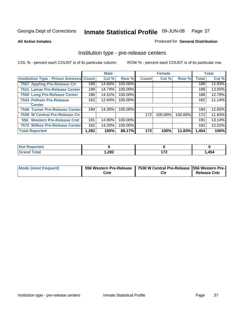#### **All Active Inmates**

#### Produced for **General Distribution**

### Institution type - pre-release centers

|                                                |       | <b>Male</b> |         |              | <b>Female</b> |         |              | <b>Total</b> |
|------------------------------------------------|-------|-------------|---------|--------------|---------------|---------|--------------|--------------|
| <b>Institution Type - Prison Annexes Count</b> |       | Col %       | Row %   | <b>Count</b> | Col %         | Row %   | <b>Total</b> | Col %        |
| 7507 Appling Pre-Release Ctr                   | 188   | 14.66%      | 100.00% |              |               |         | 188          | 12.93%       |
| 7521 Lamar Pre-Release Center                  | 189   | 14.74%      | 100.00% |              |               |         | 189          | 13.00%       |
| 7550 Long Pre-Release Center                   | 186   | 14.51%      | 100.00% |              |               |         | 186          | 12.79%       |
| 7543 Pelham Pre-Release                        | 162   | 12.64%      | 100.00% |              |               |         | 162          | 11.14%       |
| <b>Center</b>                                  |       |             |         |              |               |         |              |              |
| <b>7546 Turner Pre-Release Center</b>          | 184   | 14.35%      | 100.00% |              |               |         | 184          | 12.65%       |
| 7538 W Central Pre-Release Ctr                 |       |             |         | 172          | 100.00%       | 100.00% | 172          | 11.83%       |
| 556 Western Pre-Release Cntr                   | 191   | 14.90%      | 100.00% |              |               |         | 191          | 13.14%       |
| 7572 Wilkes Pre-Release Center                 | 182   | 14.20%      | 100.00% |              |               |         | 182          | 12.52%       |
| <b>Total Reported</b>                          | 1,282 | 100%        | 88.17%  | 172          | 100%          | 11.83%  | 1,454        | 100%         |

| <b>Not</b><br>Reported |        |         |       |
|------------------------|--------|---------|-------|
| <b>Total</b>           | 282, ا | ית<br>. | 1,454 |

| Mode (most frequent) |      | 556 Western Pre-Release   7538 W Central Pre-Release   556 Western Pre- |                     |
|----------------------|------|-------------------------------------------------------------------------|---------------------|
|                      | Cntı | Ctr                                                                     | <b>Release Cntr</b> |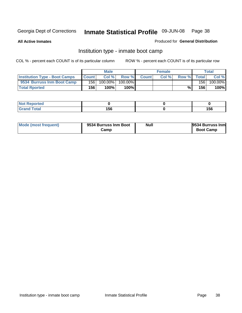**All Active Inmates**

#### Produced for **General Distribution**

### Institution type - inmate boot camp

|                                      |              | <b>Male</b> |         |              | <b>Female</b> |       |       | Total   |
|--------------------------------------|--------------|-------------|---------|--------------|---------------|-------|-------|---------|
| <b>Institution Type - Boot Camps</b> | <b>Count</b> | Col %       | Row %   | <b>Count</b> | Col %         | Row % | Total | Col %   |
| 9534 Burruss Inm Boot Camp           | 156          | 100.00%     | 100.00% |              |               |       | 156   | 100.00% |
| <b>Total Rported</b>                 | 156          | 100%        | 100%    |              |               | %⊾    | 156   | 100%    |

| rtea              |     |     |
|-------------------|-----|-----|
| <b>cotal</b><br>- | 156 | 156 |

| Mode (most frequent) | 9534 Burruss Inm Boot | <b>Null</b> | 9534 Burruss Inm |
|----------------------|-----------------------|-------------|------------------|
|                      | Camp                  |             | <b>Boot Camp</b> |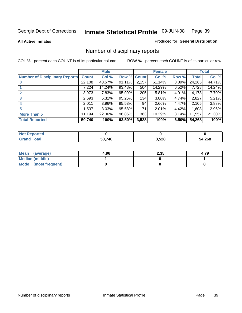**All Active Inmates**

#### Produced for **General Distribution**

# Number of disciplinary reports

|                                       |              | <b>Male</b> |        |              | <b>Female</b> |       |              | <b>Total</b> |
|---------------------------------------|--------------|-------------|--------|--------------|---------------|-------|--------------|--------------|
| <b>Number of Disciplinary Reports</b> | <b>Count</b> | Col %       | Row %  | <b>Count</b> | Col %         | Row % | <b>Total</b> | Col %        |
|                                       | 22,108       | 43.57%      | 91.11% | 2,157        | 61.14%        | 8.89% | 24,265       | 44.71%       |
|                                       | 7,224        | 14.24%      | 93.48% | 504          | 14.29%        | 6.52% | 7,728        | 14.24%       |
| 2                                     | 3,973        | 7.83%       | 95.09% | 205          | 5.81%         | 4.91% | 4,178        | 7.70%        |
| 3                                     | 2,693        | 5.31%       | 95.26% | 134          | 3.80%         | 4.74% | 2,827        | 5.21%        |
|                                       | 2,011        | 3.96%       | 95.53% | 94           | 2.66%         | 4.47% | 2,105        | 3.88%        |
| 5                                     | ,537         | 3.03%       | 95.58% | 71           | 2.01%         | 4.42% | 1,608        | 2.96%        |
| <b>More Than 5</b>                    | 11,194       | 22.06%      | 96.86% | 363          | 10.29%        | 3.14% | 11,557       | 21.30%       |
| <b>Total Reported</b>                 | 50,740       | 100%        | 93.50% | 3,528        | 100%          | 6.50% | 54,268       | 100%         |

| N         |        |       |      |
|-----------|--------|-------|------|
| $\sim$ 10 | 50 740 | 3,528 | ,268 |
| ______    | 50     |       | ״    |

| Mean (average)       | 4.96 | 2.35 | 4.79 |
|----------------------|------|------|------|
| Median (middle)      |      |      |      |
| Mode (most frequent) |      |      |      |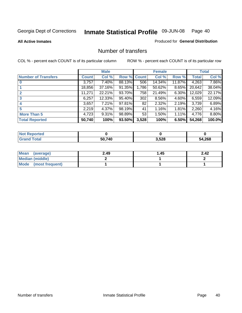#### **All Active Inmates**

#### Produced for **General Distribution**

### Number of transfers

|                            |         | <b>Male</b> |        |              | <b>Female</b> |          |              | <b>Total</b> |
|----------------------------|---------|-------------|--------|--------------|---------------|----------|--------------|--------------|
| <b>Number of Transfers</b> | Count l | Col %       | Row %  | <b>Count</b> | Col %         | Row %    | <b>Total</b> | Col %        |
|                            | 3,757   | 7.40%       | 88.13% | 506          | 14.34%        | 11.87%   | 4,263        | 7.86%        |
|                            | 18,856  | 37.16%      | 91.35% | 1,786        | 50.62%        | $8.65\%$ | 20,642       | 38.04%       |
|                            | 11,271  | 22.21%      | 93.70% | 758          | 21.49%        | $6.30\%$ | 12,029       | 22.17%       |
| 3                          | 6,257   | $12.33\%$   | 95.40% | 302          | 8.56%         | 4.60%    | 6,559        | 12.09%       |
|                            | 3,657   | 7.21%       | 97.81% | 82           | 2.32%         | $2.19\%$ | 3,739        | 6.89%        |
| 5                          | 2,219   | 4.37%       | 98.19% | 41           | 1.16%         | $1.81\%$ | 2,260        | 4.16%        |
| <b>More Than 5</b>         | 4,723   | $9.31\%$    | 98.89% | 53           | 1.50%         | $1.11\%$ | 4,776        | 8.80%        |
| <b>Total Reported</b>      | 50,740  | 100%        | 93.50% | 3,528        | 100%          | 6.50%    | 54,268       | 100.0%       |

| N         |        |       |      |
|-----------|--------|-------|------|
| $\sim$ 10 | 50 740 | 3,528 | ,268 |
| ______    | 50     |       | ״    |

| Mean (average)       | 2.49 | 1.45 | 2.42 |
|----------------------|------|------|------|
| Median (middle)      |      |      |      |
| Mode (most frequent) |      |      |      |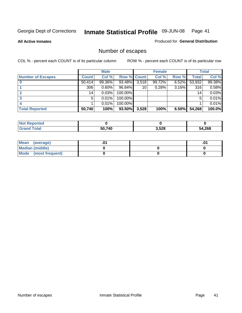**All Active Inmates**

### Produced for **General Distribution**

# Number of escapes

|                          |         | <b>Male</b> |                    |       | <b>Female</b> |       |        | <b>Total</b> |
|--------------------------|---------|-------------|--------------------|-------|---------------|-------|--------|--------------|
| <b>Number of Escapes</b> | Count l | Col %       | <b>Row % Count</b> |       | Col %         | Row % | Total  | Col %        |
|                          | 50,414  | 99.36%      | 93.48%             | 3,518 | 99.72%        | 6.52% | 53,932 | 99.38%       |
|                          | 306     | $0.60\%$    | 96.84%             | 10    | 0.28%         | 3.16% | 316    | 0.58%        |
|                          | 14      | 0.03%       | 100.00%            |       |               |       | 14     | 0.03%        |
|                          | 5.      | 0.01%       | 100.00%            |       |               |       | 5      | 0.01%        |
|                          |         | 0.01%       | 100.00%            |       |               |       |        | 0.01%        |
| <b>Total Reported</b>    | 50,740  | 100%        | 93.50%             | 3,528 | 100%          | 6.50% | 54,268 | 100.0%       |

| тео      |        |       |              |
|----------|--------|-------|--------------|
| $T0$ tol | 50.740 | 3,528 | 54,268<br>54 |

| <b>Mean</b><br>(average) |  | .0 |
|--------------------------|--|----|
| Median (middle)          |  |    |
| Mode (most frequent)     |  |    |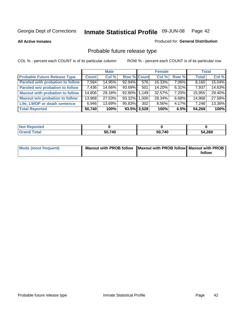**All Active Inmates**

#### Produced for **General Distribution**

# Probable future release type

|                                         |              | <b>Male</b> |                    |     | <b>Female</b> |          | <b>Total</b> |        |
|-----------------------------------------|--------------|-------------|--------------------|-----|---------------|----------|--------------|--------|
| <b>Probable Future Release Type</b>     | <b>Count</b> | Col %       | <b>Row % Count</b> |     | Col %         | Row %    | <b>Total</b> | Col %  |
| <b>Paroled with probation to follow</b> | 7,584        | 14.95%      | $92.94\%$          | 576 | 16.33%        | $7.06\%$ | 8,160        | 15.04% |
| Paroled w/o probation to follow         | 7,436        | 14.66%      | 93.69%             | 501 | 14.20%        | $6.31\%$ | 7,937        | 14.63% |
| <b>Maxout with probation to follow</b>  | 14,806       | 29.18%      | 92.80% 1.149       |     | 32.57%        | $7.20\%$ | 15,955       | 29.40% |
| <b>Maxout w/o probation to follow</b>   | 13,968       | 27.53%      | 93.32% 1,000       |     | 28.34%        | $6.68\%$ | 14,968       | 27.58% |
| Life, LWOP or death sentence            | 6,946        | 13.69%      | 95.83%             | 302 | 8.56%         | $4.17\%$ | 7,248        | 13.36% |
| <b>Total Reported</b>                   | 50,740       | 100%        | $93.5\%$ 3,528     |     | 100%          | 6.5%     | 54,268       | 100%   |

| $'$ Not $\cdot$<br>Reported |        |        |        |
|-----------------------------|--------|--------|--------|
| <b>Grand Total</b>          | 50,740 | 50,740 | 54,268 |

| Mode (most frequent) | Maxout with PROB follow   Maxout with PROB follow   Maxout with PROB |        |
|----------------------|----------------------------------------------------------------------|--------|
|                      |                                                                      | follow |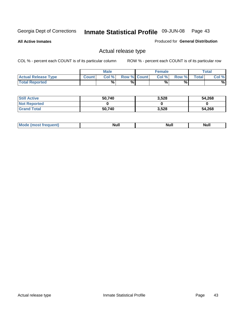**All Active Inmates**

#### Produced for **General Distribution**

### Actual release type

|                            |              | <b>Male</b> |                    | <b>Female</b> |       |              | <b>Total</b> |
|----------------------------|--------------|-------------|--------------------|---------------|-------|--------------|--------------|
| <b>Actual Release Type</b> | <b>Count</b> | Col %       | <b>Row % Count</b> | Col %1        | Row % | <b>Total</b> | Col %        |
| <b>Total Reported</b>      |              | $\%$        | %                  | %             | %     |              | %            |

| <b>Still Active</b> | 50,740 | 3,528 | 54,268 |
|---------------------|--------|-------|--------|
| <b>Not Reported</b> |        |       |        |
| <b>Grand Total</b>  | 50,740 | 3,528 | 54,268 |

| M<br>_____<br>_____ | NI | Null | $\cdots$ |
|---------------------|----|------|----------|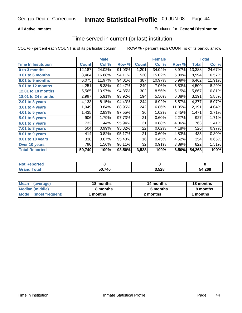#### **All Active Inmates**

#### Produced for **General Distribution**

### Time served in current (or last) institution

|                            |              | <b>Male</b> |        |              | <b>Female</b> |        |        | <b>Total</b> |
|----------------------------|--------------|-------------|--------|--------------|---------------|--------|--------|--------------|
| <b>Time In Institution</b> | <b>Count</b> | Col %       | Row %  | <b>Count</b> | Col %         | Row %  | Total  | Col %        |
| 0 to 3 months              | 12,187       | 24.02%      | 91.03% | 1,201        | 34.04%        | 8.97%  | 13,388 | 24.67%       |
| 3.01 to 6 months           | 8,464        | 16.68%      | 94.11% | 530          | 15.02%        | 5.89%  | 8,994  | 16.57%       |
| 6.01 to 9 months           | 6,075        | 11.97%      | 94.01% | 387          | 10.97%        | 5.99%  | 6,462  | 11.91%       |
| 9.01 to 12 months          | 4,251        | 8.38%       | 94.47% | 249          | 7.06%         | 5.53%  | 4,500  | 8.29%        |
| 12.01 to 18 months         | 5,565        | 10.97%      | 94.85% | 302          | 8.56%         | 5.15%  | 5,867  | 10.81%       |
| <b>18.01 to 24 months</b>  | 2,997        | 5.91%       | 93.92% | 194          | 5.50%         | 6.08%  | 3,191  | 5.88%        |
| 2.01 to 3 years            | 4,133        | 8.15%       | 94.43% | 244          | 6.92%         | 5.57%  | 4,377  | 8.07%        |
| 3.01 to 4 years            | 1,949        | 3.84%       | 88.95% | 242          | 6.86%         | 11.05% | 2,191  | 4.04%        |
| 4.01 to 5 years            | 1,435        | 2.83%       | 97.55% | 36           | 1.02%         | 2.45%  | 1,471  | 2.71%        |
| 5.01 to 6 years            | 906          | 1.79%       | 97.73% | 21           | 0.60%         | 2.27%  | 927    | 1.71%        |
| 6.01 to 7 years            | 732          | 1.44%       | 95.94% | 31           | 0.88%         | 4.06%  | 763    | 1.41%        |
| 7.01 to 8 years            | 504          | 0.99%       | 95.82% | 22           | 0.62%         | 4.18%  | 526    | 0.97%        |
| 8.01 to 9 years            | 414          | 0.82%       | 95.17% | 21           | 0.60%         | 4.83%  | 435    | 0.80%        |
| 9.01 to 10 years           | 338          | 0.67%       | 95.48% | 16           | 0.45%         | 4.52%  | 354    | 0.65%        |
| Over 10 years              | 790          | 1.56%       | 96.11% | 32           | 0.91%         | 3.89%  | 822    | 1.51%        |
| <b>Total Reported</b>      | 50,740       | 100%        | 93.50% | 3,528        | 100%          | 6.50%  | 54,268 | 100%         |

| <b>Not Reported</b> |        |      |        |
|---------------------|--------|------|--------|
| <b>Total</b>        | 50,740 | ,528 | 54,268 |

| <b>Mean</b><br>(average)       | 18 months | 14 months | 18 months |  |
|--------------------------------|-----------|-----------|-----------|--|
| Median (middle)                | 8 months  | 6 months  | 8 months  |  |
| <b>Mode</b><br>(most frequent) | months    | 2 months  | months    |  |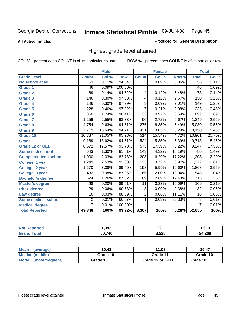**All Active Inmates**

#### Produced for **General Distribution**

### Highest grade level attained

|                              |                  | <b>Male</b> |         |                  | <b>Female</b> |        |                  | <b>Total</b> |
|------------------------------|------------------|-------------|---------|------------------|---------------|--------|------------------|--------------|
| <b>Grade Level</b>           | <b>Count</b>     | Col %       | Row %   | <b>Count</b>     | Col %         | Row %  | <b>Total</b>     | Col %        |
| No school at all             | 53               | 0.11%       | 94.64%  | $\overline{3}$   | 0.09%         | 5.36%  | $\overline{56}$  | 0.11%        |
| <b>Grade 1</b>               | 46               | 0.09%       | 100.00% |                  |               |        | $\overline{46}$  | 0.09%        |
| <b>Grade 2</b>               | 69               | 0.14%       | 94.52%  | 4                | 0.12%         | 5.48%  | $\overline{73}$  | 0.14%        |
| <b>Grade 3</b>               | 146              | 0.30%       | 97.33%  | 4                | 0.12%         | 2.67%  | 150              | 0.28%        |
| <b>Grade 4</b>               | 146              | 0.30%       | 97.99%  | $\overline{3}$   | 0.09%         | 2.01%  | 149              | 0.28%        |
| Grade 5                      | $\overline{228}$ | 0.46%       | 97.02%  | $\overline{7}$   | 0.21%         | 2.98%  | 235              | 0.45%        |
| Grade 6                      | 860              | 1.74%       | 96.41%  | $\overline{32}$  | 0.97%         | 3.59%  | 892              | 1.69%        |
| <b>Grade 7</b>               | 1,259            | 2.55%       | 93.33%  | $\overline{90}$  | 2.72%         | 6.67%  | 1,349            | 2.56%        |
| <b>Grade 8</b>               | 4,754            | 9.63%       | 94.51%  | 276              | 8.35%         | 5.49%  | 5,030            | 9.55%        |
| Grade 9                      | 7,719            | 15.64%      | 94.71%  | 431              | 13.03%        | 5.29%  | 8,150            | 15.48%       |
| Grade 10                     | 10,387           | 21.05%      | 95.28%  | $\overline{514}$ | 15.54%        | 4.72%  | 10,901           | 20.70%       |
| Grade 11                     | 9,189            | 18.62%      | 94.61%  | 524              | 15.85%        | 5.39%  | 9,713            | 18.45%       |
| <b>Grade 12 or GED</b>       | 8,672            | 17.57%      | 93.78%  | $\overline{575}$ | 17.39%        | 6.22%  | 9,247            | 17.56%       |
| <b>Some tech school</b>      | 643              | 1.30%       | 81.81%  | 143              | 4.32%         | 18.19% | 786              | 1.49%        |
| <b>Completed tech school</b> | 1,000            | 2.03%       | 82.78%  | 208              | 6.29%         | 17.22% | 1,208            | 2.29%        |
| College, 1 year              | 1,249            | 2.53%       | 91.03%  | 123              | 3.72%         | 8.97%  | 1,372            | 2.61%        |
| College, 2 year              | 1,670            | 3.38%       | 89.40%  | 198              | 5.99%         | 10.60% | 1,868            | 3.55%        |
| College, 3 year              | 482              | 0.98%       | 87.96%  | 66               | 2.00%         | 12.04% | 548              | 1.04%        |
| <b>Bachelor's degree</b>     | 624              | 1.26%       | 87.52%  | 89               | 2.69%         | 12.48% | $\overline{713}$ | 1.35%        |
| <b>Master's degree</b>       | 98               | 0.20%       | 89.91%  | 11               | 0.33%         | 10.09% | 109              | 0.21%        |
| Ph.D. degree                 | $\overline{29}$  | 0.06%       | 90.63%  | $\overline{3}$   | 0.09%         | 9.38%  | 32               | 0.06%        |
| Law degree                   | $\overline{16}$  | 0.03%       | 88.89%  | $\overline{2}$   | 0.06%         | 11.11% | $\overline{18}$  | 0.03%        |
| <b>Some medical school</b>   | $\overline{2}$   | 0.01%       | 66.67%  | 1                | 0.03%         | 33.33% | $\overline{3}$   | 0.01%        |
| <b>Medical degree</b>        | $\overline{7}$   | 0.01%       | 100.00% |                  |               |        | $\overline{7}$   | 0.01%        |
| <b>Total Reported</b>        | 49,348           | 100%        | 93.72%  | 3,307            | 100%          | 6.28%  | 52,655           | 100%         |

| ,392   | າາ1<br>ZZ I | 613 |
|--------|-------------|-----|
| 50 740 | 3.528       | 268 |

| <b>Mean</b><br>(average)       | 10.43    | 11.08           | 10.47    |
|--------------------------------|----------|-----------------|----------|
| Median (middle)                | Grade 10 | Grade 11        | Grade 10 |
| <b>Mode</b><br>(most frequent) | Grade 10 | Grade 12 or GED | Grade 10 |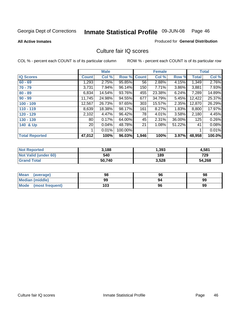#### **All Active Inmates**

#### Produced for **General Distribution**

### Culture fair IQ scores

|                       |        | <b>Male</b> |         |              | <b>Female</b> |        |        | <b>Total</b> |
|-----------------------|--------|-------------|---------|--------------|---------------|--------|--------|--------------|
| <b>IQ Scores</b>      | Count  | Col %       | Row %   | <b>Count</b> | Col %         | Row %  | Total  | Col %        |
| $60 - 69$             | 1,293  | 2.75%       | 95.85%  | 56           | 2.88%         | 4.15%  | 1,349  | 2.76%        |
| $70 - 79$             | 3,731  | 7.94%       | 96.14%  | 150          | 7.71%         | 3.86%  | 3,881  | 7.93%        |
| $80 - 89$             | 6,834  | 14.54%      | 93.76%  | 455          | 23.38%        | 6.24%  | 7,289  | 14.89%       |
| $90 - 99$             | 11,745 | 24.98%      | 94.55%  | 677          | 34.79%        | 5.45%  | 12,422 | 25.37%       |
| $100 - 109$           | 12,567 | 26.73%      | 97.65%  | 303          | 15.57%        | 2.35%  | 12,870 | 26.29%       |
| $110 - 119$           | 8,639  | 18.38%      | 98.17%  | 161          | 8.27%         | 1.83%  | 8,800  | 17.97%       |
| 120 - 129             | 2,102  | 4.47%       | 96.42%  | 78           | 4.01%         | 3.58%  | 2,180  | 4.45%        |
| 130 - 139             | 80 l   | 0.17%       | 64.00%  | 45           | 2.31%         | 36.00% | 125    | 0.26%        |
| 140 & Up              | 20 l   | 0.04%       | 48.78%  | 21           | 1.08%         | 51.22% | 41     | 0.08%        |
|                       |        | 0.01%       | 100.00% |              |               |        |        | 0.01%        |
| <b>Total Reported</b> | 47,012 | 100%        | 96.03%  | 1,946        | 100%          | 3.97%  | 48,958 | 100.0%       |

| <b>Not Reported</b>  | 3.188  | 1,393 | 4,581  |
|----------------------|--------|-------|--------|
| Not Valid (under 60) | 540    | 189   | 729    |
| <b>Grand Total</b>   | 50.740 | 3,528 | 54,268 |

| <b>Mean</b><br>(average) | 98  | 96 | 98 |
|--------------------------|-----|----|----|
| <b>Median (middle)</b>   | 99  | 94 | 99 |
| Mode (most frequent)     | 103 | 96 | 99 |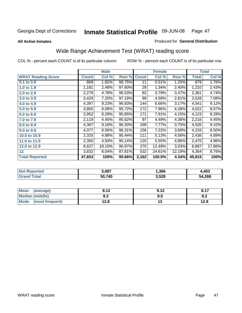**All Active Inmates**

#### Produced for **General Distribution**

# Wide Range Achievement Test (WRAT) reading score

|                           |              | <b>Male</b> |        |              | <b>Female</b> |        |        | <b>Total</b> |
|---------------------------|--------------|-------------|--------|--------------|---------------|--------|--------|--------------|
| <b>WRAT Reading Score</b> | <b>Count</b> | Col %       | Row %  | <b>Count</b> | Col %         | Row %  | Total  | Col %        |
| $0.1$ to $0.9$            | 868          | 1.82%       | 98.75% | 11           | 0.51%         | 1.25%  | 879    | 1.76%        |
| 1.0 to 1.9                | 1,181        | 2.48%       | 97.60% | 29           | 1.34%         | 2.40%  | 1,210  | 2.43%        |
| 2.0 to 2.9                | 2,279        | 4.78%       | 96.53% | 82           | 3.79%         | 3.47%  | 2,361  | 4.74%        |
| 3.0 to 3.9                | 3,429        | 7.20%       | 97.19% | 99           | 4.58%         | 2.81%  | 3,528  | 7.08%        |
| 4.0 to 4.9                | 4,397        | 9.23%       | 96.83% | 144          | 6.66%         | 3.17%  | 4,541  | 9.12%        |
| 5.0 to 5.9                | 3,850        | 8.08%       | 95.72% | 172          | 7.96%         | 4.28%  | 4,022  | 8.07%        |
| 6.0 to 6.9                | 3,952        | 8.29%       | 95.85% | 171          | 7.91%         | 4.15%  | 4,123  | 8.28%        |
| 7.0 to 7.9                | 2,119        | 4.45%       | 95.62% | 97           | 4.49%         | 4.38%  | 2,216  | 4.45%        |
| 8.0 to 8.9                | 4,367        | 9.16%       | 96.30% | 168          | 7.77%         | 3.70%  | 4,535  | 9.10%        |
| 9.0 to 9.9                | 4,077        | 8.56%       | 96.31% | 156          | 7.22%         | 3.69%  | 4,233  | 8.50%        |
| 10.0 to 10.9              | 2,325        | 4.88%       | 95.44% | 111          | 5.13%         | 4.56%  | 2,436  | 4.89%        |
| 11.0 to 11.9              | 2,350        | 4.93%       | 95.14% | 120          | 5.55%         | 4.86%  | 2,470  | 4.96%        |
| 12.0 to 12.9              | 8,627        | 18.10%      | 96.97% | 270          | 12.49%        | 3.03%  | 8,897  | 17.86%       |
| 13                        | 3,832        | 8.04%       | 87.81% | 532          | 24.61%        | 12.19% | 4,364  | 8.76%        |
| <b>Total Reported</b>     | 47,653       | 100%        | 95.66% | 2,162        | 100.0%        | 4.34%  | 49,815 | 100%         |

| <b>Not Reported</b> | 3,087  | 1,366 | 4,453  |
|---------------------|--------|-------|--------|
| Total<br>'Grand     | 50,740 | 3,528 | 54,268 |

| <b>Mean</b><br>(average)       | 0.12<br>0.14  | ດ 4 2 | 0.47 |
|--------------------------------|---------------|-------|------|
| <b>Median (middle)</b>         | י ה<br>0.Z    | ຩ.    | O.A  |
| <b>Mode</b><br>(most frequent) | 19 Q<br>I 4.0 | . .   | 12.8 |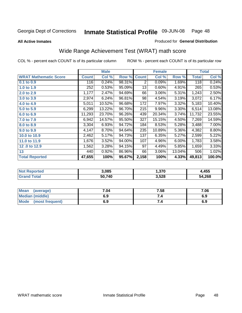#### **All Active Inmates**

#### Produced for **General Distribution**

# Wide Range Achievement Test (WRAT) math score

|                              |              | <b>Male</b> |        |              | <b>Female</b> |        |              | <b>Total</b> |
|------------------------------|--------------|-------------|--------|--------------|---------------|--------|--------------|--------------|
| <b>WRAT Mathematic Score</b> | <b>Count</b> | Col %       | Row %  | <b>Count</b> | Col %         | Row %  | <b>Total</b> | Col %        |
| 0.1 to 0.9                   | 116          | 0.24%       | 98.31% | 2            | 0.09%         | 1.69%  | 118          | 0.24%        |
| 1.0 to 1.9                   | 252          | 0.53%       | 95.09% | 13           | 0.60%         | 4.91%  | 265          | 0.53%        |
| 2.0 to 2.9                   | 1,177        | 2.47%       | 94.69% | 66           | 3.06%         | 5.31%  | 1,243        | 2.50%        |
| 3.0 to 3.9                   | 2,974        | 6.24%       | 96.81% | 98           | 4.54%         | 3.19%  | 3,072        | 6.17%        |
| 4.0 to 4.9                   | 5,011        | 10.52%      | 96.68% | 172          | 7.97%         | 3.32%  | 5,183        | 10.40%       |
| 5.0 to 5.9                   | 6,299        | 13.22%      | 96.70% | 215          | 9.96%         | 3.30%  | 6,514        | 13.08%       |
| 6.0 to 6.9                   | 11,293       | 23.70%      | 96.26% | 439          | 20.34%        | 3.74%  | 11,732       | 23.55%       |
| 7.0 to 7.9                   | 6,942        | 14.57%      | 95.50% | 327          | 15.15%        | 4.50%  | 7,269        | 14.59%       |
| 8.0 to 8.9                   | 3,304        | 6.93%       | 94.72% | 184          | 8.53%         | 5.28%  | 3,488        | 7.00%        |
| 9.0 to 9.9                   | 4,147        | 8.70%       | 94.64% | 235          | 10.89%        | 5.36%  | 4,382        | 8.80%        |
| 10.0 to 10.9                 | 2,462        | 5.17%       | 94.73% | 137          | 6.35%         | 5.27%  | 2,599        | 5.22%        |
| 11.0 to 11.9                 | 1,676        | 3.52%       | 94.00% | 107          | 4.96%         | 6.00%  | 1,783        | 3.58%        |
| 12.0 to 12.9                 | 1,562        | 3.28%       | 94.15% | 97           | 4.49%         | 5.85%  | 1,659        | 3.33%        |
| 13                           | 440          | 0.92%       | 86.96% | 66           | 3.06%         | 13.04% | 506          | 1.02%        |
| <b>Total Reported</b>        | 47,655       | 100%        | 95.67% | 2,158        | 100%          | 4.33%  | 49,813       | 100.0%       |

| 3.085  | 370, ا | ,455   |
|--------|--------|--------|
| 50,740 | 3,528  | 54,268 |

| <b>Mean</b><br>(average)       | 7.04 | 7.58 | 7.06 |
|--------------------------------|------|------|------|
| Median (middle)                | 6.9  |      | 6.9  |
| <b>Mode</b><br>(most frequent) | 6.9  | 7.4  | 6.9  |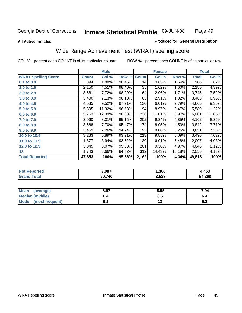Page 49

#### **All Active Inmates**

#### Produced for **General Distribution**

### Wide Range Achievement Test (WRAT) spelling score

|                            |              | <b>Male</b> |        |              | <b>Female</b> |        |              | <b>Total</b> |
|----------------------------|--------------|-------------|--------|--------------|---------------|--------|--------------|--------------|
| <b>WRAT Spelling Score</b> | <b>Count</b> | Col %       | Row %  | <b>Count</b> | Col %         | Row %  | <b>Total</b> | Col %        |
| 0.1 to 0.9                 | 894          | 1.88%       | 98.46% | 14           | 0.65%         | 1.54%  | 908          | 1.82%        |
| 1.0 to 1.9                 | 2,150        | 4.51%       | 98.40% | 35           | 1.62%         | 1.60%  | 2,185        | 4.39%        |
| 2.0 to 2.9                 | 3,681        | 7.72%       | 98.29% | 64           | 2.96%         | 1.71%  | 3,745        | 7.52%        |
| 3.0 to 3.9                 | 3,400        | 7.13%       | 98.18% | 63           | 2.91%         | 1.82%  | 3,463        | 6.95%        |
| 4.0 to 4.9                 | 4,535        | 9.52%       | 97.21% | 130          | 6.01%         | 2.79%  | 4,665        | $9.36\%$     |
| 5.0 to 5.9                 | 5,395        | 11.32%      | 96.53% | 194          | 8.97%         | 3.47%  | 5,589        | 11.22%       |
| 6.0 to 6.9                 | 5,763        | 12.09%      | 96.03% | 238          | 11.01%        | 3.97%  | 6,001        | 12.05%       |
| 7.0 to 7.9                 | 3,960        | 8.31%       | 95.15% | 202          | 9.34%         | 4.85%  | 4,162        | 8.35%        |
| 8.0 to 8.9                 | 3,668        | 7.70%       | 95.47% | 174          | 8.05%         | 4.53%  | 3,842        | 7.71%        |
| 9.0 to 9.9                 | 3,459        | 7.26%       | 94.74% | 192          | 8.88%         | 5.26%  | 3,651        | 7.33%        |
| 10.0 to 10.9               | 3,283        | 6.89%       | 93.91% | 213          | 9.85%         | 6.09%  | 3,496        | 7.02%        |
| 11.0 to 11.9               | 1,877        | 3.94%       | 93.52% | 130          | 6.01%         | 6.48%  | 2,007        | 4.03%        |
| 12.0 to 12.9               | 3,845        | $8.07\%$    | 95.03% | 201          | 9.30%         | 4.97%  | 4,046        | 8.12%        |
| 13                         | 1,743        | 3.66%       | 84.82% | 312          | 14.43%        | 15.18% | 2,055        | 4.13%        |
| <b>Total Reported</b>      | 47,653       | 100%        | 95.66% | 2,162        | 100%          | 4.34%  | 49,815       | 100%         |

| NO | 3.087  | 366, ا | ,453   |
|----|--------|--------|--------|
|    | 50.740 | 3,528  | 54,268 |

| Mean<br>(average)              | 6.97       | 8.65 | 7.04       |
|--------------------------------|------------|------|------------|
| Median (middle)                | o.4        | Ծ. : | o.4        |
| <b>Mode</b><br>(most frequent) | . .<br>◡.∠ | ں ،  | . .<br>0.Z |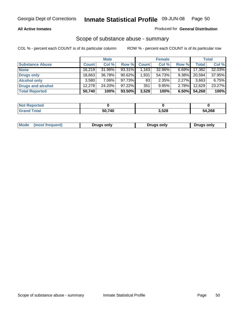#### **All Active Inmates**

#### Produced for **General Distribution**

### Scope of substance abuse - summary

|                        |              | <b>Male</b> |           |                 | <b>Female</b> |          |              | <b>Total</b> |
|------------------------|--------------|-------------|-----------|-----------------|---------------|----------|--------------|--------------|
| <b>Substance Abuse</b> | <b>Count</b> | Col %       | Row %     | <b>Count</b>    | Col %         | Row %    | <b>Total</b> | Col %        |
| <b>None</b>            | 16.219       | 31.96%      | $93.31\%$ | 1.1631          | 32.96%        | $6.69\%$ | 17,382       | 32.03%       |
| Drugs only             | 18,663       | 36.78%      | $90.62\%$ | 1,931           | 54.73%        | $9.38\%$ | 20.594       | 37.95%       |
| <b>Alcohol only</b>    | 3.580        | $7.06\%$    | 97.73%    | 83 <sub>1</sub> | 2.35%         | $2.27\%$ | 3,663        | 6.75%        |
| Drugs and alcohol      | 12.278       | 24.20%      | $97.22\%$ | 351             | 9.95%         | $2.78\%$ | 12,629       | 23.27%       |
| <b>Total Reported</b>  | 50,740       | 100%        | 93.50%    | 3,528           | 100%          | 6.50%    | 54,268       | 100%         |

| <b>Not Reported</b> |        |       |        |
|---------------------|--------|-------|--------|
| <b>Grand Total</b>  | 50.740 | 3,528 | 54,268 |

| Mode<br>(most frequent)<br>Drugs only<br>Drugs only<br><b>Drugs only</b> |
|--------------------------------------------------------------------------|
|--------------------------------------------------------------------------|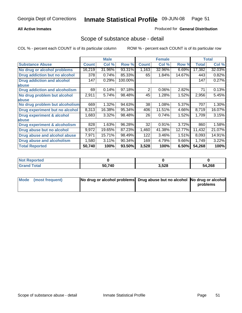#### **All Active Inmates**

#### Produced for **General Distribution**

### Scope of substance abuse - detail

|                                      |              | <b>Male</b> |         |                | <b>Female</b> |        |              | <b>Total</b> |
|--------------------------------------|--------------|-------------|---------|----------------|---------------|--------|--------------|--------------|
| <b>Substance Abuse</b>               | <b>Count</b> | Col %       | Row %   | <b>Count</b>   | Col %         | Row %  | <b>Total</b> | Col %        |
| No drug or alcohol problems          | 16,219       | 31.96%      | 93.31%  | 1,163          | 32.96%        | 6.69%  | 17,382       | 32.03%       |
| Drug addiction but no alcohol        | 378          | 0.74%       | 85.33%  | 65             | 1.84%         | 14.67% | 443          | 0.82%        |
| <b>Drug addiction and alcohol</b>    | 147          | 0.29%       | 100.00% |                |               |        | 147          | 0.27%        |
| abuse                                |              |             |         |                |               |        |              |              |
| <b>Drug addiction and alcoholism</b> | 69           | 0.14%       | 97.18%  | $\overline{2}$ | 0.06%         | 2.82%  | 71           | 0.13%        |
| No drug problem but alcohol          | 2,911        | 5.74%       | 98.48%  | 45             | 1.28%         | 1.52%  | 2,956        | 5.45%        |
| abuse                                |              |             |         |                |               |        |              |              |
| No drug problem but alcoholism       | 669          | 1.32%       | 94.63%  | 38             | 1.08%         | 5.37%  | 707          | 1.30%        |
| Drug experiment but no alcohol       | 8,313        | 16.38%      | 95.34%  | 406            | 11.51%        | 4.66%  | 8,719        | 16.07%       |
| <b>Drug experiment &amp; alcohol</b> | 1,683        | 3.32%       | 98.48%  | 26             | 0.74%         | 1.52%  | 1,709        | 3.15%        |
| abuse                                |              |             |         |                |               |        |              |              |
| Drug experiment & alcoholism         | 828          | 1.63%       | 96.28%  | 32             | 0.91%         | 3.72%  | 860          | 1.58%        |
| Drug abuse but no alcohol            | 9,972        | 19.65%      | 87.23%  | 1,460          | 41.38%        | 12.77% | 11,432       | 21.07%       |
| Drug abuse and alcohol abuse         | 7,971        | 15.71%      | 98.49%  | 122            | 3.46%         | 1.51%  | 8,093        | 14.91%       |
| <b>Drug abuse and alcoholism</b>     | 1,580        | 3.11%       | 90.34%  | 169            | 4.79%         | 9.66%  | 1,749        | 3.22%        |
| <b>Total Reported</b>                | 50,740       | 100%        | 93.50%  | 3,528          | 100%          | 6.50%  | 54,268       | 100%         |

| <b>Not Reported</b> |        |       |        |
|---------------------|--------|-------|--------|
| 'otal               | 50.740 | 3,528 | 54,268 |

| Mode (most frequent) | No drug or alcohol problems Drug abuse but no alcohol No drug or alcohol |          |
|----------------------|--------------------------------------------------------------------------|----------|
|                      |                                                                          | problems |
|                      |                                                                          |          |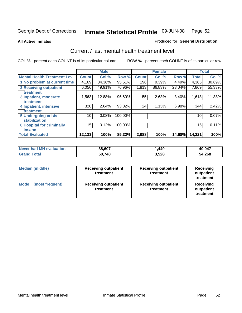**All Active Inmates**

#### Produced for **General Distribution**

### Current / last mental health treatment level

|                                    |                 | <b>Male</b> |         |              | <b>Female</b> |        |              | <b>Total</b> |
|------------------------------------|-----------------|-------------|---------|--------------|---------------|--------|--------------|--------------|
| <b>Mental Health Treatment Lev</b> | <b>Count</b>    | Col %       | Row %   | <b>Count</b> | Col %         | Row %  | <b>Total</b> | Col %        |
| 1 No problem at current time       | 4,169           | 34.36%      | 95.51%  | 196          | 9.39%         | 4.49%  | 4,365        | 30.69%       |
| <b>2 Receiving outpatient</b>      | 6,056           | 49.91%      | 76.96%  | 1,813        | 86.83%        | 23.04% | 7,869        | 55.33%       |
| treatment                          |                 |             |         |              |               |        |              |              |
| 3 Inpatient, moderate              | 1,563           | 12.88%      | 96.60%  | 55           | 2.63%         | 3.40%  | 1,618        | 11.38%       |
| treatment                          |                 |             |         |              |               |        |              |              |
| 4 Inpatient, intensive             | 320             | 2.64%       | 93.02%  | 24           | 1.15%         | 6.98%  | 344          | 2.42%        |
| treatment                          |                 |             |         |              |               |        |              |              |
| <b>5 Undergoing crisis</b>         | 10 <sub>1</sub> | 0.08%       | 100.00% |              |               |        | 10           | $0.07\%$     |
| stabilization                      |                 |             |         |              |               |        |              |              |
| <b>6 Hospital for criminally</b>   | 15              | 0.12%       | 100.00% |              |               |        | 15           | 0.11%        |
| insane                             |                 |             |         |              |               |        |              |              |
| <b>Total Evaluated</b>             | 12,133          | 100%        | 85.32%  | 2,088        | 100%          | 14.68% | 14,221       | 100%         |

| Never had MH evaluation  | 38,607 | . ,440 | 40,047 |
|--------------------------|--------|--------|--------|
| <b>Total</b><br>ˈGrand . | 50,740 | 3,528  | 54,268 |

| <b>Median (middle)</b>         | <b>Receiving outpatient</b><br>treatment | <b>Receiving outpatient</b><br>treatment | <b>Receiving</b><br>outpatient<br>treatment |  |  |
|--------------------------------|------------------------------------------|------------------------------------------|---------------------------------------------|--|--|
| <b>Mode</b><br>(most frequent) | <b>Receiving outpatient</b><br>treatment | <b>Receiving outpatient</b><br>treatment | Receiving<br>outpatient<br>treatment        |  |  |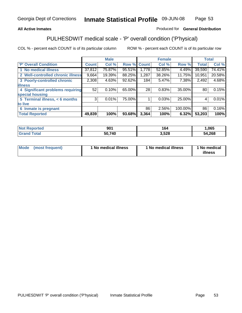#### **All Active Inmates**

#### Produced for **General Distribution**

# PULHESDWIT medical scale - 'P' overall condition ('P'hysical)

|                                   |                | <b>Male</b> |        |              | <b>Female</b> |         |              | <b>Total</b> |
|-----------------------------------|----------------|-------------|--------|--------------|---------------|---------|--------------|--------------|
| 'P' Overall Condition             | <b>Count</b>   | Col %       | Row %  | <b>Count</b> | Col %         | Row %   | <b>Total</b> | Col %        |
| 1 No medical illness              | 37,812         | 75.87%      | 95.51% | ا 778. ا     | 52.85%        | 4.49%   | 39,590       | 74.41%       |
| 2 Well-controlled chronic illness | 9,664          | 19.39%      | 88.25% | 1,287        | 38.26%        | 11.75%  | 10,951       | 20.58%       |
| 3 Poorly-controlled chronic       | 2,308          | 4.63%       | 92.62% | 184          | 5.47%         | 7.38%   | 2,492        | 4.68%        |
| <b>illness</b>                    |                |             |        |              |               |         |              |              |
| 4 Significant problems requiring  | 52             | 0.10%       | 65.00% | 28           | 0.83%         | 35.00%  | 80           | 0.15%        |
| special housing                   |                |             |        |              |               |         |              |              |
| 5 Terminal illness, < 6 months    | 3 <sup>1</sup> | 0.01%       | 75.00% |              | 0.03%         | 25.00%  | 4            | 0.01%        |
| to live                           |                |             |        |              |               |         |              |              |
| Inmate is pregnant<br>6           |                |             |        | 86           | 2.56%         | 100.00% | 86           | 0.16%        |
| <b>Total Reported</b>             | 49,839         | 100%        | 93.68% | 3,364        | 100%          | 6.32%   | 53,203       | 100%         |

| <b>Not Reported</b> | 901    | 164   | ,065   |
|---------------------|--------|-------|--------|
| <b>Grand Total</b>  | 50,740 | 3,528 | 54,268 |

| Mode (most frequent) | 1 No medical illness | 1 No medical illness | 1 No medical |
|----------------------|----------------------|----------------------|--------------|
|                      |                      |                      | illness      |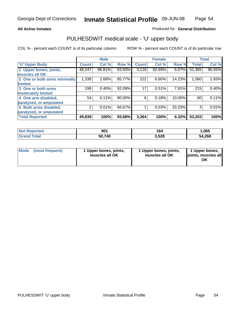#### **All Active Inmates**

#### Produced for **General Distribution**

### PULHESDWIT medical scale - 'U' upper body

|                              |        | <b>Male</b> |        |              | <b>Female</b> |          |              | <b>Total</b> |
|------------------------------|--------|-------------|--------|--------------|---------------|----------|--------------|--------------|
| <b>U' Upper Body</b>         | Count! | Col %       | Row %  | <b>Count</b> | Col %         | Row %    | <b>Total</b> | Col %        |
| 1 Upper bones, joints,       | 48,247 | 96.81%      | 93.93% | 3,118        | 92.69%        | $6.07\%$ | 51,365       | 96.55%       |
| muscles all OK               |        |             |        |              |               |          |              |              |
| 2 One or both arms minimally | 1,338  | 2.68%       | 85.77% | 222          | 6.60%         | 14.23%   | 1,560        | 2.93%        |
| limited                      |        |             |        |              |               |          |              |              |
| 3 One or both arms           | 198    | 0.40%       | 92.09% | 17           | 0.51%         | 7.91%    | 215          | 0.40%        |
| moderately limited           |        |             |        |              |               |          |              |              |
| 4 One arm disabled,          | 54     | 0.11%       | 90.00% | 6            | 0.18%         | 10.00%   | 60           | 0.11%        |
| paralyzed, or amputated      |        |             |        |              |               |          |              |              |
| 5 Both arms disabled,        | 2      | 0.01%       | 66.67% |              | 0.03%         | 33.33%   | 3            | 0.01%        |
| paralyzed, or amputated      |        |             |        |              |               |          |              |              |
| <b>Total Reported</b>        | 49,839 | 100%        | 93.68% | 3,364        | 100%          | 6.32%    | 53,203       | 100%         |

| <b>Not Reported</b>  | 901    | 164   | ,065   |
|----------------------|--------|-------|--------|
| $\tau$ otal<br>Grand | 50,740 | 3,528 | 54,268 |

| <b>Mode</b> | (most frequent) | 1 Upper bones, joints,<br>muscles all OK | 1 Upper bones, joints,<br>muscles all OK | 1 Upper bones,<br>joints, muscles all<br>ΟK |
|-------------|-----------------|------------------------------------------|------------------------------------------|---------------------------------------------|
|-------------|-----------------|------------------------------------------|------------------------------------------|---------------------------------------------|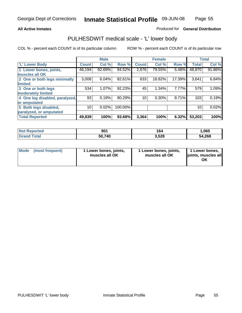#### **All Active Inmates**

#### Produced for **General Distribution**

### PULHESDWIT medical scale - 'L' lower body

|                                |              | <b>Male</b> |         |              | <b>Female</b> |        |              | <b>Total</b> |
|--------------------------------|--------------|-------------|---------|--------------|---------------|--------|--------------|--------------|
| <b>L' Lower Body</b>           | <b>Count</b> | Col %       | Row %   | <b>Count</b> | Col %         | Row %  | <b>Total</b> | Col %        |
| 1 Lower bones, joints,         | 46,194       | 92.69%      | 94.52%  | 2,676        | 79.55%        | 5.48%  | 48,870       | 91.86%       |
| muscles all OK                 |              |             |         |              |               |        |              |              |
| 2 One or both legs minimally   | 3,008        | 6.04%       | 82.61%  | 633          | 18.82%        | 17.39% | 3,641        | 6.84%        |
| limited                        |              |             |         |              |               |        |              |              |
| 3 One or both legs             | 534          | 1.07%       | 92.23%  | 45           | 1.34%         | 7.77%  | 579          | 1.09%        |
| moderately limited             |              |             |         |              |               |        |              |              |
| 4 One leg disabled, paralyzed, | 93           | 0.19%       | 90.29%  | 10           | 0.30%         | 9.71%  | 103          | 0.19%        |
| or amputated                   |              |             |         |              |               |        |              |              |
| 5 Both legs disabled,          | 10           | 0.02%       | 100.00% |              |               |        | 10           | 0.02%        |
| paralyzed, or amputated        |              |             |         |              |               |        |              |              |
| <b>Total Reported</b>          | 49,839       | 100%        | 93.68%  | 3,364        | 100%          | 6.32%  | 53,203       | 100%         |

| <b>Not Reported</b>  | 901    | 164   | ,065   |
|----------------------|--------|-------|--------|
| $\tau$ otal<br>Grand | 50,740 | 3,528 | 54,268 |

|  | Mode (most frequent) | 1 Lower bones, joints,<br>muscles all OK | 1 Lower bones, joints,<br>muscles all OK | 1 Lower bones,<br>joints, muscles all<br>OK |
|--|----------------------|------------------------------------------|------------------------------------------|---------------------------------------------|
|--|----------------------|------------------------------------------|------------------------------------------|---------------------------------------------|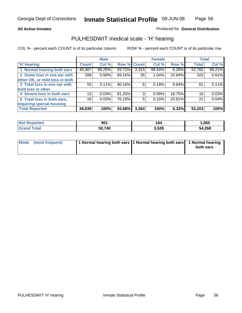#### **All Active Inmates**

#### Produced for **General Distribution**

### PULHESDWIT medical scale - 'H' hearing

COL % - percent each COUNT is of its particular column ROW % - percent each COUNT is of its particular row

|                                |                 | <b>Male</b> |             |       | <b>Female</b> |        | <b>Total</b> |        |
|--------------------------------|-----------------|-------------|-------------|-------|---------------|--------|--------------|--------|
| <b>H'</b> Hearing              | <b>Count</b>    | Col %       | Row % Count |       | Col %         | Row %  | <b>Total</b> | Col %  |
| 1 Normal hearing both ears     | 49,467          | 99.25%      | 93.72%      | 3,315 | 98.54%        | 6.28%  | 52,782       | 99.21% |
| 2 Some loss in one ear with    | 288             | 0.58%       | 89.16%      | 35    | 1.04%         | 10.84% | 323          | 0.61%  |
| other OK, or mild loss in both |                 |             |             |       |               |        |              |        |
| 3 Total loss in one ear with   | 55              | 0.11%       | 90.16%      | 6     | 0.18%         | 9.84%  | 61           | 0.11%  |
| mild loss in other             |                 |             |             |       |               |        |              |        |
| 4 Severe loss in both ears     | 13              | 0.03%       | 81.25%      | 3     | $0.09\%$      | 18.75% | 16           | 0.03%  |
| 5 Total loss in both ears,     | 16 <sub>1</sub> | 0.03%       | 76.19%      | 5     | 0.15%         | 23.81% | 21           | 0.04%  |
| requiring special housing      |                 |             |             |       |               |        |              |        |
| <b>Total Reported</b>          | 49,839          | 100%        | 93.68%      | 3,364 | 100%          | 6.32%  | 53,203       | 100%   |

| <b>Not</b><br>งorted | 901    | 164   | .065   |
|----------------------|--------|-------|--------|
| <b>Tota</b>          | 50.740 | 3,528 | 54,268 |

| Mode (most frequent) | 1 Normal hearing both ears 11 Normal hearing both ears 1 Normal hearing |           |
|----------------------|-------------------------------------------------------------------------|-----------|
|                      |                                                                         | both ears |
|                      |                                                                         |           |

Page 56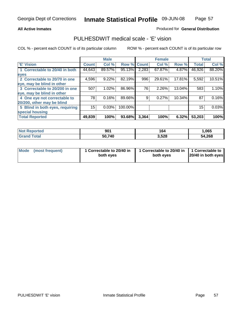#### **All Active Inmates**

#### Produced for **General Distribution**

### PULHESDWIT medical scale - 'E' vision

|                                 |              | <b>Male</b> |             |       | <b>Female</b> |           |              | <b>Total</b> |
|---------------------------------|--------------|-------------|-------------|-------|---------------|-----------|--------------|--------------|
| 'E' Vision                      | <b>Count</b> | Col %       | Row % Count |       | Col %         | Row %     | <b>Total</b> | Col %        |
| 1 Correctable to 20/40 in both  | 44,643       | 89.57%      | 95.13%      | 2,283 | 67.87%        | 4.87%     | 46,926       | 88.20%       |
| eyes                            |              |             |             |       |               |           |              |              |
| 2 Correctable to 20/70 in one   | 4,596        | 9.22%       | 82.19%      | 996   | 29.61%        | 17.81%    | 5,592        | 10.51%       |
| eye, may be blind in other      |              |             |             |       |               |           |              |              |
| 3 Correctable to 20/200 in one  | 507          | 1.02%       | 86.96%      | 76    | 2.26%         | 13.04%    | 583          | 1.10%        |
| eye, may be blind in other      |              |             |             |       |               |           |              |              |
| 4 One eye not correctable to    | 78           | 0.16%       | 89.66%      | 9     | 0.27%         | $10.34\%$ | 87           | 0.16%        |
| 20/200, other may be blind      |              |             |             |       |               |           |              |              |
| 5 Blind in both eyes, requiring | 15           | 0.03%       | 100.00%     |       |               |           | 15           | 0.03%        |
| special housing                 |              |             |             |       |               |           |              |              |
| <b>Total Reported</b>           | 49,839       | 100%        | 93.68%      | 3,364 | 100%          | 6.32%     | 53,203       | 100%         |

| <b>Not Reported</b> | 901    | 164   | ,065   |
|---------------------|--------|-------|--------|
| <b>ota</b> ı        | 50,740 | 3,528 | 54,268 |

| Mode | (most frequent) | 1 Correctable to 20/40 in<br>both eves | 1 Correctable to 20/40 in   1 Correctable to<br>both eves | 20/40 in both eyes |
|------|-----------------|----------------------------------------|-----------------------------------------------------------|--------------------|
|      |                 |                                        |                                                           |                    |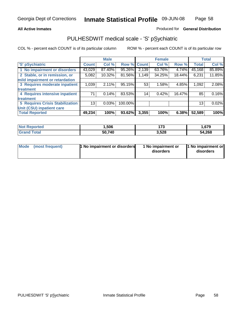#### **All Active Inmates**

#### Produced for **General Distribution**

### PULHESDWIT medical scale - 'S' pSychiatric

|                                        |              | <b>Male</b> |             |       | <b>Female</b> |        |              | <b>Total</b> |
|----------------------------------------|--------------|-------------|-------------|-------|---------------|--------|--------------|--------------|
| 'S' pSychiatric                        | <b>Count</b> | Col %       | Row % Count |       | Col %         | Row %  | <b>Total</b> | Col %        |
| 1 No impairment or disorders           | 43,029       | 87.40%      | 95.26%      | 2,139 | 63.76%        | 4.74%  | 45,168       | 85.89%       |
| 2 Stable, or in remission, or          | 5,082        | 10.32%      | 81.56%      | 1,149 | 34.25%        | 18.44% | 6,231        | 11.85%       |
| mild impairment or retardation         |              |             |             |       |               |        |              |              |
| 3 Requires moderate inpatient          | 1,039        | 2.11%       | 95.15%      | 53    | 1.58%         | 4.85%  | 1,092        | 2.08%        |
| treatment                              |              |             |             |       |               |        |              |              |
| 4 Requires intensive inpatient         | 71           | 0.14%       | 83.53%      | 14    | 0.42%         | 16.47% | 85           | 0.16%        |
| treatment                              |              |             |             |       |               |        |              |              |
| <b>5 Requires Crisis Stabilization</b> | 13           | 0.03%       | 100.00%     |       |               |        | 13           | 0.02%        |
| Unit (CSU) inpatient care              |              |             |             |       |               |        |              |              |
| <b>Total Reported</b>                  | 49,234       | 100%        | 93.62%      | 3,355 | 100%          | 6.38%  | 52,589       | 100%         |

| <b>Not Reported</b> | .506   | 472<br>115 | . 679، ، |
|---------------------|--------|------------|----------|
| <b>Grand Total</b>  | 50,740 | 3,528      | 54,268   |

| Mode (most frequent) | <b>1</b> No impairment or disorders | 1 No impairment or<br>disorders | 1 No impairment or<br>disorders |
|----------------------|-------------------------------------|---------------------------------|---------------------------------|
|                      |                                     |                                 |                                 |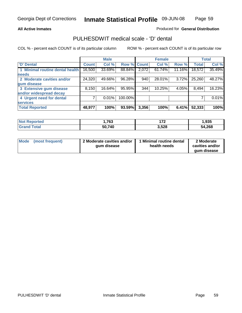#### **All Active Inmates**

#### Produced for **General Distribution**

### PULHESDWIT medical scale - 'D' dental

|                                 |              | <b>Male</b> |             |       | <b>Female</b> |        |              | <b>Total</b> |
|---------------------------------|--------------|-------------|-------------|-------|---------------|--------|--------------|--------------|
| <b>D' Dental</b>                | <b>Count</b> | Col %       | Row % Count |       | Col %         | Row %  | <b>Total</b> | Col %        |
| 1 Minimal routine dental health | 16,500       | 33.69%      | 88.84%      | 2,072 | 61.74%        | 11.16% | 18,572       | 35.49%       |
| <b>needs</b>                    |              |             |             |       |               |        |              |              |
| 2 Moderate cavities and/or      | 24,320       | 49.66%      | 96.28%      | 940   | 28.01%        | 3.72%  | 25,260       | 48.27%       |
| gum disease                     |              |             |             |       |               |        |              |              |
| 3 Extensive gum disease         | 8,150        | 16.64%      | 95.95%      | 344   | 10.25%        | 4.05%  | 8,494        | 16.23%       |
| and/or widespread decay         |              |             |             |       |               |        |              |              |
| 4 Urgent need for dental        |              | 0.01%       | 100.00%     |       |               |        |              | 0.01%        |
| <b>services</b>                 |              |             |             |       |               |        |              |              |
| <b>Total Reported</b>           | 48,977       | 100%        | 93.59%      | 3,356 | 100%          | 6.41%  | 52,333       | 100%         |

| orted<br>NG | ,763   | יי<br>. | 1,935  |
|-------------|--------|---------|--------|
| 'otal       | 50,740 | 3,528   | 54,268 |

| <b>Mode</b> | (most frequent) | 2 Moderate cavities and/or<br>qum disease | Minimal routine dental<br>health needs | 2 Moderate<br>cavities and/or |
|-------------|-----------------|-------------------------------------------|----------------------------------------|-------------------------------|
|             |                 |                                           |                                        | qum disease                   |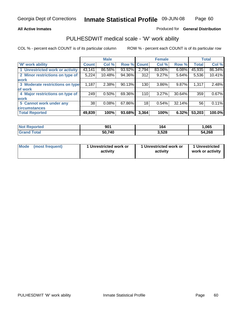#### **All Active Inmates**

#### Produced for **General Distribution**

### PULHESDWIT medical scale - 'W' work ability

|                                 |              | <b>Male</b> |        |              | <b>Female</b> |        |              | <b>Total</b> |
|---------------------------------|--------------|-------------|--------|--------------|---------------|--------|--------------|--------------|
| <b>W' work ability</b>          | <b>Count</b> | Col %       | Row %  | <b>Count</b> | Col %         | Row %  | <b>Total</b> | Col %        |
| 1 Unrestricted work or activity | 43,141       | 86.56%      | 93.92% | 2,794        | 83.06%        | 6.08%  | 45,935       | 86.34%       |
| 2 Minor restrictions on type of | 5,224        | 10.48%      | 94.36% | 312          | 9.27%         | 5.64%  | 5,536        | 10.41%       |
| <b>work</b>                     |              |             |        |              |               |        |              |              |
| 3 Moderate restrictions on type | 1,187        | $2.38\%$    | 90.13% | 130          | 3.86%         | 9.87%  | 1,317        | 2.48%        |
| of work                         |              |             |        |              |               |        |              |              |
| 4 Major restrictions on type of | 249          | 0.50%       | 69.36% | 110          | 3.27%         | 30.64% | 359          | 0.67%        |
| <b>work</b>                     |              |             |        |              |               |        |              |              |
| 5 Cannot work under any         | 38           | 0.08%       | 67.86% | 18           | 0.54%         | 32.14% | 56           | 0.11%        |
| <b>circumstances</b>            |              |             |        |              |               |        |              |              |
| <b>Total Reported</b>           | 49,839       | 100%        | 93.68% | 3,364        | 100%          | 6.32%  | 53,203       | 100.0%       |

| <b>Not Reported</b>          | 901    | 164   | 065, ا |
|------------------------------|--------|-------|--------|
| <b>Total</b><br><b>Grand</b> | 50,740 | 3,528 | 54,268 |

| Mode | (most frequent) | 1 Unrestricted work or<br>activity | 1 Unrestricted work or<br>activity | 1 Unrestricted<br>work or activity |
|------|-----------------|------------------------------------|------------------------------------|------------------------------------|
|------|-----------------|------------------------------------|------------------------------------|------------------------------------|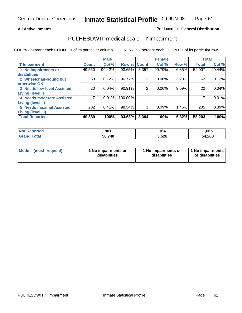#### Page 61

#### **All Active Inmates**

#### Produced for **General Distribution**

### PULHESDWIT medical scale - 'I' impairment

|                                   |              | <b>Male</b> |             |                | <b>Female</b> |       | <b>Total</b> |        |
|-----------------------------------|--------------|-------------|-------------|----------------|---------------|-------|--------------|--------|
| <b>T' Impairment</b>              | <b>Count</b> | Col %       | Row % Count |                | Col %         | Row % | <b>Total</b> | Col %  |
| 1 No impairments or               | 49,550       | 99.42%      | 93.65%      | 3,357          | 99.79%        | 6.35% | 52,907       | 99.44% |
| disabilities                      |              |             |             |                |               |       |              |        |
| 2 Wheelchair-bound but            | 60           | 0.12%       | 96.77%      | $\overline{2}$ | 0.06%         | 3.23% | 62           | 0.12%  |
| otherwise OK                      |              |             |             |                |               |       |              |        |
| <b>3 Needs low-level Assisted</b> | 20           | 0.04%       | 90.91%      | $\overline{2}$ | 0.06%         | 9.09% | 22           | 0.04%  |
| Living (level I)                  |              |             |             |                |               |       |              |        |
| 4 Needs moderate Assisted         |              | 0.01%       | 100.00%     |                |               |       |              | 0.01%  |
| <b>Living (level II)</b>          |              |             |             |                |               |       |              |        |
| <b>5 Needs maximal Assisted</b>   | 202          | 0.41%       | 98.54%      | 3              | 0.09%         | 1.46% | 205          | 0.39%  |
| <b>Living (level III)</b>         |              |             |             |                |               |       |              |        |
| <b>Total Reported</b>             | 49,839       | 100%        | 93.68%      | 3,364          | 100%          | 6.32% | 53,203       | 100%   |

| <b>Not Reported</b> | 901    | 164   | ,065   |
|---------------------|--------|-------|--------|
| <b>Grand Total</b>  | 50,740 | 3,528 | 54,268 |

| <b>Mode</b> | (most frequent) | 1 No impairments or<br>disabilities | 1 No impairments or<br>disabilities | 1 1 No impairments<br>or disabilities |
|-------------|-----------------|-------------------------------------|-------------------------------------|---------------------------------------|
|-------------|-----------------|-------------------------------------|-------------------------------------|---------------------------------------|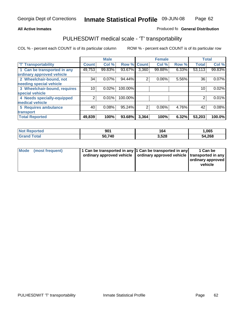#### **Inmate Statistical Profile 09-JUN-08 Page** Page 62

#### All Active Inmates **All Active Inmates All Active Inmates Produced fo General Distribution**

### PULHESDWIT medical scale - 'T' transportability

|                              |              | <b>Male</b> |             |                | <b>Female</b> |       | <b>Total</b> |        |
|------------------------------|--------------|-------------|-------------|----------------|---------------|-------|--------------|--------|
| <b>T' Transportability</b>   | <b>Count</b> | Col %       | Row % Count |                | Col %         | Row % | <b>Total</b> | Col %  |
| 1 Can be transported in any  | 49,753       | 99.83%      | 93.67%      | 3,360          | 99.88%        | 6.33% | 53,113       | 99.83% |
| ordinary approved vehicle    |              |             |             |                |               |       |              |        |
| 2 Wheelchair-bound, not      | 34           | 0.07%       | 94.44%      | $\overline{2}$ | 0.06%         | 5.56% | 36           | 0.07%  |
| needing special vehicle      |              |             |             |                |               |       |              |        |
| 3 Wheelchair-bound, requires | 10           | 0.02%       | 100.00%     |                |               |       | 10           | 0.02%  |
| special vehicle              |              |             |             |                |               |       |              |        |
| 4 Needs specially-equipped   | າ            | 0.01%       | 100.00%     |                |               |       |              | 0.01%  |
| medical vehicle              |              |             |             |                |               |       |              |        |
| 5 Requires ambulance         | 40           | 0.08%       | 95.24%      | $\overline{2}$ | 0.06%         | 4.76% | 42           | 0.08%  |
| transport                    |              |             |             |                |               |       |              |        |
| <b>Total Reported</b>        | 49,839       | 100%        | 93.68%      | 3,364          | 100%          | 6.32% | 53,203       | 100.0% |

| <b>Not Reported</b> | 901    | 164   | 1,065  |
|---------------------|--------|-------|--------|
| <b>Grand Total</b>  | 50,740 | 3,528 | 54,268 |

| Mode (most frequent) | 1 Can be transported in any 1 Can be transported in any | ordinary approved vehicle   ordinary approved vehicle   transported in any | 1 Can be<br>ordinary approved<br>vehicle |
|----------------------|---------------------------------------------------------|----------------------------------------------------------------------------|------------------------------------------|
|                      |                                                         |                                                                            |                                          |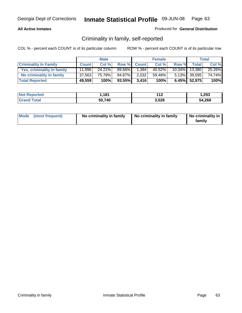#### **All Active Inmates**

#### Produced for **General Distribution**

### Criminality in family, self-reported

|                              |              | <b>Male</b> |           |              | <b>Female</b> |           |              | <b>Total</b> |
|------------------------------|--------------|-------------|-----------|--------------|---------------|-----------|--------------|--------------|
| <b>Criminality In Family</b> | <b>Count</b> | Col %       | Row %     | <b>Count</b> | Col %         | Row %     | <b>Total</b> | Col %        |
| Yes, criminality in family   | 11.996       | $24.21\%$   | 89.66%I   | 1,384        | 40.52%        | $10.34\%$ | 13.380       | 25.26%       |
| No criminality in family     | 37,563       | 75.79%      | 94.87%    | 2,032        | 59.48%        |           | 5.13% 39,595 | 74.74%       |
| <b>Total Reported</b>        | 49,559       | 100%        | $93.55\%$ | 3.416        | 100%          |           | 6.45% 52,975 | 100%         |

| <b>Not Reported</b>          | 1.181  | 140<br>- 14 | 1,293  |
|------------------------------|--------|-------------|--------|
| <b>Total</b><br><b>Grand</b> | 50,740 | 3,528       | 54,268 |

|  | Mode (most frequent) | No criminality in family | No criminality in family | No criminality in<br>family |
|--|----------------------|--------------------------|--------------------------|-----------------------------|
|--|----------------------|--------------------------|--------------------------|-----------------------------|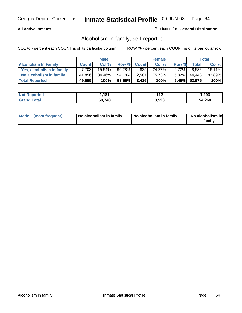#### **All Active Inmates**

#### Produced for **General Distribution**

### Alcoholism in family, self-reported

|                             |              | <b>Male</b> |           |              | <b>Female</b> |          |              | <b>Total</b> |
|-----------------------------|--------------|-------------|-----------|--------------|---------------|----------|--------------|--------------|
| <b>Alcoholism In Family</b> | <b>Count</b> | Col %       | Row %     | <b>Count</b> | Col %         | Row %    | <b>Total</b> | Col %        |
| Yes, alcoholism in family   | 7.703        | 15.54%      | $90.28\%$ | 829          | 24.27%        | $9.72\%$ | 8,532        | 16.11%       |
| No alcoholism in family     | 41,856       | 84.46%      | 94.18%I   | 2,587        | 75.73%        | 5.82%    | 44.443       | 83.89%       |
| <b>Total Reported</b>       | 49,559       | 100%        | $93.55\%$ | 3.416        | 100%          |          | 6.45% 52,975 | 100%         |

| <b>Not Reported</b>          | 1.181  | 140<br>- 14 | 1,293  |
|------------------------------|--------|-------------|--------|
| <b>Total</b><br><b>Grand</b> | 50,740 | 3,528       | 54,268 |

|  | Mode (most frequent) | No alcoholism in family | No alcoholism in family | No alcoholism in<br>family |
|--|----------------------|-------------------------|-------------------------|----------------------------|
|--|----------------------|-------------------------|-------------------------|----------------------------|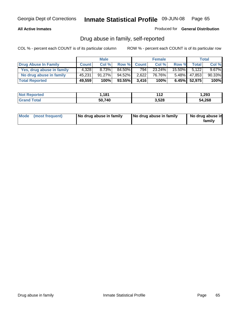#### **All Active Inmates**

Produced for **General Distribution**

### Drug abuse in family, self-reported

|                           |              | <b>Male</b> |        |              | <b>Female</b> |           |              | <b>Total</b> |
|---------------------------|--------------|-------------|--------|--------------|---------------|-----------|--------------|--------------|
| Drug Abuse In Family      | <b>Count</b> | Col %       | Row %  | <b>Count</b> | Col %         | Row %     | <b>Total</b> | Col %        |
| Yes, drug abuse in family | 4,328        | 8.73%       | 84.50% | 794 l        | 23.24%        | $15.50\%$ | 5,122        | $9.67\%$     |
| No drug abuse in family   | 45,231       | $91.27\%$   | 94.52% | 2,622        | 76.76%        | $5.48\%$  | 47,853       | 90.33%       |
| <b>Total Reported</b>     | 49,559       | 100%        | 93.55% | 3,416        | 100%          |           | 6.45% 52,975 | 100%         |

| <b>Not Reported</b>          | 1.181  | 140<br>- 14 | 1,293  |
|------------------------------|--------|-------------|--------|
| <b>Total</b><br><b>Grand</b> | 50,740 | 3,528       | 54,268 |

|  | Mode (most frequent) | No drug abuse in family | No drug abuse in family | No drug abuse in<br>family |
|--|----------------------|-------------------------|-------------------------|----------------------------|
|--|----------------------|-------------------------|-------------------------|----------------------------|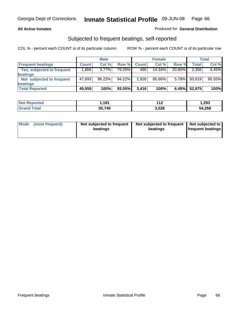#### **All Active Inmates**

#### Produced for **General Distribution**

### Subjected to frequent beatings, self-reported

|                            |              | <b>Male</b> |        |              | <b>Female</b> |        |        | <b>Total</b> |
|----------------------------|--------------|-------------|--------|--------------|---------------|--------|--------|--------------|
| <b>Frequent beatings</b>   | <b>Count</b> | Col%        | Row %  | <b>Count</b> | Col%          | Row %  | Total  | Col %        |
| Yes, subjected to frequent | .866         | $3.77\%$    | 79.20% | 490          | 14.34%        | 20.80% | 2,356  | 4.45%        |
| beatings                   |              |             |        |              |               |        |        |              |
| Not subjected to frequent  | 47,693       | 96.23%      | 94.22% | 2,926        | 85.66%        | 5.78%  | 50,619 | 95.55%       |
| beatings                   |              |             |        |              |               |        |        |              |
| <b>Total Reported</b>      | 49,559       | 100%        | 93.55% | 3,416        | 100%          | 6.45%  | 52,975 | 100%         |

| <b>Not F</b><br>Reported | ∣,181  | 119   | 1,293  |
|--------------------------|--------|-------|--------|
| ſotal<br>Gra             | 50,740 | 3,528 | 54,268 |

| <b>Mode</b> | (most frequent) | Not subjected to frequent<br>beatings | Not subjected to frequent<br>beatings | Not subjected to<br>frequent beatings |
|-------------|-----------------|---------------------------------------|---------------------------------------|---------------------------------------|
|             |                 |                                       |                                       |                                       |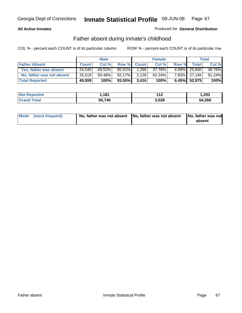#### **All Active Inmates**

#### Produced for **General Distribution**

### Father absent during inmate's childhood

|                           |              | <b>Male</b> |           |              | <b>Female</b> |       |              | Total  |
|---------------------------|--------------|-------------|-----------|--------------|---------------|-------|--------------|--------|
| <b>Father Absent</b>      | <b>Count</b> | Col %       | Row %     | <b>Count</b> | Col%          | Row % | Total        | Col %  |
| Yes, father was absent    | 24,540       | 49.52%      | 95.01%    | .290         | 37.76%        | 4.99% | 25,830       | 48.76% |
| No, father was not absent | 25,019       | $50.48\%$   | $92.17\%$ | 2,126        | $62.24\%$     |       | 7.83% 27,145 | 51.24% |
| <b>Total Reported</b>     | 49,559       | 100%        | 93.55%    | 3,416        | 100%          |       | 6.45% 52,975 | 100%   |

| <b>Not Reported</b> | 181,ا  | $\overline{ }$<br>- 14 | 293. ا |
|---------------------|--------|------------------------|--------|
| <b>Srand Total</b>  | 50,740 | 3,528                  | 54,268 |

| Mode (most frequent) |  | 「No, father was not absent ┃No, father was not absent ┃No, father was not | absent |
|----------------------|--|---------------------------------------------------------------------------|--------|
|----------------------|--|---------------------------------------------------------------------------|--------|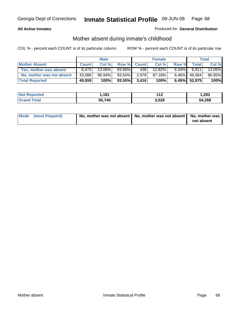#### **All Active Inmates**

#### Produced for **General Distribution**

### Mother absent during inmate's childhood

|                           |              | <b>Male</b> |        |              | <b>Female</b> |          |                 | Total  |
|---------------------------|--------------|-------------|--------|--------------|---------------|----------|-----------------|--------|
| <b>Mother Absent</b>      | <b>Count</b> | Col %       | Row %  | <b>Count</b> | Col %         | Row %    | Total           | Col %  |
| Yes, mother was absent    | 6.473        | 13.06%      | 93.66% | 438          | 12.82%        | $6.34\%$ | 6.911           | 13.05% |
| No, mother was not absent | 43,086       | 86.94%      | 93.54% | 2,978        | 87.18%        | $6.46\%$ | 46,064          | 86.95% |
| <b>Total Reported</b>     | 49,559       | 100%        | 93.55% | 3,416        | 100%          |          | $6.45\%$ 52,975 | 100%   |

| <b>Not Reported</b>  | 181    | 149<br>-14 | .293.ء |
|----------------------|--------|------------|--------|
| <b>Tota</b><br>Grand | 50,740 | 3,528      | 54,268 |

| Mode (most frequent) | No, mother was not absent   No, mother was not absent   No, mother was | not absent |
|----------------------|------------------------------------------------------------------------|------------|
|----------------------|------------------------------------------------------------------------|------------|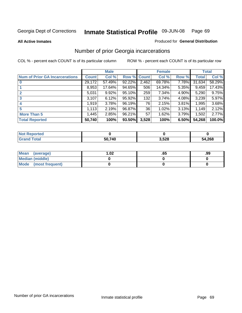**All Active Inmates**

#### Produced for **General Distribution**

### Number of prior Georgia incarcerations

|                                       |              | <b>Male</b> |                    |       | <b>Female</b> |       |        | <b>Total</b> |
|---------------------------------------|--------------|-------------|--------------------|-------|---------------|-------|--------|--------------|
| <b>Num of Prior GA Incarcerations</b> | <b>Count</b> | Col %       | <b>Row % Count</b> |       | Col %         | Row % | Total  | Col %        |
| $\bf{0}$                              | 29,172       | 57.49%      | 92.22%             | 2,462 | 69.78%        | 7.78% | 31,634 | 58.29%       |
|                                       | 8,953        | 17.64%      | 94.65%             | 506   | 14.34%        | 5.35% | 9,459  | 17.43%       |
|                                       | 5,031        | 9.92%       | 95.10%             | 259   | 7.34%         | 4.90% | 5,290  | 9.75%        |
| 3                                     | 3,107        | 6.12%       | 95.92%             | 132   | 3.74%         | 4.08% | 3,239  | 5.97%        |
|                                       | 1,919        | 3.78%       | 96.19%             | 76    | 2.15%         | 3.81% | 1,995  | 3.68%        |
| 5                                     | 1,113        | 2.19%       | 96.87%             | 36    | 1.02%         | 3.13% | 1,149  | 2.12%        |
| <b>More Than 5</b>                    | 1,445        | 2.85%       | 96.21%             | 57    | 1.62%         | 3.79% | 1,502  | 2.77%        |
| <b>Total Reported</b>                 | 50,740       | 100%        | 93.50%             | 3,528 | 100%          | 6.50% | 54,268 | 100.0%       |

| <b>Not</b><br>orted |        |       |        |
|---------------------|--------|-------|--------|
| <b>cotal</b>        | 50,740 | 3,528 | 54,268 |

| Mean (average)       | .02 | כס. | .99 |
|----------------------|-----|-----|-----|
| Median (middle)      |     |     |     |
| Mode (most frequent) |     |     |     |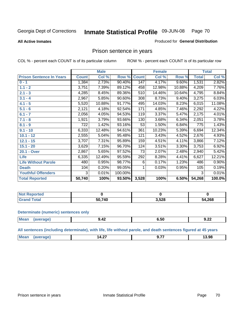#### **All Active Inmates**

#### Produced for **General Distribution**

### Prison sentence in years

COL % - percent each COUNT is of its particular column ROW % - percent each COUNT is of its particular row

|                                 |              | <b>Male</b> |         |              | <b>Female</b> |          |              | <b>Total</b> |
|---------------------------------|--------------|-------------|---------|--------------|---------------|----------|--------------|--------------|
| <b>Prison Sentence In Years</b> | <b>Count</b> | Col %       | Row %   | <b>Count</b> | Col %         | Row %    | <b>Total</b> | Col %        |
| $0 - 1$                         | 1,384        | 2.73%       | 90.40%  | 147          | 4.17%         | $9.60\%$ | 1,531        | 2.82%        |
| $1.1 - 2$                       | 3,751        | 7.39%       | 89.12%  | 458          | 12.98%        | 10.88%   | 4,209        | 7.76%        |
| $2.1 - 3$                       | 4,285        | 8.45%       | 89.36%  | 510          | 14.46%        | 10.64%   | 4,795        | 8.84%        |
| $3.1 - 4$                       | 2,967        | 5.85%       | 90.60%  | 308          | 8.73%         | 9.40%    | 3,275        | 6.03%        |
| $4.1 - 5$                       | 5,520        | 10.88%      | 91.77%  | 495          | 14.03%        | 8.23%    | 6,015        | 11.08%       |
| $5.1 - 6$                       | 2,121        | 4.18%       | 92.54%  | 171          | 4.85%         | 7.46%    | 2,292        | 4.22%        |
| $6.1 - 7$                       | 2,056        | 4.05%       | 94.53%  | 119          | 3.37%         | 5.47%    | 2,175        | 4.01%        |
| $7.1 - 8$                       | 1,921        | 3.79%       | 93.66%  | 130          | 3.68%         | 6.34%    | 2,051        | 3.78%        |
| $8.1 - 9$                       | 722          | 1.42%       | 93.16%  | 53           | 1.50%         | 6.84%    | 775          | 1.43%        |
| $9.1 - 10$                      | 6,333        | 12.48%      | 94.61%  | 361          | 10.23%        | 5.39%    | 6,694        | 12.34%       |
| $10.1 - 12$                     | 2,555        | 5.04%       | 95.48%  | 121          | 3.43%         | 4.52%    | 2,676        | 4.93%        |
| $12.1 - 15$                     | 3,707        | 7.31%       | 95.89%  | 159          | 4.51%         | 4.11%    | 3,866        | 7.12%        |
| $15.1 - 20$                     | 3,629        | 7.15%       | 96.70%  | 124          | 3.51%         | 3.30%    | 3,753        | 6.92%        |
| 20.1 - Over                     | 2,867        | 5.65%       | 97.52%  | 73           | 2.07%         | 2.48%    | 2,940        | 5.42%        |
| <b>Life</b>                     | 6,335        | 12.49%      | 95.59%  | 292          | 8.28%         | 4.41%    | 6,627        | 12.21%       |
| <b>Life Without Parole</b>      | 480          | 0.95%       | 98.77%  | 6            | 0.17%         | 1.23%    | 486          | 0.90%        |
| <b>Death</b>                    | 104          | 0.20%       | 99.05%  |              | 0.03%         | 0.95%    | 105          | 0.19%        |
| <b>Youthful Offenders</b>       | 3            | 0.01%       | 100.00% |              |               |          | 3            | 0.01%        |
| <b>Total Reported</b>           | 50,740       | 100%        | 93.50%  | 3,528        | 100%          | 6.50%    | 54,268       | 100.0%       |

| <b>Not Reported</b>  |            |       |        |
|----------------------|------------|-------|--------|
| <b>otal</b><br>. Grr | 740<br>50. | 3,528 | 54,268 |

#### **Determinate (numeric) sentences only**

| <b>Mear</b><br>$\cdots$ | ma | .<br>$- - - -$ | o.ou<br>- - - | $\cdot$ or<br>. .<br>J.LL |
|-------------------------|----|----------------|---------------|---------------------------|
|                         |    |                |               |                           |

**All sentences (including determinate), with life, life without parole, and death sentences figured at 45 years**

| <b>Me</b><br>$-$<br>__<br>ız<br><br>4.Z.<br>. .<br>. | 98،<br>. |
|------------------------------------------------------|----------|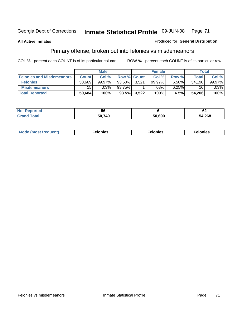**All Active Inmates**

#### Produced for **General Distribution**

# Primary offense, broken out into felonies vs misdemeanors

|                                  |              | <b>Male</b> |                    |       | <b>Female</b> |       | Total  |        |
|----------------------------------|--------------|-------------|--------------------|-------|---------------|-------|--------|--------|
| <b>Felonies and Misdemeanors</b> | <b>Count</b> | Col %       | <b>Row % Count</b> |       | Col %         | Row % | Total. | Col %  |
| <b>Felonies</b>                  | 50,669       | $99.97\%$   | 93.50%             | 3.521 | 99.97%        | 6.50% | 54,190 | 99.97% |
| <b>Misdemeanors</b>              | 15           | $.03\%$     | $93.75\%$          |       | .03%          | 6.25% | 16     | .03%   |
| <b>Total Reported</b>            | 50,684       | 100%        | $93.5\%$           | 3,522 | 100%          | 6.5%  | 54,206 | 100%   |

| <b>Not</b><br>.eported | oc     |        | $\sim$<br>VZ |
|------------------------|--------|--------|--------------|
| Grar<br><b>ota</b> l   | 50 74C | 50.690 | 54,268       |

| Mode (most frequent) | elonies | elonies | onies<br>-е к |
|----------------------|---------|---------|---------------|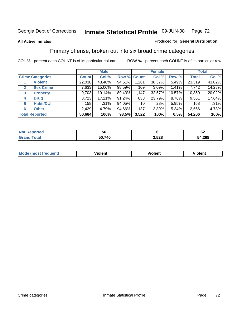#### **All Active Inmates**

#### Produced for **General Distribution**

### Primary offense, broken out into six broad crime categories

|                                  |              | <b>Male</b> |             |       | <b>Female</b> |        |              | <b>Total</b> |
|----------------------------------|--------------|-------------|-------------|-------|---------------|--------|--------------|--------------|
| <b>Crime Categories</b>          | <b>Count</b> | Col %       | Row % Count |       | Col %         | Row %  | <b>Total</b> | Col %        |
| <b>Violent</b>                   | 22,038       | 43.48%      | 94.51%      | 1,281 | 36.37%        | 5.49%  | 23,319       | 43.02%       |
| <b>Sex Crime</b><br>$\mathbf{2}$ | 7,633        | 15.06%      | 98.59%      | 109   | 3.09%         | 1.41%  | 7,742        | 14.28%       |
| $\mathbf{3}$<br><b>Property</b>  | 9,703        | 19.14%      | 89.43%      | 1,147 | 32.57%        | 10.57% | 10,850       | 20.02%       |
| <b>Drug</b><br>4                 | 8,723        | 17.21%      | 91.24%      | 838   | 23.79%        | 8.76%  | 9,561        | 17.64%       |
| <b>Habit/DUI</b><br>5            | 158          | $.31\%$     | 94.05%      | 10    | .28%          | 5.95%  | 168          | .31%         |
| <b>Other</b><br>6                | 2,429        | 4.79%       | 94.66%      | 137   | 3.89%         | 5.34%  | 2,566        | 4.73%        |
| <b>Total Reported</b>            | 50,684       | 100%        | 93.5%       | 3,522 | 100%          | 6.5%   | 54,206       | 100%         |

| rreo<br>N | วง         |       | VZ.        |  |
|-----------|------------|-------|------------|--|
|           | .740<br>50 | 3,528 | .268<br>54 |  |

|  | <b>Mou</b><br>--- | .<br>วlent | ---<br>olent | ≀lent<br>-------- |
|--|-------------------|------------|--------------|-------------------|
|--|-------------------|------------|--------------|-------------------|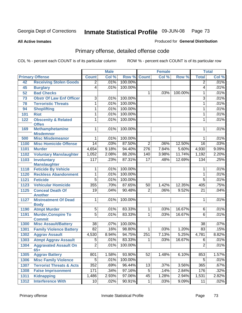**All Active Inmates**

### Produced for **General Distribution**

# Primary offense, detailed offense code

|      |                                                |                 | <b>Male</b> |         |                  | <b>Female</b> |         |                 | <b>Total</b> |
|------|------------------------------------------------|-----------------|-------------|---------|------------------|---------------|---------|-----------------|--------------|
|      | <b>Primary Offense</b>                         | <b>Count</b>    | Col %       | Row %   | <b>Count</b>     | Col %         | Row %   | <b>Total</b>    | Col %        |
| 42   | <b>Receiving Stolen Goods</b>                  | $\overline{2}$  | .01%        | 100.00% |                  |               |         | $\overline{2}$  | .01%         |
| 45   | <b>Burglary</b>                                | $\overline{4}$  | .01%        | 100.00% |                  |               |         | 4               | .01%         |
| 52   | <b>Bad Checks</b>                              |                 |             |         | 1.               | .03%          | 100.00% | 1               | .01%         |
| 73   | <b>Obstr Of Law Enf Officer</b>                | $\overline{3}$  | .01%        | 100.00% |                  |               |         | 3               | .01%         |
| 78   | <b>Terroristic Threats</b>                     | 1               | .01%        | 100.00% |                  |               |         | 1               | .01%         |
| 94   | <b>Shoplifting</b>                             | 1               | .01%        | 100.00% |                  |               |         | 1               | .01%         |
| 101  | <b>Riot</b>                                    | 1               | .01%        | 100.00% |                  |               |         | 1               | .01%         |
| 122  | <b>Obscenity &amp; Related</b><br><b>Offen</b> | 1               | .01%        | 100.00% |                  |               |         | 1               | .01%         |
| 169  | <b>Methamphetamine</b><br><b>Misdemnor</b>     | 1               | .01%        | 100.00% |                  |               |         | 1               | .01%         |
| 500  | <b>Misc Misdemeanor</b>                        | 1               | .01%        | 100.00% |                  |               |         | 1               | .01%         |
| 1100 | <b>Misc Homicide Offense</b>                   | $\overline{14}$ | .03%        | 87.50%  | $\overline{2}$   | .06%          | 12.50%  | 16              | .03%         |
| 1101 | <b>Murder</b>                                  | 4,654           | 9.18%       | 94.40%  | $\overline{276}$ | 7.84%         | 5.60%   | 4,930           | 9.09%        |
| 1102 | <b>Voluntary Manslaughter</b>                  | 1,052           | 2.08%       | 88.26%  | 140              | 3.98%         | 11.74%  | 1,192           | 2.20%        |
| 1103 | <b>Involuntary</b>                             | 117             | .23%        | 87.31%  | $\overline{17}$  | .48%          | 12.69%  | 134             | .25%         |
|      | <b>Manslaughter</b>                            |                 |             |         |                  |               |         |                 |              |
| 1118 | <b>Feticide By Vehicle</b>                     | 1               | .01%        | 100.00% |                  |               |         | 1               | .01%         |
| 1120 | <b>Reckless Abandonment</b>                    | 1               | .01%        | 100.00% |                  |               |         | 1               | .01%         |
| 1121 | <b>Feticide</b>                                | $\overline{5}$  | .01%        | 100.00% |                  |               |         | $\overline{5}$  | .01%         |
| 1123 | <b>Vehicular Homicide</b>                      | 355             | .70%        | 87.65%  | 50               | 1.42%         | 12.35%  | 405             | .75%         |
| 1125 | <b>Conceal Death Of</b><br><b>Another</b>      | $\overline{19}$ | .04%        | 90.48%  | $\overline{2}$   | .06%          | 9.52%   | $\overline{21}$ | .04%         |
| 1127 | <b>Mistreatment Of Dead</b><br><b>Body</b>     | 1               | .01%        | 100.00% |                  |               |         | 1               | .01%         |
| 1190 | <b>Atmpt Murder</b>                            | $\overline{5}$  | .01%        | 83.33%  | 1                | .03%          | 16.67%  | 6               | .01%         |
| 1191 | <b>Murder, Conspire To</b><br><b>Commit</b>    | $\overline{5}$  | .01%        | 83.33%  | 1                | .03%          | 16.67%  | 6               | .01%         |
| 1300 | <b>Misc Assault/Battery</b>                    | $\overline{38}$ | .07%        | 100.00% |                  |               |         | $\overline{38}$ | .07%         |
| 1301 | <b>Family Violence Battery</b>                 | $\overline{82}$ | .16%        | 98.80%  | $\overline{1}$   | .03%          | 1.20%   | 83              | .15%         |
| 1302 | <b>Aggrav Assault</b>                          | 4,530           | 8.94%       | 94.75%  | 251              | 7.13%         | 5.25%   | 4,781           | 8.82%        |
| 1303 | <b>Atmpt Aggrav Assault</b>                    | $\overline{5}$  | .01%        | 83.33%  | 1                | .03%          | 16.67%  | $\overline{6}$  | .01%         |
| 1304 | <b>Aggravated Assault On</b><br>$65+$          | $\overline{2}$  | .01%        | 100.00% |                  |               |         | $\overline{2}$  | .01%         |
| 1305 | <b>Aggrav Battery</b>                          | 801             | 1.58%       | 93.90%  | 52               | 1.48%         | 6.10%   | 853             | 1.57%        |
| 1306 | <b>Misc Family Violence</b>                    | $\overline{5}$  | .01%        | 100.00% |                  |               |         | 5               | .01%         |
| 1307 | <b>Terrorist Threats &amp; Acts</b>            | 352             | .69%        | 96.44%  | 13               | .37%          | 3.56%   | 365             | .67%         |
| 1308 | <b>False Imprisonment</b>                      | 171             | .34%        | 97.16%  | 5                | .14%          | 2.84%   | 176             | .32%         |
| 1311 | <b>Kidnapping</b>                              | 1,486           | 2.93%       | 97.06%  | 45               | 1.28%         | 2.94%   | 1,531           | 2.82%        |
| 1312 | <b>Interference With</b>                       | 10              | .02%        | 90.91%  | $\mathbf{1}$     | .03%          | 9.09%   | 11              | .02%         |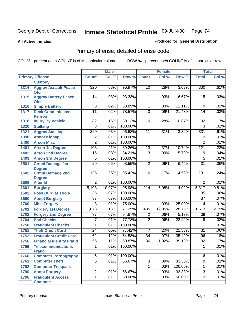**All Active Inmates**

### Produced for **General Distribution**

# Primary offense, detailed offense code

|      |                                             |                  | <b>Male</b> |         |                 | <b>Female</b> |         |                 | <b>Total</b> |
|------|---------------------------------------------|------------------|-------------|---------|-----------------|---------------|---------|-----------------|--------------|
|      | <b>Primary Offense</b>                      | <b>Count</b>     | Col %       | Row %   | <b>Count</b>    | Col %         | Row %   | <b>Total</b>    | Col %        |
|      | <b>Custody</b>                              |                  |             |         |                 |               |         |                 |              |
| 1314 | <b>Aggrav Assault Peace</b><br><b>Ofcr</b>  | 320              | .63%        | 96.97%  | 10              | .28%          | 3.03%   | 330             | .61%         |
| 1315 | <b>Aggrav Battery Peace</b><br><b>Ofcr</b>  | 14               | .03%        | 93.33%  | $\mathbf{1}$    | .03%          | 6.67%   | 15              | .03%         |
| 1316 | <b>Simple Battery</b>                       | $\overline{8}$   | .02%        | 88.89%  | 1               | .03%          | 11.11%  | $\overline{9}$  | .02%         |
| 1317 | <b>Reck Cond Infected</b>                   | $\overline{11}$  | .02%        | 78.57%  | $\overline{3}$  | .09%          | 21.43%  | 14              | .03%         |
|      | <b>Person</b>                               |                  |             |         |                 |               |         |                 |              |
| 1318 | <b>Injury By Vehicle</b>                    | $\overline{82}$  | .16%        | 89.13%  | 10              | .28%          | 10.87%  | $\overline{92}$ | .17%         |
| 1320 | <b>Stalking</b>                             | $\overline{3}$   | .01%        | 100.00% |                 |               |         | $\overline{3}$  | .01%         |
| 1321 | <b>Aggrav Stalking</b>                      | 320              | .63%        | 96.68%  | $\overline{11}$ | .31%          | 3.32%   | 331             | .61%         |
| 1390 | <b>Atmpt Kidnap</b>                         | $\overline{2}$   | .01%        | 100.00% |                 |               |         | $\overline{2}$  | .01%         |
| 1400 | <b>Arson Misc</b>                           | $\overline{2}$   | .01%        | 100.00% |                 |               |         | $\overline{2}$  | .01%         |
| 1401 | <b>Arson 1st Degree</b>                     | 108              | .21%        | 89.26%  | $\overline{13}$ | .37%          | 10.74%  | 121             | .22%         |
| 1402 | <b>Arson 2nd Degree</b>                     | $\overline{16}$  | .03%        | 84.21%  | $\overline{3}$  | .09%          | 15.79%  | $\overline{19}$ | .04%         |
| 1403 | <b>Arson 3rd Degree</b>                     | $\overline{5}$   | .01%        | 100.00% |                 |               |         | $\overline{5}$  | .01%         |
| 1501 | <b>Crmnl Damage 1st</b>                     | $\overline{29}$  | .06%        | 93.55%  | $\overline{2}$  | .06%          | 6.45%   | $\overline{31}$ | .06%         |
|      | <b>Degree</b>                               |                  |             |         |                 |               |         |                 |              |
| 1502 | <b>Crmnl Damage 2nd</b><br><b>Degree</b>    | $\overline{125}$ | .25%        | 95.42%  | 6               | .17%          | 4.58%   | 131             | .24%         |
| 1506 | <b>Alter Id</b>                             | $\overline{2}$   | .01%        | 100.00% |                 |               |         | $\overline{2}$  | .01%         |
| 1601 | <b>Burglary</b>                             | 5,103            | 10.07%      | 95.98%  | 214             | 6.08%         | 4.02%   | 5,317           | 9.81%        |
| 1602 | <b>Poss Burglar Tools</b>                   | $\overline{35}$  | .07%        | 100.00% |                 |               |         | 35              | .06%         |
| 1690 | <b>Atmpt Burglary</b>                       | $\overline{37}$  | .07%        | 100.00% |                 |               |         | $\overline{37}$ | .07%         |
| 1700 | <b>Misc Forgery</b>                         | 3                | .01%        | 75.00%  | $\mathbf{1}$    | .03%          | 25.00%  | 4               | .01%         |
| 1701 | <b>Forgery 1st Degree</b>                   | 1,078            | 2.13%       | 71.25%  | 435             | 12.35%        | 28.75%  | 1,513           | 2.79%        |
| 1702 | <b>Forgery 2nd Degree</b>                   | $\overline{37}$  | .07%        | 94.87%  | $\overline{2}$  | .06%          | 5.13%   | 39              | .07%         |
| 1704 | <b>Bad Checks</b>                           | $\overline{7}$   | .01%        | 77.78%  | $\overline{2}$  | .06%          | 22.22%  | $\overline{9}$  | .02%         |
| 1750 | <b>Fraudulent Checks</b>                    | 1                | .01%        | 100.00% |                 |               |         | 1               | .01%         |
| 1751 | <b>Theft Credit Card</b>                    | $\overline{24}$  | .05%        | 77.42%  | 7               | .20%          | 22.58%  | $\overline{31}$ | .06%         |
| 1753 | <b>Fraudulent Credit Card</b>               | 62               | .12%        | 64.58%  | 34              | .97%          | 35.42%  | 96              | .18%         |
| 1756 | <b>Financial Identity Fraud</b>             | $\overline{56}$  | .11%        | 60.87%  | 36              | 1.02%         | 39.13%  | 92              | .17%         |
| 1759 | <b>Telecommunications</b>                   | $\overline{1}$   | .01%        | 100.00% |                 |               |         | $\overline{1}$  | .01%         |
| 1760 | <b>Fraud</b><br><b>Computer Pornography</b> | $\overline{6}$   | .01%        | 100.00% |                 |               |         | $\overline{6}$  | .01%         |
| 1761 | <b>Computer Theft</b>                       | $\overline{6}$   | .01%        | 66.67%  | $\overline{3}$  | .09%          | 33.33%  | $\overline{9}$  | .02%         |
| 1762 | <b>Computer Trespass</b>                    |                  |             |         | $\overline{1}$  | .03%          | 100.00% | 1               | .01%         |
| 1790 | <b>Atmpt Forgery</b>                        | $\overline{2}$   | .01%        | 66.67%  | $\overline{1}$  | .03%          | 33.33%  | $\overline{3}$  | .01%         |
| 1796 | <b>Fraudulent Access</b>                    | $\overline{1}$   | .01%        | 50.00%  | $\overline{1}$  | .03%          | 50.00%  | $\overline{2}$  | .01%         |
|      | <b>Compute</b>                              |                  |             |         |                 |               |         |                 |              |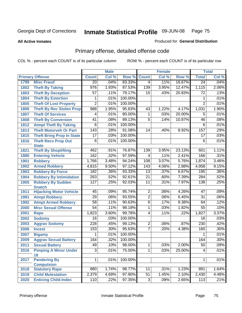**All Active Inmates**

#### Produced for **General Distribution**

# Primary offense, detailed offense code

|      |                                                 |                  | <b>Male</b> |         |                  | <b>Female</b> |        |                 | <b>Total</b> |
|------|-------------------------------------------------|------------------|-------------|---------|------------------|---------------|--------|-----------------|--------------|
|      | <b>Primary Offense</b>                          | <b>Count</b>     | Col %       | Row %   | <b>Count</b>     | Col %         | Row %  | <b>Total</b>    | Col %        |
| 1799 | <b>Misc Fraud</b>                               | $\overline{20}$  | .04%        | 83.33%  | 4                | .11%          | 16.67% | $\overline{24}$ | .04%         |
| 1802 | <b>Theft By Taking</b>                          | $\overline{976}$ | 1.93%       | 87.53%  | 139              | 3.95%         | 12.47% | 1,115           | 2.06%        |
| 1803 | <b>Theft By Deception</b>                       | $\overline{57}$  | .11%        | 79.17%  | 15               | .43%          | 20.83% | $\overline{72}$ | .13%         |
| 1804 | <b>Theft By Extortion</b>                       | 1                | .01%        | 100.00% |                  |               |        | 1               | .01%         |
| 1805 | <b>Theft Of Lost Property</b>                   | $\overline{2}$   | .01%        | 100.00% |                  |               |        | $\overline{2}$  | .01%         |
| 1806 | <b>Theft By Rec Stolen Prop</b>                 | 988              | 1.95%       | 95.83%  | 43               | 1.22%         | 4.17%  | 1,031           | 1.90%        |
| 1807 | <b>Theft Of Services</b>                        | 4                | .01%        | 80.00%  | 1                | .03%          | 20.00% | 5               | .01%         |
| 1808 | <b>Theft By Conversion</b>                      | 41               | .08%        | 89.13%  | 5                | .14%          | 10.87% | 46              | .08%         |
| 1812 | <b>Atmpt Theft By Taking</b>                    | 6                | .01%        | 100.00% |                  |               |        | 6               | .01%         |
| 1813 | <b>Theft Motorveh Or Part</b>                   | 143              | .28%        | 91.08%  | $\overline{14}$  | .40%          | 8.92%  | 157             | .29%         |
| 1815 | <b>Theft Bring Prop In State</b>                | 17               | .03%        | 100.00% |                  |               |        | 17              | .03%         |
| 1816 | <b>Theft Recv Prop Out</b>                      | 6                | .01%        | 100.00% |                  |               |        | 6               | .01%         |
|      | <b>State</b>                                    |                  |             |         |                  |               |        |                 |              |
| 1821 | <b>Theft By Shoplifting</b>                     | 462              | .91%        | 76.87%  | 139              | 3.95%         | 23.13% | 601             | 1.11%        |
| 1880 | <b>Entering Vehicle</b>                         | 162              | .32%        | 97.59%  | 4                | .11%          | 2.41%  | 166             | .31%         |
| 1901 | <b>Robbery</b>                                  | 1,766            | 3.48%       | 94.24%  | 108              | 3.07%         | 5.76%  | 1,874           | 3.46%        |
| 1902 | <b>Armed Robbery</b>                            | 4,815            | 9.50%       | 97.12%  | $\overline{143}$ | 4.06%         | 2.88%  | 4,958           | 9.15%        |
| 1903 | <b>Robbery By Force</b>                         | 182              | .36%        | 93.33%  | 13               | .37%          | 6.67%  | 195             | .36%         |
| 1904 | <b>Robbery By Intimidation</b>                  | 263              | .52%        | 92.61%  | $\overline{21}$  | .60%          | 7.39%  | 284             | .52%         |
| 1905 | <b>Robbery By Sudden</b>                        | $\overline{127}$ | .25%        | 92.03%  | 11               | .31%          | 7.97%  | 138             | .25%         |
| 1911 | <b>Snatch</b><br><b>Hijacking Motor Vehicle</b> | 45               | .09%        | 95.74%  | $\overline{2}$   | .06%          | 4.26%  | 47              | .09%         |
| 1991 | <b>Atmpt Robbery</b>                            | $\overline{29}$  | .06%        | 93.55%  | $\overline{2}$   | .06%          | 6.45%  | $\overline{31}$ | .06%         |
| 1992 | <b>Atmpt Armed Robbery</b>                      | 58               | .11%        | 90.63%  | $\overline{6}$   | .17%          | 9.38%  | 64              | .12%         |
| 2000 | <b>Misc Sexual Offense</b>                      | $\overline{54}$  | .11%        | 98.18%  | $\overline{1}$   | .03%          | 1.82%  | $\overline{55}$ | .10%         |
| 2001 | Rape                                            | 1,823            | 3.60%       | 99.78%  | $\overline{4}$   | .11%          | .22%   | 1,827           | 3.37%        |
| 2002 | <b>Sodomy</b>                                   | 16               | .03%        | 100.00% |                  |               |        | 16              | .03%         |
| 2003 | <b>Aggrav Sodomy</b>                            | 228              | .45%        | 99.13%  | 2                | .06%          | .87%   | 230             | .42%         |
| 2006 | <b>Incest</b>                                   | 153              | .30%        | 95.63%  | $\overline{7}$   | .20%          | 4.38%  | 160             | .30%         |
| 2007 | <b>Bigamy</b>                                   | 1                | .01%        | 100.00% |                  |               |        | 1               | .01%         |
| 2009 | <b>Aggrav Sexual Battery</b>                    | 164              | .32%        | 100.00% |                  |               |        | 164             | .30%         |
| 2011 | <b>Sexual Battery</b>                           | 49               | .10%        | 98.00%  | $\mathbf 1$      | .03%          | 2.00%  | $\overline{50}$ | $.09\%$      |
| 2016 | <b>Pimping A Minor Under</b>                    | $\overline{3}$   | .01%        | 75.00%  | 1                | .03%          | 25.00% | 4               | .01%         |
|      | 18                                              |                  |             |         |                  |               |        |                 |              |
| 2017 | <b>Pandering By</b>                             | 1                | .01%        | 100.00% |                  |               |        | 1               | .01%         |
|      | <b>Compulsion</b>                               |                  |             |         |                  |               |        |                 |              |
| 2018 | <b>Statutory Rape</b>                           | 880              | 1.74%       | 98.77%  | 11               | .31%          | 1.23%  | 891             | 1.64%        |
| 2019 | <b>Child Molestation</b>                        | 2,379            | 4.69%       | 97.90%  | 51               | 1.45%         | 2.10%  | 2,430           | 4.48%        |
| 2020 | <b>Enticing Child-Indec</b>                     | 110              | .22%        | 97.35%  | دی               | .09%          | 2.65%  | 113             | .21%         |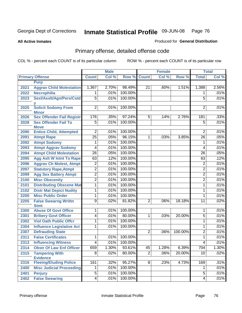**All Active Inmates**

### Produced for **General Distribution**

# Primary offense, detailed offense code

|      |                                                  |                 | <b>Male</b> |         |                 | <b>Female</b> |         |                 | <b>Total</b> |
|------|--------------------------------------------------|-----------------|-------------|---------|-----------------|---------------|---------|-----------------|--------------|
|      | <b>Primary Offense</b>                           | <b>Count</b>    | Col %       | Row %   | <b>Count</b>    | Col %         | Row %   | <b>Total</b>    | Col %        |
|      | <b>Purp</b>                                      |                 |             |         |                 |               |         |                 |              |
| 2021 | <b>Aggrav Child Molestation</b>                  | 1,367           | 2.70%       | 98.49%  | 21              | .60%          | 1.51%   | 1,388           | 2.56%        |
| 2022 | <b>Necrophilia</b>                               | 1               | .01%        | 100.00% |                 |               |         | 1               | .01%         |
| 2023 | Sexl/Asslt/Agn/Pers/Cstd                         | $\overline{5}$  | .01%        | 100.00% |                 |               |         | $\overline{5}$  | .01%         |
|      |                                                  |                 |             |         |                 |               |         |                 |              |
| 2025 | <b>Solicit Sodomy From</b>                       | $\overline{2}$  | .01%        | 100.00% |                 |               |         | 2               | .01%         |
| 2026 | <b>Minor</b><br><b>Sex Offender Fail Registr</b> | 176             | .35%        | 97.24%  | $5\overline{)}$ | .14%          | 2.76%   | 181             | .33%         |
| 2028 | <b>Sex Offender Fail To</b>                      | $\overline{5}$  | .01%        | 100.00% |                 |               |         | $\overline{5}$  | .01%         |
|      | <b>Move</b>                                      |                 |             |         |                 |               |         |                 |              |
| 2090 | <b>Entice Child, Attempted</b>                   | $\overline{2}$  | .01%        | 100.00% |                 |               |         | 2               | .01%         |
| 2091 | <b>Atmpt Rape</b>                                | $\overline{25}$ | .05%        | 96.15%  | $\mathbf{1}$    | .03%          | 3.85%   | $\overline{26}$ | .05%         |
| 2092 | <b>Atmpt Sodomy</b>                              | 1               | .01%        | 100.00% |                 |               |         | 1               | .01%         |
| 2093 | <b>Atmpt Aggrav Sodomy</b>                       | 4               | .01%        | 100.00% |                 |               |         | 4               | .01%         |
| 2094 | <b>Atmpt Child Molestation</b>                   | $\overline{26}$ | .05%        | 100.00% |                 |               |         | $\overline{26}$ | .05%         |
| 2095 | <b>Agg Aslt W Intnt To Rape</b>                  | 63              | .12%        | 100.00% |                 |               |         | 63              | .12%         |
| 2096 | <b>Aggrav Ch Molest, Atmpt</b>                   | $\overline{2}$  | .01%        | 100.00% |                 |               |         | $\overline{2}$  | .01%         |
| 2097 | <b>Statutory Rape, Atmpt</b>                     | $\overline{2}$  | .01%        | 100.00% |                 |               |         | $\overline{2}$  | .01%         |
| 2099 | <b>Agg Sex Battery Atmpt</b>                     | $\overline{2}$  | .01%        | 100.00% |                 |               |         | $\overline{2}$  | .01%         |
| 2100 | <b>Misc Obscenity</b>                            | $\overline{2}$  | .01%        | 100.00% |                 |               |         | $\overline{2}$  | .01%         |
| 2101 | <b>Distributing Obscene Mat</b>                  | $\overline{1}$  | .01%        | 100.00% |                 |               |         | 1               | .01%         |
| 2102 | <b>Distr Mat Depict Nudity</b>                   | 1               | .01%        | 100.00% |                 |               |         | 1               | .01%         |
| 2200 | <b>Misc Public Order</b>                         | 1               | .01%        | 100.00% |                 |               |         | 1               | .01%         |
| 2205 | <b>False Swearng Writtn</b>                      | $\overline{9}$  | .02%        | 81.82%  | $\overline{2}$  | .06%          | 18.18%  | $\overline{11}$ | .02%         |
|      | <b>Stmt</b>                                      |                 |             |         |                 |               |         |                 |              |
| 2300 | <b>Abuse Of Govt Office</b>                      | 1               | .01%        | 100.00% |                 |               |         | 1               | .01%         |
| 2301 | <b>Bribery Govt Officer</b>                      | $\overline{4}$  | .01%        | 80.00%  | 1               | .03%          | 20.00%  | 5               | .01%         |
| 2302 | <b>Viol Oath Public Offcr</b>                    | 1               | .01%        | 100.00% |                 |               |         | 1               | .01%         |
| 2304 | <b>Influence Legislative Act</b>                 | 1               | .01%        | 100.00% |                 |               |         | 1               | .01%         |
| 2307 | <b>Defrauding State</b>                          |                 |             |         | $\overline{2}$  | .06%          | 100.00% | $\overline{2}$  | .01%         |
| 2311 | <b>False Certificates</b>                        | 1               | .01%        | 100.00% |                 |               |         | 1               | .01%         |
| 2313 | <b>Influencing Witness</b>                       | $\overline{4}$  | .01%        | 100.00% |                 |               |         | 4               | .01%         |
| 2314 | <b>Obstr Of Law Enf Officer</b>                  | 659             | 1.30%       | 93.61%  | 45              | 1.28%         | 6.39%   | 704             | $1.30\%$     |
| 2315 | <b>Tampering With</b>                            | $\overline{8}$  | .02%        | 80.00%  | $\overline{2}$  | .06%          | 20.00%  | $\overline{10}$ | .02%         |
|      | <b>Evidence</b>                                  |                 |             |         |                 |               |         |                 |              |
| 2316 | <b>Fleeing/Eluding Police</b>                    | 161             | .32%        | 95.27%  | $\overline{8}$  | .23%          | 4.73%   | 169             | .31%         |
| 2400 | <b>Misc Judicial Proceeding</b>                  | 1               | .01%        | 100.00% |                 |               |         | 1               | .01%         |
| 2401 | <b>Perjury</b>                                   | $\overline{5}$  | .01%        | 100.00% |                 |               |         | $\overline{5}$  | .01%         |
| 2402 | <b>False Swearing</b>                            | $\overline{4}$  | .01%        | 100.00% |                 |               |         | 4               | .01%         |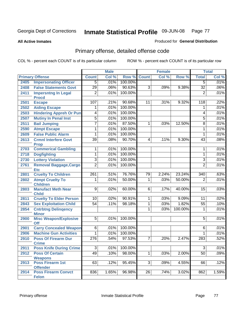**All Active Inmates**

### Produced for **General Distribution**

# Primary offense, detailed offense code

|                                            |                                                                                                                                                                                                                                                                                                                                                                                                                                               | <b>Male</b>                                                     |                                                                              |                                                              | <b>Female</b>                                 |                      |                 | <b>Total</b>                                                                       |
|--------------------------------------------|-----------------------------------------------------------------------------------------------------------------------------------------------------------------------------------------------------------------------------------------------------------------------------------------------------------------------------------------------------------------------------------------------------------------------------------------------|-----------------------------------------------------------------|------------------------------------------------------------------------------|--------------------------------------------------------------|-----------------------------------------------|----------------------|-----------------|------------------------------------------------------------------------------------|
| <b>Primary Offense</b>                     | <b>Count</b>                                                                                                                                                                                                                                                                                                                                                                                                                                  | Col %                                                           | Row %                                                                        | <b>Count</b>                                                 | Col %                                         | Row %                | <b>Total</b>    | Col %                                                                              |
| <b>Impersonating Officer</b>               | $\overline{5}$                                                                                                                                                                                                                                                                                                                                                                                                                                | .01%                                                            | 100.00%                                                                      |                                                              |                                               |                      | $\overline{5}$  | .01%                                                                               |
| <b>False Statements Govt</b>               | $\overline{29}$                                                                                                                                                                                                                                                                                                                                                                                                                               | .06%                                                            | 90.63%                                                                       | $\overline{3}$                                               | .09%                                          | 9.38%                | $\overline{32}$ | .06%                                                                               |
| <b>Impersntng In Legal</b>                 | $\overline{2}$                                                                                                                                                                                                                                                                                                                                                                                                                                | .01%                                                            | 100.00%                                                                      |                                                              |                                               |                      | $\overline{2}$  | .01%                                                                               |
|                                            |                                                                                                                                                                                                                                                                                                                                                                                                                                               |                                                                 |                                                                              |                                                              |                                               |                      |                 | .22%                                                                               |
|                                            | 1                                                                                                                                                                                                                                                                                                                                                                                                                                             |                                                                 |                                                                              |                                                              |                                               |                      | 1               | .01%                                                                               |
|                                            |                                                                                                                                                                                                                                                                                                                                                                                                                                               |                                                                 |                                                                              |                                                              |                                               |                      |                 | .01%                                                                               |
|                                            |                                                                                                                                                                                                                                                                                                                                                                                                                                               |                                                                 |                                                                              |                                                              |                                               |                      |                 | .01%                                                                               |
|                                            | $\overline{7}$                                                                                                                                                                                                                                                                                                                                                                                                                                |                                                                 |                                                                              | 1                                                            |                                               |                      |                 | .01%                                                                               |
|                                            | 1                                                                                                                                                                                                                                                                                                                                                                                                                                             |                                                                 |                                                                              |                                                              |                                               |                      | 1               | .01%                                                                               |
|                                            | 1                                                                                                                                                                                                                                                                                                                                                                                                                                             |                                                                 |                                                                              |                                                              |                                               |                      | 1               | .01%                                                                               |
| <b>Crmnl Interfere Govt</b>                | $\overline{39}$                                                                                                                                                                                                                                                                                                                                                                                                                               | .08%                                                            | 90.70%                                                                       | $\overline{4}$                                               | .11%                                          | 9.30%                | 43              | .08%                                                                               |
|                                            | 1                                                                                                                                                                                                                                                                                                                                                                                                                                             | .01%                                                            | 100.00%                                                                      |                                                              |                                               |                      | 1               | .01%                                                                               |
|                                            | $\overline{1}$                                                                                                                                                                                                                                                                                                                                                                                                                                | .01%                                                            | 100.00%                                                                      |                                                              |                                               |                      | 1               | .01%                                                                               |
|                                            | $\overline{3}$                                                                                                                                                                                                                                                                                                                                                                                                                                | .01%                                                            | 100.00%                                                                      |                                                              |                                               |                      | $\overline{3}$  | .01%                                                                               |
|                                            | $\overline{2}$                                                                                                                                                                                                                                                                                                                                                                                                                                | .01%                                                            | 100.00%                                                                      |                                                              |                                               |                      | $\overline{2}$  | .01%                                                                               |
| <b>Etc</b>                                 |                                                                                                                                                                                                                                                                                                                                                                                                                                               |                                                                 |                                                                              |                                                              |                                               |                      |                 |                                                                                    |
| <b>Cruelty To Children</b>                 | 261                                                                                                                                                                                                                                                                                                                                                                                                                                           | .51%                                                            | 76.76%                                                                       | 79                                                           | 2.24%                                         | 23.24%               | 340             | .63%                                                                               |
| <b>Atmpt Cruelty To</b><br><b>Children</b> | 1                                                                                                                                                                                                                                                                                                                                                                                                                                             | .01%                                                            | 50.00%                                                                       | 1                                                            | .03%                                          | 50.00%               | $\overline{2}$  | .01%                                                                               |
| <b>Manufact Meth Near</b><br><b>Child</b>  | $\overline{9}$                                                                                                                                                                                                                                                                                                                                                                                                                                | .02%                                                            | 60.00%                                                                       | $\overline{6}$                                               | .17%                                          | 40.00%               | 15              | .03%                                                                               |
| <b>Cruelty To Elder Person</b>             | $\overline{10}$                                                                                                                                                                                                                                                                                                                                                                                                                               | .02%                                                            | 90.91%                                                                       | $\mathbf{1}$                                                 | .03%                                          | 9.09%                | 11              | .02%                                                                               |
| <b>Sex Exploitation Child</b>              | $\overline{54}$                                                                                                                                                                                                                                                                                                                                                                                                                               | .11%                                                            | 98.18%                                                                       | 1                                                            | .03%                                          | 1.82%                | $\overline{55}$ | .10%                                                                               |
| <b>Cntrbtng Delingency</b>                 |                                                                                                                                                                                                                                                                                                                                                                                                                                               |                                                                 |                                                                              | 1                                                            | .03%                                          | 100.00%              | 1               | .01%                                                                               |
| <b>Minor</b>                               |                                                                                                                                                                                                                                                                                                                                                                                                                                               |                                                                 |                                                                              |                                                              |                                               |                      |                 |                                                                                    |
| Off                                        |                                                                                                                                                                                                                                                                                                                                                                                                                                               |                                                                 |                                                                              |                                                              |                                               |                      |                 | .01%                                                                               |
| <b>Carry Concealed Weapon</b>              | $\overline{6}$                                                                                                                                                                                                                                                                                                                                                                                                                                | .01%                                                            | 100.00%                                                                      |                                                              |                                               |                      | 6               | .01%                                                                               |
| <b>Machine Gun Activities</b>              | 1                                                                                                                                                                                                                                                                                                                                                                                                                                             | .01%                                                            | 100.00%                                                                      |                                                              |                                               |                      | 1               | .01%                                                                               |
| <b>Poss Of Firearm Dur</b>                 | $\overline{276}$                                                                                                                                                                                                                                                                                                                                                                                                                              | .54%                                                            | 97.53%                                                                       | $\overline{7}$                                               | .20%                                          | 2.47%                | 283             | .52%                                                                               |
|                                            |                                                                                                                                                                                                                                                                                                                                                                                                                                               |                                                                 |                                                                              |                                                              |                                               |                      |                 | .01%                                                                               |
|                                            | 49                                                                                                                                                                                                                                                                                                                                                                                                                                            |                                                                 |                                                                              | $\overline{1}$                                               |                                               |                      |                 | .09%                                                                               |
| <b>Weapons</b>                             |                                                                                                                                                                                                                                                                                                                                                                                                                                               |                                                                 |                                                                              |                                                              |                                               |                      |                 |                                                                                    |
| <b>Poss Firearm 1st</b>                    | 63                                                                                                                                                                                                                                                                                                                                                                                                                                            | .12%                                                            | 95.45%                                                                       | $\overline{3}$                                               | .09%                                          | 4.55%                | 66              | .12%                                                                               |
| <b>Offender</b>                            |                                                                                                                                                                                                                                                                                                                                                                                                                                               |                                                                 |                                                                              |                                                              |                                               |                      |                 |                                                                                    |
|                                            | <b>Procd</b><br><b>Escape</b><br><b>Aiding Escape</b><br><b>Hindering Appreh Or Pun</b><br><b>Mutiny In Penal Inst</b><br><b>Bail Jumping</b><br><b>Atmpt Escape</b><br><b>False Public Alarm</b><br><b>Prop</b><br><b>Commerical Gambling</b><br><b>Dogfighting</b><br><b>Lottery Violation</b><br><b>Removal Baggage, Cargo</b><br><b>Misc Weapon/Explosive</b><br><b>Crime</b><br><b>Poss Knife During Crime</b><br><b>Poss Of Certain</b> | 107<br>$\overline{4}$<br>$\overline{5}$<br>$\overline{5}$<br>دی | .21%<br>.01%<br>.01%<br>.01%<br>.01%<br>.01%<br>.01%<br>.01%<br>.01%<br>.10% | 90.68%<br>100.00%<br>100.00%<br>100.00%<br>87.50%<br>100.00% | 11<br>100.00%<br>100.00%<br>100.00%<br>98.00% | .31%<br>.03%<br>.03% | 9.32%<br>12.50% | 118<br>4<br>$\overline{5}$<br>$\overline{8}$<br>$\overline{5}$<br>3<br>2.00%<br>50 |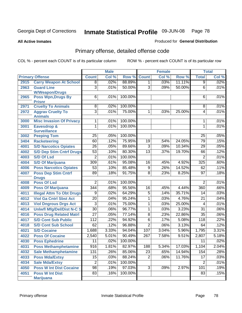**All Active Inmates**

### Produced for **General Distribution**

# Primary offense, detailed offense code

|      |                                            |                  | <b>Male</b> |         |                  | <b>Female</b> |        |                  | <b>Total</b> |
|------|--------------------------------------------|------------------|-------------|---------|------------------|---------------|--------|------------------|--------------|
|      | <b>Primary Offense</b>                     | <b>Count</b>     | Col %       | Row %   | <b>Count</b>     | Col %         | Row %  | <b>Total</b>     | Col %        |
| 2915 | <b>Carry Weapon At School</b>              | $\overline{8}$   | .02%        | 88.89%  | 1 <sup>1</sup>   | .03%          | 11.11% | $\overline{9}$   | .02%         |
| 2963 | <b>Guard Line</b>                          | $\overline{3}$   | .01%        | 50.00%  | $\overline{3}$   | .09%          | 50.00% | 6                | .01%         |
|      | <b>W/Weapon/Drugs</b>                      |                  |             |         |                  |               |        |                  |              |
| 2965 | <b>Poss Wpn, Drugs By</b>                  | 6                | .01%        | 100.00% |                  |               |        | 6                | .01%         |
|      | <b>Prisnr</b>                              |                  |             |         |                  |               |        |                  |              |
| 2971 | <b>Cruelty To Animals</b>                  | $\overline{8}$   | .02%        | 100.00% |                  |               |        | 8                | .01%         |
| 2972 | <b>Aggrav Cruelty To</b><br><b>Animals</b> | $\overline{3}$   | .01%        | 75.00%  | 1                | .03%          | 25.00% | $\overline{4}$   | .01%         |
| 3000 | <b>Misc Invasion Of Privacy</b>            | 1                | .01%        | 100.00% |                  |               |        | 1                | .01%         |
| 3001 | <b>Eavesdrop &amp;</b>                     | 1                | .01%        | 100.00% |                  |               |        | 1                | .01%         |
|      | <b>Surveillance</b>                        |                  |             |         |                  |               |        |                  |              |
| 3002 | <b>Peeping Tom</b>                         | 25               | .05%        | 100.00% |                  |               |        | 25               | .05%         |
| 3404 | <b>Racketeering</b>                        | 60               | .12%        | 75.95%  | $\overline{19}$  | .54%          | 24.05% | 79               | .15%         |
| 4001 | <b>S/D Narcotics Opiates</b>               | $\overline{26}$  | .05%        | 89.66%  | $\overline{3}$   | .09%          | 10.34% | 29               | .05%         |
| 4002 | <b>S/D Dep Stim Cntrf Drugs</b>            | $\overline{53}$  | .10%        | 80.30%  | $\overline{13}$  | .37%          | 19.70% | 66               | .12%         |
| 4003 | <b>S/D Of Lsd</b>                          | $\overline{2}$   | .01%        | 100.00% |                  |               |        | $\overline{2}$   | .01%         |
| 4004 | <b>S/D Of Marijuana</b>                    | 309              | .61%        | 95.08%  | 16               | .45%          | 4.92%  | 325              | .60%         |
| 4006 | <b>Poss Narcotics Opiates</b>              | $\overline{53}$  | .10%        | 85.48%  | $\overline{9}$   | .26%          | 14.52% | 62               | .11%         |
| 4007 | <b>Poss Dep Stim Cntrf</b>                 | $\overline{89}$  | .18%        | 91.75%  | $\overline{8}$   | .23%          | 8.25%  | 97               | .18%         |
|      | <b>Drugs</b>                               |                  |             |         |                  |               |        |                  |              |
| 4008 | <b>Poss Of Lsd</b>                         | $\overline{2}$   | .01%        | 100.00% |                  |               |        | $\overline{2}$   | .01%         |
| 4009 | <b>Poss Of Marijuana</b>                   | $\overline{344}$ | .68%        | 95.56%  | 16               | .45%          | 4.44%  | 360              | .66%         |
| 4011 | <b>Illegal Attm To Obt Drugs</b>           | $\overline{9}$   | .02%        | 64.29%  | $\overline{5}$   | .14%          | 35.71% | 14               | .03%         |
| 4012 | <b>Viol Ga Cntrl Sbst Act</b>              | $\overline{20}$  | .04%        | 95.24%  | 1                | .03%          | 4.76%  | $\overline{21}$  | .04%         |
| 4013 | <b>Viol Dngrous Drgs Act</b>               | $\overline{3}$   | .01%        | 75.00%  | $\overline{1}$   | .03%          | 25.00% | 4                | .01%         |
| 4014 | <b>Uniwfl Mfg/Del/Dist N-C S</b>           | $\overline{30}$  | .06%        | 96.77%  | 1                | .03%          | 3.23%  | $\overline{31}$  | .06%         |
| 4016 | <b>Poss Drug Related Matri</b>             | $\overline{27}$  | .05%        | 77.14%  | $\overline{8}$   | .23%          | 22.86% | $\overline{35}$  | .06%         |
| 4017 | <b>S/D Cont Sub Public</b>                 | $\overline{112}$ | .22%        | 94.92%  | $\overline{6}$   | .17%          | 5.08%  | $\overline{118}$ | .22%         |
| 4018 | <b>S/D Cont Sub School</b>                 | 62               | .12%        | 96.88%  | $\overline{2}$   | .06%          | 3.13%  | 64               | .12%         |
| 4021 | <b>S/D Cocaine</b>                         | 1,688            | 3.33%       | 94.04%  | 107              | 3.04%         | 5.96%  | 1,795            | 3.31%        |
| 4022 | <b>Poss Of Cocaine</b>                     | 2,540            | 5.01%       | 90.49%  | 267              | 7.58%         | 9.51%  | 2,807            | 5.18%        |
| 4030 | <b>Poss Ephedrine</b>                      | $\overline{11}$  | .02%        | 100.00% |                  |               |        | 11               | .02%         |
| 4031 | <b>Poss Methamphetamine</b>                | 916              | 1.81%       | 82.97%  | $\overline{188}$ | 5.34%         | 17.03% | 1,104            | 2.04%        |
| 4032 | <b>Sale Methamphetamine</b>                | 131              | .26%        | 85.06%  | $\overline{23}$  | .65%          | 14.94% | 154              | .28%         |
| 4033 | <b>Poss Mda/Extsy</b>                      | $\overline{15}$  | .03%        | 88.24%  | $\overline{2}$   | .06%          | 11.76% | 17               | .03%         |
| 4034 | <b>Sale Mda/Extsy</b>                      | $\overline{2}$   | .01%        | 100.00% |                  |               |        | $\overline{2}$   | .01%         |
| 4050 | <b>Poss W Int Dist Cocaine</b>             | $\overline{98}$  | .19%        | 97.03%  | $\overline{3}$   | .09%          | 2.97%  | 101              | .19%         |
| 4051 | <b>Poss W Int Dist</b>                     | 83               | .16%        | 100.00% |                  |               |        | 83               | .15%         |
|      | <b>Marijuana</b>                           |                  |             |         |                  |               |        |                  |              |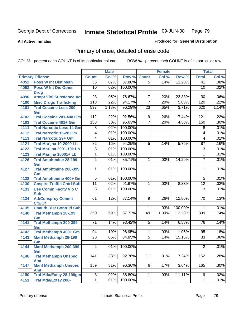**All Active Inmates**

### Produced for **General Distribution**

# Primary offense, detailed offense code

|      |                                      |                  | <b>Male</b> |                 |                 | <b>Female</b> |         |                 | <b>Total</b> |
|------|--------------------------------------|------------------|-------------|-----------------|-----------------|---------------|---------|-----------------|--------------|
|      | <b>Primary Offense</b>               | <b>Count</b>     | Col %       | Row %           | <b>Count</b>    | Col %         | Row %   | <b>Total</b>    | Col %        |
| 4052 | <b>Poss W Int Dist Meth</b>          | $\overline{36}$  | .07%        | 87.80%          | $\overline{5}$  | .14%          | 12.20%  | 41              | .08%         |
| 4053 | <b>Poss W Int Dis Other</b>          | 10               | .02%        | 100.00%         |                 |               |         | 10              | .02%         |
|      | <b>Drug</b>                          |                  |             |                 |                 |               |         |                 |              |
| 4090 | <b>Atmpt Viol Substance Act</b>      | $\overline{23}$  | .05%        | 76.67%          | $\overline{7}$  | .20%          | 23.33%  | 30              | .06%         |
| 4100 | <b>Misc Drugs Trafficking</b>        | $\overline{113}$ | .22%        | 94.17%          | $\overline{7}$  | .20%          | 5.83%   | 120             | .22%         |
| 4101 | <b>Traf Cocaine Less 200</b>         | 597              | 1.18%       | 96.29%          | $\overline{23}$ | .65%          | 3.71%   | 620             | 1.14%        |
| 4102 | Gm<br><b>Traf Cocaine 201-400 Gm</b> | 112              | .22%        | 92.56%          | 9               | .26%          | 7.44%   | 121             | .22%         |
|      |                                      |                  |             |                 | $\overline{7}$  |               |         |                 |              |
| 4103 | <b>Traf Cocaine 401+ Gm</b>          | 153              | .30%        | 95.63%          |                 | .20%          | 4.38%   | 160             | .30%         |
| 4111 | <b>Traf Narcotic Less 14 Gm</b>      | $\overline{8}$   | .02%        | 100.00%         |                 |               |         | 8               | .01%         |
| 4112 | <b>Traf Narcotic 15-28 Gm</b>        | 4                | .01%        | 100.00%         |                 |               |         | 4               | .01%         |
| 4113 | <b>Traf Narcotic 29+ Gm</b>          | 4                | .01%        | 100.00%         |                 |               |         | 4               | .01%         |
| 4121 | Traf Marijna 10-2000 Lb              | $\overline{82}$  | .16%        | 94.25%          | 5               | .14%          | 5.75%   | 87              | .16%         |
| 4122 | <b>Traf Marijna 2001-10k Lb</b>      | $\overline{3}$   | .01%        | 100.00%         |                 |               |         | 3               | .01%         |
| 4123 | Traf Marijna 10001+ Lb               | 1                | .01%        | 100.00%         |                 |               |         | 1               | .01%         |
| 4126 | <b>Traf Amphtmine 28-199</b><br>Gm   | $\overline{6}$   | .01%        | 85.71%          | $\mathbf 1$     | .03%          | 14.29%  | $\overline{7}$  | .01%         |
| 4127 | <b>Traf Amphtmine 200-399</b>        | $\mathbf 1$      | .01%        | 100.00%         |                 |               |         | 1               | .01%         |
|      | Gm                                   |                  |             |                 |                 |               |         |                 |              |
| 4128 | <b>Traf Amphtmine 400+ Gm</b>        | $\overline{5}$   | .01%        | 100.00%         |                 |               |         | $\overline{5}$  | .01%         |
| 4130 | <b>Cnspire Traffic Cntrl Sub</b>     | $\overline{11}$  | .02%        | 91.67%          | $\mathbf{1}$    | .03%          | 8.33%   | $\overline{12}$ | .02%         |
| 4133 | <b>Use Comm Facity Vio C</b>         | $\overline{3}$   | .01%        | 100.00%         |                 |               |         | $\overline{3}$  | .01%         |
|      | <b>Sub</b>                           |                  |             |                 |                 |               |         |                 |              |
| 4134 | <b>Att/Consprcy Commt</b><br>C/S/Of  | 61               | .12%        | 87.14%          | $\overline{9}$  | .26%          | 12.86%  | 70              | .13%         |
| 4135 | <b>Unauth Dist Contrild Sub</b>      |                  |             |                 | $\mathbf 1$     | .03%          | 100.00% | 1               | .01%         |
| 4140 | <b>Traf Methamph 28-199</b>          | 350              | .69%        | 87.72%          | 49              | 1.39%         | 12.28%  | 399             | .74%         |
|      | Gm                                   |                  |             |                 |                 |               |         |                 |              |
| 4141 | Traf Methamph 200-399                | 71               | .14%        | 93.42%          | $\overline{5}$  | .14%          | 6.58%   | 76              | .14%         |
|      | Gm                                   |                  |             |                 |                 |               |         |                 |              |
| 4142 | Traf Methamph 400+ Gm                | 94               | .19%        | 98.95%          | $\mathbf{1}$    | .03%          | 1.05%   | 95              | .18%         |
| 4143 | <b>Manf Methamph 28-199</b>          | $\overline{28}$  | .06%        | 84.85%          | $\overline{5}$  | .14%          | 15.15%  | $\overline{33}$ | .06%         |
|      | Gm                                   |                  |             |                 |                 |               |         |                 |              |
| 4144 | <b>Manf Methamph 200-399</b>         | $\overline{2}$   |             | $.01\%$ 100.00% |                 |               |         | $\overline{2}$  | .01%         |
| 4146 | Gm<br><b>Traf Methamph Unspec</b>    | 141              | .28%        | 92.76%          | 11              | .31%          | 7.24%   | 152             | .28%         |
|      | <b>Amt</b>                           |                  |             |                 |                 |               |         |                 |              |
| 4147 | <b>Manf Methamph Unspec</b>          | $\overline{159}$ | .31%        | 96.36%          | 6               | .17%          | 3.64%   | 165             | .30%         |
|      | Amt                                  |                  |             |                 |                 |               |         |                 |              |
| 4150 | <b>Traf Mda/Extsy 28-199gm</b>       | $\infty$         | .02%        | 88.89%          | 1               | .03%          | 11.11%  | $\overline{9}$  | .02%         |
| 4151 | <b>Traf Mda/Extsy 200-</b>           | $\mathbf 1$      | .01%        | 100.00%         |                 |               |         | $\mathbf{1}$    | .01%         |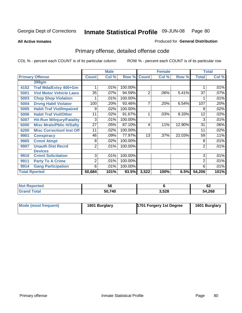**All Active Inmates**

### Produced for **General Distribution**

# Primary offense, detailed offense code

|      |                                  | <b>Male</b>     |         |         |                | <b>Female</b> |        | <b>Total</b>   |       |
|------|----------------------------------|-----------------|---------|---------|----------------|---------------|--------|----------------|-------|
|      | <b>Primary Offense</b>           | <b>Count</b>    | Col %   | Row %   | <b>Count</b>   | Col %         | Row %  | <b>Total</b>   | Col % |
|      | 399gm                            |                 |         |         |                |               |        |                |       |
| 4152 | Traf Mda/Extsy 400+Gm            |                 | .01%    | 100.00% |                |               |        |                | .01%  |
| 5001 | <b>Viol Motor Vehicle Laws</b>   | $\overline{35}$ | .07%    | 94.59%  | $\overline{2}$ | .06%          | 5.41%  | 37             | .07%  |
| 5003 | <b>Chop Shop Violation</b>       |                 | .01%    | 100.00% |                |               |        |                | .01%  |
| 5004 | <b>Drvng Habtl Violator</b>      | 100             | .20%    | 93.46%  | 7              | .20%          | 6.54%  | 107            | .20%  |
| 5005 | <b>Habit Traf Viol/Impaired</b>  | 9               | .02%    | 100.00% |                |               |        | 9              | .02%  |
| 5006 | <b>Habit Traf Viol/Other</b>     | 11              | .02%    | 91.67%  | 1              | .03%          | 8.33%  | 12             | .02%  |
| 5007 | <b>Hit-Run W/Injury/Fatality</b> | 3               | .01%    | 100.00% |                |               |        | 3              | .01%  |
| 6000 | <b>Misc Mrals/Pblic H/Safty</b>  | 27              | .05%    | 87.10%  | 4              | .11%          | 12.90% | 31             | .06%  |
| 6200 | <b>Misc Correctionl Inst Off</b> | 11              | .02%    | 100.00% |                |               |        | 11             | .02%  |
| 9901 | <b>Conspiracy</b>                | 46              | .09%    | 77.97%  | 13             | .37%          | 22.03% | 59             | .11%  |
| 9905 | <b>Crmnl Atmpt</b>               | 8               | $.02\%$ | 100.00% |                |               |        | 8              | .01%  |
| 9907 | <b>Unauth Dist Recrd</b>         | $\overline{2}$  | .01%    | 100.00% |                |               |        | $\overline{2}$ | .01%  |
|      | <b>Devices</b>                   |                 |         |         |                |               |        |                |       |
| 9910 | <b>Crmnl Solicitation</b>        | 3               | .01%    | 100.00% |                |               |        | 3              | .01%  |
| 9911 | <b>Party To A Crime</b>          | 2               | .01%    | 100.00% |                |               |        | $\overline{2}$ | .01%  |
| 9914 | <b>Gang Participation</b>        | 6               | .01%    | 100.00% |                |               |        | 6              | .01%  |
|      | <b>Total Rported</b>             | 50,684          | 101%    | 93.5%   | 3,522          | 100%          | 6.5%   | 54,206         | 101%  |

| <b>Not Reported</b> | эc     |       | r.<br>O∠ |
|---------------------|--------|-------|----------|
| <b>Total</b>        | 50,740 | 3,528 | 54,268   |

| Mode (most frequent) | 1601 Burglary | 1701 Forgery 1st Degree | 1601 Burglary |
|----------------------|---------------|-------------------------|---------------|
|----------------------|---------------|-------------------------|---------------|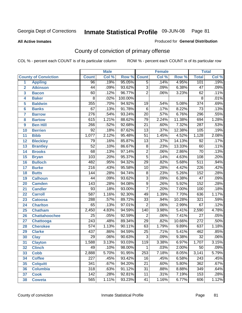#### **All Active Inmates**

#### Produced for **General Distribution**

# County of conviction of primary offense

|                         |                             |                  | <b>Male</b> |         | <b>Female</b>   |       |          |                  | <b>Total</b> |
|-------------------------|-----------------------------|------------------|-------------|---------|-----------------|-------|----------|------------------|--------------|
|                         | <b>County of Conviction</b> | <b>Count</b>     | Col %       | Row %   | <b>Count</b>    | Col % | Row %    | <b>Total</b>     | Col %        |
| 1                       | <b>Appling</b>              | $\overline{96}$  | .19%        | 95.05%  | $\overline{5}$  | .14%  | 4.95%    | 101              | .19%         |
| $\overline{2}$          | <b>Atkinson</b>             | $\overline{44}$  | .09%        | 93.62%  | $\overline{3}$  | .09%  | 6.38%    | $\overline{47}$  | .09%         |
| $\overline{\mathbf{3}}$ | <b>Bacon</b>                | 60               | .12%        | 96.77%  | $\overline{2}$  | .06%  | 3.23%    | 62               | .11%         |
| 4                       | <b>Baker</b>                | 8                | .02%        | 100.00% |                 |       |          | 8                | .01%         |
| 5                       | <b>Baldwin</b>              | 355              | .70%        | 94.92%  | 19              | .54%  | 5.08%    | $\overline{374}$ | .69%         |
| 6                       | <b>Banks</b>                | 67               | .13%        | 91.78%  | $\overline{6}$  | .17%  | 8.22%    | $\overline{73}$  | .13%         |
| 7                       | <b>Barrow</b>               | $\overline{276}$ | .54%        | 93.24%  | $\overline{20}$ | .57%  | 6.76%    | 296              | .55%         |
| 8                       | <b>Bartow</b>               | 615              | 1.21%       | 88.62%  | 79              | 2.24% | 11.38%   | 694              | 1.28%        |
| 9                       | <b>Ben Hill</b>             | 266              | .52%        | 92.68%  | $\overline{21}$ | .60%  | 7.32%    | 287              | .53%         |
| 10                      | <b>Berrien</b>              | $\overline{92}$  | .18%        | 87.62%  | $\overline{13}$ | .37%  | 12.38%   | 105              | .19%         |
| 11                      | <b>Bibb</b>                 | 1,077            | 2.12%       | 95.48%  | $\overline{51}$ | 1.45% | 4.52%    | 1,128            | 2.08%        |
| 12                      | <b>Bleckley</b>             | 79               | .16%        | 85.87%  | $\overline{13}$ | .37%  | 14.13%   | $\overline{92}$  | .17%         |
| $\overline{13}$         | <b>Brantley</b>             | $\overline{52}$  | .10%        | 86.67%  | $\overline{8}$  | .23%  | 13.33%   | 60               | .11%         |
| 14                      | <b>Brooks</b>               | $\overline{68}$  | .13%        | 97.14%  | $\overline{2}$  | .06%  | 2.86%    | $\overline{70}$  | .13%         |
| 15                      | <b>Bryan</b>                | 103              | .20%        | 95.37%  | $\overline{5}$  | .14%  | 4.63%    | 108              | .20%         |
| 16                      | <b>Bulloch</b>              | 482              | .95%        | 94.32%  | $\overline{29}$ | .82%  | 5.68%    | 511              | .94%         |
| 17                      | <b>Burke</b>                | $\overline{216}$ | .43%        | 95.58%  | $\overline{10}$ | .28%  | 4.42%    | $\overline{226}$ | .42%         |
| 18                      | <b>Butts</b>                | 144              | .28%        | 94.74%  | $\overline{8}$  | .23%  | 5.26%    | 152              | .28%         |
| 19                      | <b>Calhoun</b>              | $\overline{44}$  | .09%        | 93.62%  | $\overline{3}$  | .09%  | 6.38%    | $\overline{47}$  | .09%         |
| 20                      | <b>Camden</b>               | $\overline{143}$ | .28%        | 94.08%  | $\overline{9}$  | .26%  | 5.92%    | 152              | .28%         |
| 21                      | <b>Candler</b>              | $\overline{93}$  | .18%        | 93.00%  | $\overline{7}$  | .20%  | 7.00%    | 100              | .18%         |
| 22                      | <b>Carroll</b>              | 587              | 1.16%       | 92.30%  | 49              | 1.39% | 7.70%    | 636              | 1.17%        |
| 23                      | <b>Catoosa</b>              | 288              | .57%        | 89.72%  | $\overline{33}$ | .94%  | 10.28%   | 321              | .59%         |
| 24                      | <b>Charlton</b>             | 65               | .13%        | 97.01%  | $\overline{2}$  | .06%  | 2.99%    | 67               | .12%         |
| 25                      | <b>Chatham</b>              | 2,450            | 4.83%       | 94.59%  | 140             | 3.98% | 5.41%    | 2,590            | 4.78%        |
| 26                      | <b>Chattahoochee</b>        | $\overline{25}$  | .05%        | 92.59%  | $\overline{2}$  | .06%  | 7.41%    | $\overline{27}$  | .05%         |
| 27                      | <b>Chattooga</b>            | $\overline{243}$ | .48%        | 89.34%  | $\overline{29}$ | .82%  | 10.66%   | $\overline{272}$ | .50%         |
| 28                      | <b>Cherokee</b>             | 574              | 1.13%       | 90.11%  | 63              | 1.79% | 9.89%    | 637              | 1.18%        |
| 29                      | <b>Clarke</b>               | 437              | .86%        | 94.59%  | $\overline{25}$ | .71%  | 5.41%    | 462              | .85%         |
| 30                      | <b>Clay</b>                 | $\overline{29}$  | .06%        | 90.63%  | $\overline{3}$  | .09%  | 9.38%    | $\overline{32}$  | .06%         |
| 31                      | <b>Clayton</b>              | 1,588            | 3.13%       | 93.03%  | 119             | 3.38% | 6.97%    | 1,707            | 3.15%        |
| 32                      | <b>Clinch</b>               | 49               | .10%        | 98.00%  | 1               | .03%  | $2.00\%$ | 50               | $.09\%$      |
| 33                      | <b>Cobb</b>                 | 2,888            | 5.70%       | 91.95%  | 253             | 7.18% | 8.05%    | 3,141            | 5.79%        |
| 34                      | <b>Coffee</b>               | 227              | .45%        | 93.42%  | 16              | .45%  | 6.58%    | 243              | .45%         |
| 35                      | <b>Colquitt</b>             | 341              | .67%        | 94.20%  | $\overline{21}$ | .60%  | 5.80%    | 362              | .67%         |
| 36                      | <b>Columbia</b>             | 318              | .63%        | 91.12%  | 31              | .88%  | 8.88%    | 349              | .64%         |
| 37                      | <b>Cook</b>                 | 142              | .28%        | 92.81%  | 11              | .31%  | 7.19%    | 153              | .28%         |
| 38                      | <b>Coweta</b>               | 565              | 1.11%       | 93.23%  | 41              | 1.16% | 6.77%    | 606              | 1.12%        |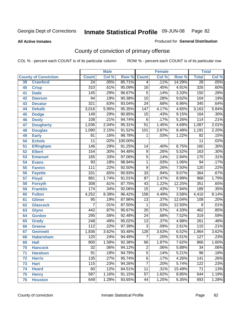#### **All Active Inmates**

### Produced for **General Distribution**

# County of conviction of primary offense

|    |                             |                  | <b>Male</b> |         | <b>Female</b>    |       |        | <b>Total</b>     |         |
|----|-----------------------------|------------------|-------------|---------|------------------|-------|--------|------------------|---------|
|    | <b>County of Conviction</b> | <b>Count</b>     | Col %       | Row %   | <b>Count</b>     | Col % | Row %  | <b>Total</b>     | Col %   |
| 39 | <b>Crawford</b>             | $\overline{24}$  | .05%        | 85.71%  | $\overline{4}$   | .11%  | 14.29% | $\overline{28}$  | .05%    |
| 40 | <b>Crisp</b>                | 310              | .61%        | 95.09%  | 16               | .45%  | 4.91%  | 326              | .60%    |
| 41 | <b>Dade</b>                 | 145              | .29%        | 96.67%  | $\overline{5}$   | .14%  | 3.33%  | 150              | .28%    |
| 42 | <b>Dawson</b>               | 94               | .19%        | 90.38%  | $\overline{10}$  | .28%  | 9.62%  | 104              | .19%    |
| 43 | <b>Decatur</b>              | 321              | .63%        | 93.04%  | $\overline{24}$  | .68%  | 6.96%  | 345              | .64%    |
| 44 | <b>Dekalb</b>               | 3,016            | 5.95%       | 95.35%  | $\overline{147}$ | 4.17% | 4.65%  | 3,163            | 5.84%   |
| 45 | <b>Dodge</b>                | 149              | .29%        | 90.85%  | 15               | .43%  | 9.15%  | 164              | .30%    |
| 46 | <b>Dooly</b>                | 108              | .21%        | 94.74%  | 6                | .17%  | 5.26%  | 114              | .21%    |
| 47 | <b>Dougherty</b>            | 1,036            | 2.04%       | 95.31%  | $\overline{51}$  | 1.45% | 4.69%  | 1,087            | 2.01%   |
| 48 | <b>Douglas</b>              | 1,090            | 2.15%       | 91.52%  | 101              | 2.87% | 8.48%  | 1,191            | 2.20%   |
| 49 | <b>Early</b>                | 81               | .16%        | 98.78%  | 1                | .03%  | 1.22%  | $\overline{82}$  | .15%    |
| 50 | <b>Echols</b>               | $\overline{11}$  | .02%        | 100.00% |                  |       |        | 11               | .02%    |
| 51 | <b>Effingham</b>            | 146              | .29%        | 91.25%  | 14               | .40%  | 8.75%  | 160              | .30%    |
| 52 | <b>Elbert</b>               | 154              | .30%        | 94.48%  | $\overline{9}$   | .26%  | 5.52%  | 163              | .30%    |
| 53 | <b>Emanuel</b>              | 165              | .33%        | 97.06%  | $\overline{5}$   | .14%  | 2.94%  | 170              | .31%    |
| 54 | <b>Evans</b>                | 93               | .18%        | 98.94%  | $\mathbf{1}$     | .03%  | 1.06%  | 94               | .17%    |
| 55 | <b>Fannin</b>               | 111              | .22%        | 92.50%  | $\overline{9}$   | .26%  | 7.50%  | 120              | .22%    |
| 56 | <b>Fayette</b>              | 331              | .65%        | 90.93%  | $\overline{33}$  | .94%  | 9.07%  | 364              | .67%    |
| 57 | <b>Floyd</b>                | 881              | 1.74%       | 91.01%  | $\overline{87}$  | 2.47% | 8.99%  | 968              | 1.79%   |
| 58 | <b>Forsyth</b>              | $\overline{308}$ | .61%        | 87.75%  | 43               | 1.22% | 12.25% | 351              | .65%    |
| 59 | <b>Franklin</b>             | 174              | .34%        | 92.06%  | $\overline{15}$  | .43%  | 7.94%  | 189              | .35%    |
| 60 | <b>Fulton</b>               | 4,252            | 8.39%       | 96.42%  | 158              | 4.49% | 3.58%  | 4,410            | 8.14%   |
| 61 | Gilmer                      | $\overline{95}$  | .19%        | 87.96%  | $\overline{13}$  | .37%  | 12.04% | 108              | .20%    |
| 62 | <b>Glascock</b>             | $\overline{7}$   | .01%        | 87.50%  | 1                | .03%  | 12.50% | 8                | .01%    |
| 63 | <b>Glynn</b>                | 442              | .87%        | 95.67%  | $\overline{20}$  | .57%  | 4.33%  | 462              | .85%    |
| 64 | <b>Gordon</b>               | 295              | .58%        | 92.48%  | $\overline{24}$  | .68%  | 7.52%  | 319              | .59%    |
| 65 | <b>Grady</b>                | 248              | .49%        | 95.02%  | $\overline{13}$  | .37%  | 4.98%  | $\overline{261}$ | .48%    |
| 66 | <b>Greene</b>               | 112              | .22%        | 97.39%  | $\overline{3}$   | .09%  | 2.61%  | 115              | .21%    |
| 67 | <b>Gwinnett</b>             | 1,836            | 3.62%       | 93.48%  | 128              | 3.63% | 6.52%  | 1,964            | 3.62%   |
| 68 | <b>Habersham</b>            | 120              | .24%        | 94.49%  | $\overline{7}$   | .20%  | 5.51%  | 127              | .23%    |
| 69 | <b>Hall</b>                 | 800              | 1.58%       | 92.38%  | 66               | 1.87% | 7.62%  | 866              | 1.60%   |
| 70 | <b>Hancock</b>              | 32               | .06%        | 94.12%  | 2                | .06%  | 5.88%  | 34               | $.06\%$ |
| 71 | <b>Haralson</b>             | $\overline{91}$  | .18%        | 94.79%  | $\overline{5}$   | .14%  | 5.21%  | $\overline{96}$  | .18%    |
| 72 | <b>Harris</b>               | $\overline{135}$ | .27%        | 95.74%  | $\overline{6}$   | .17%  | 4.26%  | 141              | .26%    |
| 73 | <b>Hart</b>                 | 115              | .23%        | 94.26%  | 7                | .20%  | 5.74%  | 122              | .23%    |
| 74 | <b>Heard</b>                | 60               | .12%        | 84.51%  | 11               | .31%  | 15.49% | 71               | .13%    |
| 75 | <b>Henry</b>                | $\overline{587}$ | 1.16%       | 91.15%  | $\overline{57}$  | 1.62% | 8.85%  | 644              | 1.19%   |
| 76 | <b>Houston</b>              | 649              | 1.28%       | 93.65%  | 44               | 1.25% | 6.35%  | 693              | 1.28%   |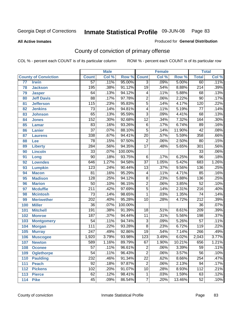#### **All Active Inmates**

### Produced for **General Distribution**

# County of conviction of primary offense

|     |                             |                  | <b>Male</b> |         |                         | <b>Female</b> |        |                  | <b>Total</b> |
|-----|-----------------------------|------------------|-------------|---------|-------------------------|---------------|--------|------------------|--------------|
|     | <b>County of Conviction</b> | <b>Count</b>     | Col %       | Row %   | <b>Count</b>            | Col %         | Row %  | <b>Total</b>     | Col %        |
| 77  | <b>Irwin</b>                | $\overline{57}$  | .11%        | 95.00%  | $\overline{3}$          | .09%          | 5.00%  | 60               | .11%         |
| 78  | <b>Jackson</b>              | 195              | .38%        | 91.12%  | $\overline{19}$         | .54%          | 8.88%  | $\overline{214}$ | .39%         |
| 79  | <b>Jasper</b>               | 64               | .13%        | 94.12%  | 4                       | .11%          | 5.88%  | 68               | .13%         |
| 80  | <b>Jeff Davis</b>           | $\overline{88}$  | .17%        | 97.78%  | $\overline{2}$          | .06%          | 2.22%  | 90               | .17%         |
| 81  | <b>Jefferson</b>            | $\overline{115}$ | .23%        | 95.83%  | $\overline{5}$          | .14%          | 4.17%  | 120              | .22%         |
| 82  | <b>Jenkins</b>              | $\overline{73}$  | .14%        | 94.81%  | $\overline{4}$          | .11%          | 5.19%  | $\overline{77}$  | .14%         |
| 83  | <b>Johnson</b>              | 65               | .13%        | 95.59%  | $\overline{3}$          | .09%          | 4.41%  | 68               | .13%         |
| 84  | <b>Jones</b>                | 152              | .30%        | 92.68%  | $\overline{12}$         | .34%          | 7.32%  | 164              | .30%         |
| 85  | <b>Lamar</b>                | 83               | .16%        | 93.26%  | $\overline{6}$          | .17%          | 6.74%  | 89               | .16%         |
| 86  | <b>Lanier</b>               | $\overline{37}$  | .07%        | 88.10%  | $\overline{5}$          | .14%          | 11.90% | 42               | .08%         |
| 87  | <b>Laurens</b>              | 338              | .67%        | 94.41%  | $\overline{20}$         | .57%          | 5.59%  | 358              | .66%         |
| 88  | Lee                         | $\overline{78}$  | .15%        | 97.50%  | $\overline{2}$          | .06%          | 2.50%  | 80               | .15%         |
| 89  | <b>Liberty</b>              | 284              | .56%        | 94.35%  | $\overline{17}$         | .48%          | 5.65%  | $\overline{301}$ | .56%         |
| 90  | <b>Lincoln</b>              | $\overline{33}$  | .07%        | 100.00% |                         |               |        | $\overline{33}$  | .06%         |
| 91  | Long                        | $\overline{90}$  | .18%        | 93.75%  | 6                       | .17%          | 6.25%  | $\overline{96}$  | .18%         |
| 92  | <b>Lowndes</b>              | 646              | 1.27%       | 94.58%  | $\overline{37}$         | 1.05%         | 5.42%  | 683              | 1.26%        |
| 93  | <b>Lumpkin</b>              | $\overline{123}$ | .24%        | 90.44%  | $\overline{13}$         | .37%          | 9.56%  | 136              | .25%         |
| 94  | <b>Macon</b>                | 81               | .16%        | 95.29%  | $\overline{\mathbf{4}}$ | .11%          | 4.71%  | 85               | .16%         |
| 95  | <b>Madison</b>              | $\overline{128}$ | .25%        | 94.12%  | $\overline{8}$          | .23%          | 5.88%  | 136              | .25%         |
| 96  | <b>Marion</b>               | $\overline{50}$  | .10%        | 96.15%  | $\overline{2}$          | .06%          | 3.85%  | $\overline{52}$  | .10%         |
| 97  | <b>Mcduffie</b>             | $\overline{211}$ | .42%        | 97.69%  | $\overline{5}$          | .14%          | 2.31%  | $\overline{216}$ | .40%         |
| 98  | <b>Mcintosh</b>             | $\overline{73}$  | .14%        | 98.65%  | 1                       | .03%          | 1.35%  | $\overline{74}$  | .14%         |
| 99  | <b>Meriwether</b>           | $\overline{202}$ | .40%        | 95.28%  | $\overline{10}$         | .28%          | 4.72%  | $\overline{212}$ | .39%         |
| 100 | <b>Miller</b>               | $\overline{36}$  | .07%        | 100.00% |                         |               |        | $\overline{36}$  | .07%         |
| 101 | <b>Mitchell</b>             | 191              | .38%        | 91.39%  | 18                      | .51%          | 8.61%  | 209              | .39%         |
| 102 | <b>Monroe</b>               | 187              | .37%        | 94.44%  | 11                      | .31%          | 5.56%  | 198              | .37%         |
| 103 | <b>Montgomery</b>           | $\overline{54}$  | .11%        | 94.74%  | $\overline{3}$          | .09%          | 5.26%  | $\overline{57}$  | .11%         |
| 104 | <b>Morgan</b>               | $\overline{111}$ | .22%        | 93.28%  | $\overline{8}$          | .23%          | 6.72%  | 119              | .22%         |
| 105 | <b>Murray</b>               | $\overline{247}$ | .49%        | 92.86%  | $\overline{19}$         | .54%          | 7.14%  | 266              | .49%         |
| 106 | <b>Muscogee</b>             | 1,920            | 3.79%       | 93.98%  | 123                     | 3.49%         | 6.02%  | 2,043            | 3.77%        |
| 107 | <b>Newton</b>               | 589              | 1.16%       | 89.79%  | 67                      | 1.90%         | 10.21% | 656              | 1.21%        |
| 108 | <b>Oconee</b>               | 57               | .11%        | 96.61%  | 2                       | .06%          | 3.39%  | 59               | .11%         |
| 109 | <b>Oglethorpe</b>           | $\overline{54}$  | .11%        | 96.43%  | $\overline{2}$          | .06%          | 3.57%  | $\overline{56}$  | .10%         |
| 110 | <b>Paulding</b>             | 232              | .46%        | 91.34%  | $\overline{22}$         | .62%          | 8.66%  | 254              | .47%         |
| 111 | <b>Peach</b>                | 92               | .18%        | 97.87%  | $\overline{\mathbf{c}}$ | .06%          | 2.13%  | 94               | .17%         |
| 112 | <b>Pickens</b>              | 102              | .20%        | 91.07%  | 10                      | .28%          | 8.93%  | 112              | .21%         |
| 113 | <b>Pierce</b>               | 62               | .12%        | 98.41%  | $\mathbf{1}$            | .03%          | 1.59%  | 63               | .12%         |
| 114 | <b>Pike</b>                 | 45               | .09%        | 86.54%  | $\boldsymbol{7}$        | .20%          | 13.46% | $\overline{52}$  | .10%         |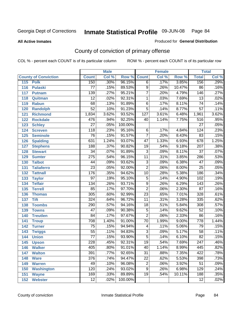**All Active Inmates**

### Produced for **General Distribution**

# County of conviction of primary offense

|                             |                  | <b>Male</b> |         |                  | <b>Female</b> |        |                  | <b>Total</b> |
|-----------------------------|------------------|-------------|---------|------------------|---------------|--------|------------------|--------------|
| <b>County of Conviction</b> | <b>Count</b>     | Col %       | Row %   | <b>Count</b>     | Col %         | Row %  | <b>Total</b>     | Col %        |
| 115<br><b>Polk</b>          | 150              | .30%        | 96.15%  | $\overline{6}$   | .17%          | 3.85%  | 156              | .29%         |
| 116<br><b>Pulaski</b>       | 77               | .15%        | 89.53%  | $\overline{9}$   | .26%          | 10.47% | 86               | .16%         |
| 117<br><b>Putnam</b>        | 139              | .27%        | 95.21%  | $\overline{7}$   | .20%          | 4.79%  | 146              | .27%         |
| 118<br>Quitman              | $\overline{12}$  | .02%        | 92.31%  | 1                | .03%          | 7.69%  | $\overline{13}$  | .02%         |
| 119<br><b>Rabun</b>         | 68               | .13%        | 91.89%  | $\overline{6}$   | .17%          | 8.11%  | $\overline{74}$  | .14%         |
| 120<br><b>Randolph</b>      | $\overline{52}$  | .10%        | 91.23%  | $\overline{5}$   | .14%          | 8.77%  | $\overline{57}$  | .11%         |
| 121<br><b>Richmond</b>      | 1,834            | 3.62%       | 93.52%  | $\overline{127}$ | 3.61%         | 6.48%  | 1,961            | 3.62%        |
| 122<br><b>Rockdale</b>      | 476              | .94%        | 92.25%  | 40               | 1.14%         | 7.75%  | 516              | .95%         |
| 123<br><b>Schley</b>        | $\overline{27}$  | .05%        | 100.00% |                  |               |        | $\overline{27}$  | .05%         |
| 124<br><b>Screven</b>       | 118              | .23%        | 95.16%  | 6                | .17%          | 4.84%  | 124              | .23%         |
| <b>Seminole</b><br>125      | 76               | .15%        | 91.57%  | $\overline{7}$   | .20%          | 8.43%  | 83               | .15%         |
| 126<br><b>Spalding</b>      | 631              | 1.24%       | 93.07%  | 47               | 1.33%         | 6.93%  | $\overline{678}$ | 1.25%        |
| 127<br><b>Stephens</b>      | 188              | .37%        | 90.82%  | 19               | .54%          | 9.18%  | 207              | .38%         |
| 128<br><b>Stewart</b>       | $\overline{34}$  | .07%        | 91.89%  | $\overline{3}$   | .09%          | 8.11%  | $\overline{37}$  | .07%         |
| 129<br><b>Sumter</b>        | $\overline{275}$ | .54%        | 96.15%  | $\overline{11}$  | .31%          | 3.85%  | 286              | .53%         |
| <b>Talbot</b><br>130        | 44               | .09%        | 93.62%  | 3                | .09%          | 6.38%  | $\overline{47}$  | .09%         |
| 131<br><b>Taliaferro</b>    | $\overline{23}$  | .05%        | 92.00%  | $\overline{2}$   | .06%          | 8.00%  | $\overline{25}$  | .05%         |
| <b>Tattnall</b><br>132      | 176              | .35%        | 94.62%  | $\overline{10}$  | .28%          | 5.38%  | 186              | .34%         |
| 133<br><b>Taylor</b>        | $\overline{97}$  | .19%        | 95.10%  | $\overline{5}$   | .14%          | 4.90%  | 102              | .19%         |
| <b>Telfair</b><br>134       | 134              | .26%        | 93.71%  | $\overline{9}$   | .26%          | 6.29%  | $\overline{143}$ | .26%         |
| 135<br><b>Terrell</b>       | 85               | .17%        | 97.70%  | $\overline{2}$   | .06%          | 2.30%  | $\overline{87}$  | .16%         |
| 136<br><b>Thomas</b>        | 305              | .60%        | 92.99%  | $\overline{23}$  | .65%          | 7.01%  | 328              | .61%         |
| 137<br><b>Tift</b>          | 324              | .64%        | 96.72%  | $\overline{11}$  | .31%          | 3.28%  | $\frac{1}{335}$  | .62%         |
| <b>Toombs</b><br>138        | 290              | .57%        | 94.16%  | 18               | .51%          | 5.84%  | 308              | .57%         |
| 139<br><b>Towns</b>         | $\overline{47}$  | .09%        | 90.38%  | $\overline{5}$   | .14%          | 9.62%  | $\overline{52}$  | .10%         |
| <b>Treutlen</b><br>140      | 84               | .17%        | 97.67%  | $\overline{2}$   | .06%          | 2.33%  | 86               | .16%         |
| 141<br><b>Troup</b>         | 708              | 1.40%       | 91.00%  | $\overline{70}$  | 1.99%         | 9.00%  | $\overline{778}$ | 1.44%        |
| 142<br><b>Turner</b>        | $\overline{75}$  | .15%        | 94.94%  | 4                | .11%          | 5.06%  | 79               | .15%         |
| 143<br><b>Twiggs</b>        | $\overline{55}$  | .11%        | 94.83%  | $\overline{3}$   | .09%          | 5.17%  | $\overline{58}$  | .11%         |
| 144<br><b>Union</b>         | $\overline{77}$  | .15%        | 93.90%  | $\overline{5}$   | .14%          | 6.10%  | $\overline{82}$  | .15%         |
| 145<br><b>Upson</b>         | 228              | .45%        | 92.31%  | $\overline{19}$  | .54%          | 7.69%  | $\overline{247}$ | .46%         |
| 146<br><b>Walker</b>        | 405              | .80%        | 91.01%  | 40               | 1.14%         | 8.99%  | 445              | .82%         |
| 147<br><b>Walton</b>        | 391              | .77%        | 92.65%  | $\overline{31}$  | .88%          | 7.35%  | 422              | .78%         |
| 148<br><b>Ware</b>          | $\overline{376}$ | .74%        | 94.47%  | $\overline{22}$  | .62%          | 5.53%  | 398              | .73%         |
| <b>Warren</b><br>149        | 49               | .10%        | 96.08%  | 2                | .06%          | 3.92%  | 51               | .09%         |
| <b>Washington</b><br>150    | 120              | .24%        | 93.02%  | 9                | .26%          | 6.98%  | 129              | .24%         |
| 151<br><b>Wayne</b>         | 169              | .33%        | 89.89%  | 19               | .54%          | 10.11% | 188              | .35%         |
| <b>Webster</b><br>152       | $\overline{12}$  | .02%        | 100.00% |                  |               |        | $\overline{12}$  | .02%         |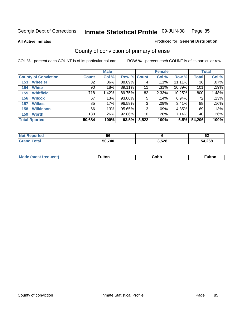**All Active Inmates**

### Produced for **General Distribution**

# County of conviction of primary offense

|                             |              | <b>Male</b> |             |       | <b>Female</b> |           |              | <b>Total</b> |
|-----------------------------|--------------|-------------|-------------|-------|---------------|-----------|--------------|--------------|
| <b>County of Conviction</b> | <b>Count</b> | Col %       | Row % Count |       | Col %         | Row %     | <b>Total</b> | Col %        |
| <b>Wheeler</b><br>153       | 32           | $.06\%$     | 88.89%      | 4     | .11%          | $11.11\%$ | 36           | $.07\%$      |
| <b>White</b><br>154         | 90           | .18%        | 89.11%      | 11    | .31%          | 10.89%    | 101          | .19%         |
| <b>Whitfield</b><br>155     | 718          | 1.42%       | 89.75%      | 82    | 2.33%         | 10.25%    | 800          | 1.48%        |
| <b>Wilcox</b><br>156        | 67           | .13%        | 93.06%      | 5     | .14%          | 6.94%     | 72           | .13%         |
| <b>Wilkes</b><br>157        | 85           | .17%        | 96.59%      | 3     | .09%          | 3.41%     | 88           | .16%         |
| <b>Wilkinson</b><br>158     | 66           | .13%        | 95.65%      | 3     | .09%          | 4.35%     | 69           | .13%         |
| <b>Worth</b><br>159         | 130          | .26%        | 92.86%      | 10    | .28%          | 7.14%     | 140          | .26%         |
| <b>Total Rported</b>        | 50,684       | 100%        | 93.5%       | 3,522 | 100%          | 6.5%      | 54,206       | 100%         |

| <b>eported</b><br>NOT F | 56     |       | r<br>       |
|-------------------------|--------|-------|-------------|
| ™ota.                   | 50,740 | 3,528 | 4,268<br>^4 |

| Mc | ™ulton | Cobb |  |
|----|--------|------|--|
|    |        |      |  |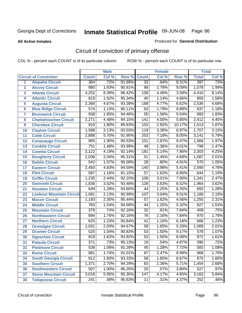Produced for **General Distribution**

#### **All Active Inmates**

# Circuit of conviction of primary offense

|                         |                                 |                  | <b>Male</b> |        |                  | <b>Female</b> |        |                  | <b>Total</b> |
|-------------------------|---------------------------------|------------------|-------------|--------|------------------|---------------|--------|------------------|--------------|
|                         | <b>Circuit of Conviction</b>    | <b>Count</b>     | Col %       | Row %  | <b>Count</b>     | Col %         | Row %  | <b>Total</b>     | Col %        |
| 1                       | <b>Alapaha Circuit</b>          | 364              | .72%        | 91.69% | 33               | .94%          | 8.31%  | 397              | .73%         |
| $\overline{2}$          | <b>Alcovy Circuit</b>           | 980              | 1.93%       | 90.91% | 98               | 2.78%         | 9.09%  | 1,078            | 1.99%        |
| $\overline{\mathbf{3}}$ | <b>Atlanta Circuit</b>          | 4,252            | 8.39%       | 96.42% | 158              | 4.49%         | 3.58%  | 4,410            | 8.14%        |
| 4                       | <b>Atlantic Circuit</b>         | 819              | 1.62%       | 95.34% | $\overline{40}$  | 1.14%         | 4.66%  | 859              | 1.58%        |
| 5                       | <b>Augusta Circuit</b>          | 2,368            | 4.67%       | 93.38% | 168              | 4.77%         | 6.62%  | 2,536            | 4.68%        |
| $6\phantom{a}$          | <b>Blue Ridge Circuit</b>       | $\overline{574}$ | 1.13%       | 90.11% | 63               | 1.79%         | 9.89%  | 637              | 1.18%        |
| $\overline{\mathbf{7}}$ | <b>Brunswick Circuit</b>        | 938              | 1.85%       | 94.46% | $\overline{55}$  | 1.56%         | 5.54%  | 993              | 1.83%        |
| 8                       | <b>Chattahoochee Circuit</b>    | 2,271            | 4.48%       | 94.15% | $\overline{141}$ | 4.00%         | 5.85%  | 2,412            | 4.45%        |
| 9                       | <b>Cherokee Circuit</b>         | 910              | 1.80%       | 89.83% | 103              | 2.92%         | 10.17% | 1,013            | 1.87%        |
| 10                      | <b>Clayton Circuit</b>          | 1,588            | 3.13%       | 93.03% | 119              | 3.38%         | 6.97%  | 1,707            | 3.15%        |
| 11                      | <b>Cobb Circuit</b>             | 2,888            | 5.70%       | 91.95% | $\overline{253}$ | 7.18%         | 8.05%  | 3,141            | 5.79%        |
| 12                      | <b>Conasauga Circuit</b>        | $\overline{965}$ | 1.90%       | 90.53% | 101              | 2.87%         | 9.47%  | 1,066            | 1.97%        |
| 13                      | <b>Cordele Circuit</b>          | $\overline{751}$ | 1.48%       | 93.99% | 48               | 1.36%         | 6.01%  | 799              | 1.47%        |
| 14                      | <b>Coweta Circuit</b>           | 2,122            | 4.19%       | 92.14% | 181              | 5.14%         | 7.86%  | 2,303            | 4.25%        |
| 15                      | <b>Dougherty Circuit</b>        | 1,036            | 2.04%       | 95.31% | 51               | 1.45%         | 4.69%  | 1,087            | 2.01%        |
| 16                      | <b>Dublin Circuit</b>           | $\overline{542}$ | 1.07%       | 95.09% | $\overline{28}$  | .80%          | 4.91%  | 570              | 1.05%        |
| 17                      | <b>Eastern Circuit</b>          | 2,450            | 4.83%       | 94.59% | 140              | 3.98%         | 5.41%  | 2,590            | 4.78%        |
| 18                      | <b>Flint Circuit</b>            | $\overline{587}$ | 1.16%       | 91.15% | $\overline{57}$  | 1.62%         | 8.85%  | 644              | 1.19%        |
| 19                      | <b>Griffin Circuit</b>          | 1,235            | 2.44%       | 92.10% | 106              | 3.01%         | 7.90%  | 1,341            | 2.47%        |
| 20                      | <b>Gwinnett Circuit</b>         | 1,836            | 3.62%       | 93.48% | $\overline{128}$ | 3.63%         | 6.52%  | 1,964            | 3.62%        |
| 21                      | <b>Houston Circuit</b>          | 649              | 1.28%       | 93.65% | 44               | 1.25%         | 6.35%  | 693              | 1.28%        |
| 22                      | <b>Lookout Mountain Circuit</b> | 1,081            | 2.13%       | 90.99% | 107              | 3.04%         | 9.01%  | 1,188            | 2.19%        |
| 23                      | <b>Macon Circuit</b>            | 1,193            | 2.35%       | 95.44% | 57               | 1.62%         | 4.56%  | 1,250            | 2.31%        |
| 24                      | <b>Middle Circuit</b>           | 783              | 1.54%       | 94.68% | 44               | 1.25%         | 5.32%  | 827              | 1.53%        |
| 25                      | <b>Mountain Circuit</b>         | $\overline{376}$ | .74%        | 92.16% | $\overline{32}$  | .91%          | 7.84%  | 408              | .75%         |
| 26                      | <b>Northeastern Circuit</b>     | $\overline{894}$ | 1.76%       | 92.16% | 76               | 2.16%         | 7.84%  | 970              | 1.79%        |
| 27                      | <b>Northern Circuit</b>         | 625              | 1.23%       | 93.84% | $\overline{41}$  | 1.16%         | 6.16%  | 666              | 1.23%        |
| 28                      | <b>Ocmulgee Circuit</b>         | 1,031            | 2.03%       | 94.67% | 58               | 1.65%         | 5.33%  | 1,089            | 2.01%        |
| 29                      | <b>Oconee Circuit</b>           | 525              | 1.04%       | 90.83% | $\overline{53}$  | 1.50%         | 9.17%  | $\overline{578}$ | 1.07%        |
| 30                      | <b>Ogeechee Circuit</b>         | 819              | 1.62%       | 93.92% | $\overline{53}$  | 1.50%         | 6.08%  | 872              | 1.61%        |
| $\overline{31}$         | <b>Pataula Circuit</b>          | $\overline{371}$ | .73%        | 95.13% | 19               | .54%          | 4.87%  | $\overline{39}0$ | .72%         |
| 32                      | <b>Piedmont Circuit</b>         | 538              | 1.06%       | 92.28% | 45               | 1.28%         | 7.72%  | 583              | 1.08%        |
| 33                      | <b>Rome Circuit</b>             | 881              | 1.74%       | 91.01% | $\overline{87}$  | 2.47%         | 8.99%  | 968              | 1.79%        |
| 34                      | <b>South Georgia Circuit</b>    | $\overline{812}$ | 1.60%       | 93.33% | 58               | 1.65%         | 6.67%  | 870              | 1.60%        |
| 35                      | <b>Southern Circuit</b>         | 1,371            | 2.70%       | 94.29% | 83               | 2.36%         | 5.71%  | 1,454            | 2.68%        |
| 36                      | <b>Southwestern Circuit</b>     | $\overline{507}$ | 1.00%       | 96.20% | 20               | .57%          | 3.80%  | $\overline{527}$ | .97%         |
| 37                      | <b>Stone Mountain Circuit</b>   | 3,016            | 5.95%       | 95.35% | 147              | 4.17%         | 4.65%  | 3,163            | 5.84%        |
| 38                      | <b>Tallapoosa Circuit</b>       | $\overline{241}$ | .48%        | 95.63% | 11               | .31%          | 4.37%  | 252              | .46%         |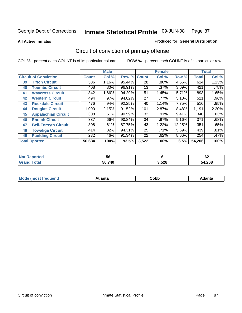**All Active Inmates**

#### Produced for **General Distribution**

# Circuit of conviction of primary offense

|                              |                             |              | <b>Male</b> |        |                 | <b>Female</b> |        |              | <b>Total</b> |
|------------------------------|-----------------------------|--------------|-------------|--------|-----------------|---------------|--------|--------------|--------------|
| <b>Circuit of Conviction</b> |                             | <b>Count</b> | Col %       | Row %  | <b>Count</b>    | Col %         | Row %  | <b>Total</b> | Col %        |
| 39                           | <b>Tifton Circuit</b>       | 586          | 1.16%       | 95.44% | $\overline{28}$ | $.80\%$       | 4.56%  | 614          | 1.13%        |
| 40                           | <b>Toombs Circuit</b>       | 408          | .80%        | 96.91% | 13 <sub>1</sub> | .37%          | 3.09%  | 421          | .78%         |
| 41                           | <b>Waycross Circuit</b>     | 842          | 1.66%       | 94.29% | 51              | 1.45%         | 5.71%  | 893          | 1.65%        |
| 42                           | <b>Western Circuit</b>      | 494          | $.97\%$     | 94.82% | 27              | .77%          | 5.18%  | 521          | $.96\%$      |
| 43                           | <b>Rockdale Circuit</b>     | 476          | .94%        | 92.25% | 40              | 1.14%         | 7.75%  | 516          | .95%         |
| 44                           | <b>Douglas Circuit</b>      | 1,090        | 2.15%       | 91.52% | 101             | 2.87%         | 8.48%  | 1,191        | 2.20%        |
| 45                           | <b>Appalachian Circuit</b>  | 308          | .61%        | 90.59% | 32              | .91%          | 9.41%  | 340          | .63%         |
| 46                           | <b>Enotah Circuit</b>       | 337          | .66%        | 90.84% | 34              | .97%          | 9.16%  | 371          | .68%         |
| 47                           | <b>Bell-Forsyth Circuit</b> | 308          | .61%        | 87.75% | 43              | 1.22%         | 12.25% | 351          | .65%         |
| 48                           | <b>Towaliga Circuit</b>     | 414          | .82%        | 94.31% | 25              | .71%          | 5.69%  | 439          | .81%         |
| 49                           | <b>Paulding Circuit</b>     | 232          | .46%        | 91.34% | 22              | .62%          | 8.66%  | 254          | .47%         |
|                              | <b>Total Rported</b>        | 50,684       | 100%        | 93.5%  | 3,522           | 100%          | 6.5%   | 54,206       | 100%         |

| тео | 56     |       | $\overline{\phantom{a}}$<br>0Z |
|-----|--------|-------|--------------------------------|
|     | 50.740 | 3.528 | 54,268                         |

| M, | $+1 - - + -$<br>annu -<br>uu | ∶obb<br>- - - - - | .<br>чна<br>- --------- |
|----|------------------------------|-------------------|-------------------------|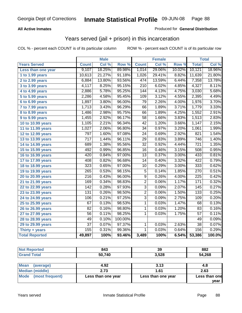### **All Active Inmates**

### Produced for **General Distribution**

## Years served (jail + prison) in this incarceration

|                              |                  | <b>Male</b> |         |                  | <b>Female</b> |        |                  | <b>Total</b> |
|------------------------------|------------------|-------------|---------|------------------|---------------|--------|------------------|--------------|
| <b>Years Served</b>          | <b>Count</b>     | Col %       | Row %   | <b>Count</b>     | Col %         | Row %  | <b>Total</b>     | Col%         |
| Less than one year           | 9,107            | 18.25%      | 89.98%  | 1,014            | 29.06%        | 10.02% | 10,121           | 18.96%       |
| 1 to 1.99 years              | 10,613           | 21.27%      | 91.18%  | 1,026            | 29.41%        | 8.82%  | 11,639           | 21.80%       |
| 2 to 2.99 years              | 6,884            | 13.80%      | 93.56%  | 474              | 13.59%        | 6.44%  | 7,358            | 13.78%       |
| $3$ to 3.99 years            | 4,117            | 8.25%       | 95.15%  | $\overline{210}$ | 6.02%         | 4.85%  | 4,327            | 8.11%        |
| 4 to 4.99 years              | 2,886            | 5.78%       | 95.25%  | 144              | 4.13%         | 4.75%  | 3,030            | 5.68%        |
| 5 to 5.99 years              | 2,286            | 4.58%       | 95.45%  | 109              | 3.12%         | 4.55%  | 2,395            | 4.49%        |
| 6 to 6.99 years              | 1,897            | 3.80%       | 96.00%  | $\overline{79}$  | 2.26%         | 4.00%  | 1,976            | 3.70%        |
| $\overline{7}$ to 7.99 years | 1,713            | 3.43%       | 96.29%  | 66               | 1.89%         | 3.71%  | 1,779            | 3.33%        |
| 8 to 8.99 years              | 1,486            | 2.98%       | 95.75%  | 66               | 1.89%         | 4.25%  | 1,552            | 2.91%        |
| 9 to 9.99 years              | 1,455            | 2.92%       | 96.17%  | $\overline{58}$  | 1.66%         | 3.83%  | 1,513            | 2.83%        |
| 10 to 10.99 years            | 1,105            | 2.21%       | 96.34%  | 42               | 1.20%         | 3.66%  | 1,147            | 2.15%        |
| 11 to 11.99 years            | 1,027            | 2.06%       | 96.80%  | $\overline{34}$  | 0.97%         | 3.20%  | 1,061            | 1.99%        |
| 12 to 12.99 years            | 797              | 1.60%       | 97.08%  | $\overline{24}$  | 0.69%         | 2.92%  | 821              | 1.54%        |
| 13 to 13.99 years            | $\overline{717}$ | 1.44%       | 96.11%  | $\overline{29}$  | 0.83%         | 3.89%  | 746              | 1.40%        |
| 14 to 14.99 years            | 689              | 1.38%       | 95.56%  | $\overline{32}$  | 0.92%         | 4.44%  | 721              | 1.35%        |
| 15 to 15.99 years            | 492              | 0.99%       | 96.85%  | 16               | 0.46%         | 3.15%  | 508              | 0.95%        |
| 16 to 16.99 years            | 420              | 0.84%       | 97.00%  | $\overline{13}$  | 0.37%         | 3.00%  | 433              | 0.81%        |
| 17 to 17.99 years            | 408              | 0.82%       | 96.68%  | $\overline{14}$  | 0.40%         | 3.32%  | 422              | 0.79%        |
| 18 to 18.99 years            | $\overline{323}$ | 0.65%       | 97.00%  | 10               | 0.29%         | 3.00%  | 333              | 0.62%        |
| 19 to 19.99 years            | 265              | 0.53%       | 98.15%  | $\overline{5}$   | 0.14%         | 1.85%  | 270              | 0.51%        |
| 20 to 20.99 years            | $\overline{216}$ | 0.43%       | 96.00%  | $\overline{9}$   | 0.26%         | 4.00%  | $\overline{225}$ | 0.42%        |
| 21 to 21.99 years            | 169              | 0.34%       | 98.83%  | $\overline{2}$   | 0.06%         | 1.17%  | 171              | 0.32%        |
| 22 to 22.99 years            | $\overline{142}$ | 0.28%       | 97.93%  | $\overline{3}$   | 0.09%         | 2.07%  | 145              | 0.27%        |
| 23 to 23.99 years            | 131              | 0.26%       | 98.50%  | $\overline{2}$   | 0.06%         | 1.50%  | 133              | 0.25%        |
| 24 to 24.99 years            | 106              | 0.21%       | 97.25%  | $\overline{3}$   | 0.09%         | 2.75%  | 109              | 0.20%        |
| 25 to 25.99 years            | 67               | 0.13%       | 98.53%  | 1                | 0.03%         | 1.47%  | 68               | 0.13%        |
| 26 to 26.99 years            | 82               | 0.16%       | 98.80%  | 1                | 0.03%         | 1.20%  | 83               | 0.16%        |
| 27 to 27.99 years            | 56               | 0.11%       | 98.25%  | 1                | 0.03%         | 1.75%  | 57               | 0.11%        |
| 28 to 28.99 years            | 49               | 0.10%       | 100.00% |                  |               |        | 49               | 0.09%        |
| 29 to 29.99 years            | $\overline{37}$  | 0.07%       | 97.37%  | 1                | 0.03%         | 2.63%  | $\overline{38}$  | 0.07%        |
| Thirty + years               | 155              | 0.31%       | 99.36%  | $\overline{1}$   | 0.03%         | 0.64%  | 156              | 0.29%        |
| <b>Total Reported</b>        | 49,897           | 100%        | 93.46%  | 3,489            | 100%          | 6.54%  | 53,386           | 100.0%       |

| <b>Not Reported</b> | 843    | 39    | 882    |
|---------------------|--------|-------|--------|
| <b>Grand Total</b>  | 50,740 | 3,528 | 54,268 |
|                     |        |       |        |

| Mean<br>(average)    | 4.92               | 3.13               | 4.8           |
|----------------------|--------------------|--------------------|---------------|
| Median (middle)      | 2.73               | 1.61               | 2.63          |
| Mode (most frequent) | Less than one year | Less than one year | Less than one |
|                      |                    |                    | year          |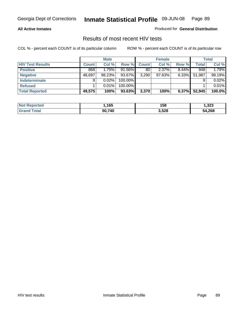### **All Active Inmates**

Produced for **General Distribution**

## Results of most recent HIV tests

|                         |              | <b>Male</b> |           |              | <b>Female</b> |          |              | <b>Total</b> |
|-------------------------|--------------|-------------|-----------|--------------|---------------|----------|--------------|--------------|
| <b>HIV Test Results</b> | <b>Count</b> | Col %       | Row %     | <b>Count</b> | Col %         | Row %    | <b>Total</b> | Col %        |
| <b>Positive</b>         | 868          | 1.75%       | $91.56\%$ | 80           | 2.37%         | $8.44\%$ | 948          | 1.79%        |
| <b>Negative</b>         | 48,697       | 98.23%      | 93.67%    | 3,290        | 97.63%        | $6.33\%$ | 51,987       | 98.19%       |
| Indeterminate           | 9            | 0.02%       | 100.00%   |              |               |          |              | 0.02%        |
| <b>Refused</b>          |              | 0.01%       | 100.00%   |              |               |          |              | 0.01%        |
| <b>Total Reported</b>   | 49,575       | 100%        | 93.63%    | 3,370        | 100%          | 6.37%    | 52,945       | 100.0%       |

| <b>Not</b><br>วrted<br>xeno.      | ,165   | 158   | 1,323  |
|-----------------------------------|--------|-------|--------|
| <sup>-</sup> otal<br><b>Grand</b> | 50.740 | 3,528 | 54,268 |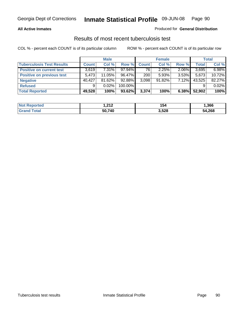### **All Active Inmates**

### Produced for **General Distribution**

## Results of most recent tuberculosis test

|                                  |              | <b>Male</b> |           |              | <b>Female</b> |          |              | Total  |
|----------------------------------|--------------|-------------|-----------|--------------|---------------|----------|--------------|--------|
| <b>Tuberculosis Test Results</b> | <b>Count</b> | Col %       | Row %     | <b>Count</b> | Col %         | Row %    | <b>Total</b> | Col %  |
| <b>Positive on current test</b>  | 3,619        | $7.31\%$    | $97.94\%$ | 76           | 2.25%         | 2.06%    | 3,695        | 6.98%  |
| <b>Positive on previous test</b> | 5.473        | $11.05\%$   | 96.47%    | 200          | $5.93\%$      | $3.53\%$ | 5,673        | 10.72% |
| <b>Negative</b>                  | 40.427       | 81.62%      | $92.88\%$ | 3,098        | $91.82\%$     | $7.12\%$ | 43,525       | 82.27% |
| <b>Refused</b>                   | 9            | 0.02%       | 100.00%   |              |               |          |              | 0.02%  |
| <b>Total Reported</b>            | 49,528       | 100%        | 93.62%    | 3,374        | 100%          | 6.38%    | 52,902       | 100%   |

| <b>Not Reported</b>   | - ລ4 ລ<br>I . <i>l</i> i <i>l</i> | 154   | .366   |
|-----------------------|-----------------------------------|-------|--------|
| <b>Grand</b><br>Total | 50,740                            | 3,528 | 54,268 |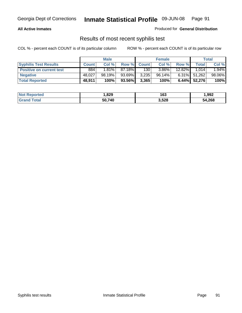### **All Active Inmates**

Produced for **General Distribution**

## Results of most recent syphilis test

|                                 |              | <b>Male</b> |         |             | <b>Female</b> |           |                 | <b>Total</b> |
|---------------------------------|--------------|-------------|---------|-------------|---------------|-----------|-----------------|--------------|
| <b>Syphilis Test Results</b>    | <b>Count</b> | Col %       |         | Row % Count | Col %         | Row %     | <b>Total</b>    | Col %        |
| <b>Positive on current test</b> | 884          | $1.81\%$    | 87.18%I | 130         | $3.86\%$      | $12.82\%$ | 1.014           | 1.94%        |
| <b>Negative</b>                 | 48.027       | 98.19%      | 93.69%  | 3,235       | 96.14%        |           | $6.31\%$ 51,262 | 98.06%       |
| <b>Total Reported</b>           | 48,911       | 100%        | 93.56%  | 3,365       | 100%          |           | $6.44\%$ 52,276 | 100%         |

| <b>Not Reported</b> | 829, ا | 163   | 1,992  |
|---------------------|--------|-------|--------|
| <b>Grand Total</b>  | 50,740 | 3,528 | 54,268 |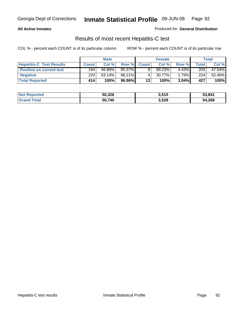### **All Active Inmates**

Produced for **General Distribution**

## Results of most recent Hepatitis-C test

|                                 |              | <b>Male</b> |           |              | <b>Female</b> |          |             | Total  |
|---------------------------------|--------------|-------------|-----------|--------------|---------------|----------|-------------|--------|
| <b>Hepatitis-C Test Results</b> | <b>Count</b> | Col %       | Row %I    | <b>Count</b> | Col %         | Row %    | $\tau$ otal | Col %  |
| <b>Positive on current test</b> | 194          | 46.86%      | 95.57%    |              | 69.23%        | $4.43\%$ | 203         | 47.54% |
| <b>Negative</b>                 | 220          | $53.14\%$   | $98.21\%$ |              | $30.77\%$     | 1.79%    | 224         | 52.46% |
| <b>Total Reported</b>           | 414'         | 100%        | 96.96%    | 13           | 100%          | 3.04%    | 427         | 100%   |

| <b>Not Reported</b> | 50,326 | 3,515 | 53,841 |
|---------------------|--------|-------|--------|
| <b>Grand Total</b>  | 50.740 | 3,528 | 54,268 |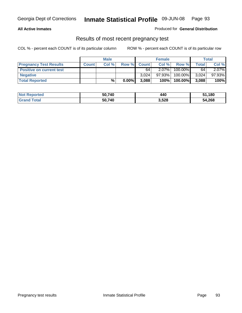### **All Active Inmates**

Produced for **General Distribution**

## Results of most recent pregnancy test

|                                 | <b>Male</b>  |       | <b>Female</b> |              |          | <b>Total</b> |       |        |
|---------------------------------|--------------|-------|---------------|--------------|----------|--------------|-------|--------|
| <b>Pregnancy Test Results</b>   | <b>Count</b> | Col % | Row %         | <b>Count</b> | Col %    | Row %        | Total | Col %  |
| <b>Positive on current test</b> |              |       |               | 64           | $2.07\%$ | 100.00%      | 64    | 2.07%  |
| <b>Negative</b>                 |              |       |               | 3.024        | 97.93%   | 100.00%      | 3,024 | 97.93% |
| <b>Total Reported</b>           |              | %     | $0.00\%$      | 3.088        | 100%     | 100.00%      | 3,088 | 100%   |

| <b>Not Reported</b> | 50.740 | 440   | ,180   |
|---------------------|--------|-------|--------|
| <b>Grand Total</b>  | 50.740 | 3,528 | 54,268 |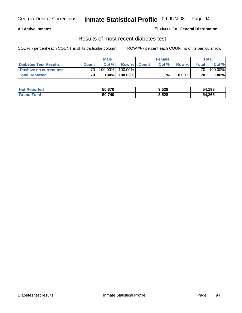### **All Active Inmates**

### Produced for **General Distribution**

## Results of most recent diabetes test

|                                 |                 | Male    |            |              | <b>Female</b> |          |                | Total   |
|---------------------------------|-----------------|---------|------------|--------------|---------------|----------|----------------|---------|
| <b>Diabetes Test Results</b>    | <b>Count</b>    | Col %   | Row %      | <b>Count</b> | Col %         | Row %I   | <b>Total</b> I | Col %   |
| <b>Positive on current test</b> | 70              | 100.00% | $100.00\%$ |              |               |          | 70 I           | 100.00% |
| <b>Total Reported</b>           | 70 <sub>1</sub> | 100%    | 100.00%    |              | %             | $0.00\%$ | 70             | 100%    |

| <b>Not Reported</b>     | 50,670 | 3,528 | 54,198 |
|-------------------------|--------|-------|--------|
| <b>Total</b><br>l Grand | 50,740 | 3,528 | 54,268 |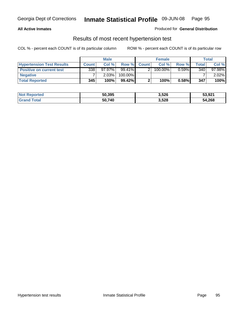### **All Active Inmates**

### Produced for **General Distribution**

## Results of most recent hypertension test

|                                  | <b>Male</b>  |           |           | <b>Female</b> |            |          | <b>Total</b> |           |
|----------------------------------|--------------|-----------|-----------|---------------|------------|----------|--------------|-----------|
| <b>Hypertension Test Results</b> | <b>Count</b> | Col %     | Row %     | <b>Count</b>  | Col%       | Row %    | Total        | Col %     |
| <b>Positive on current test</b>  | 338          | $97.97\%$ | 99.41%    |               | $100.00\%$ | $0.59\%$ | 340          | $97.98\%$ |
| <b>Negative</b>                  |              | 2.03%     | 100.00%   |               |            |          |              | $2.02\%$  |
| <b>Total Reported</b>            | 345          | 100%      | $99.42\%$ |               | 100%       | 0.58%    | 347          | 100%      |

| <b>Not Reported</b> | 50,395 | 3,526 | 53,921 |
|---------------------|--------|-------|--------|
| <b>Grand Total</b>  | 50,740 | 3,528 | 54,268 |